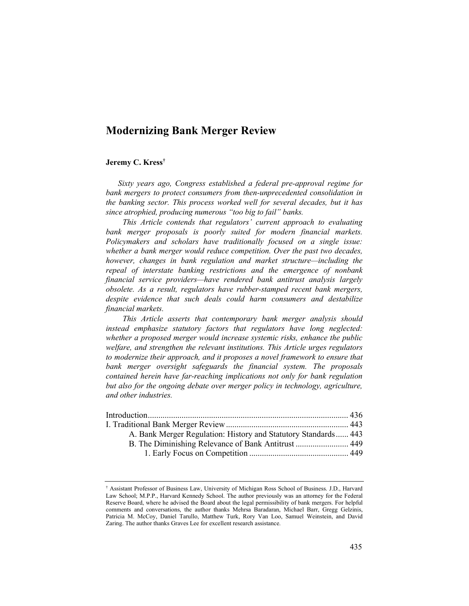# Modernizing Bank Merger Review

# Jeremy C. Kress†

 Sixty years ago, Congress established a federal pre-approval regime for bank mergers to protect consumers from then-unprecedented consolidation in the banking sector. This process worked well for several decades, but it has since atrophied, producing numerous "too big to fail" banks.

This Article contends that regulators' current approach to evaluating bank merger proposals is poorly suited for modern financial markets. Policymakers and scholars have traditionally focused on a single issue: whether a bank merger would reduce competition. Over the past two decades, however, changes in bank regulation and market structure—including the repeal of interstate banking restrictions and the emergence of nonbank financial service providers—have rendered bank antitrust analysis largely obsolete. As a result, regulators have rubber-stamped recent bank mergers, despite evidence that such deals could harm consumers and destabilize financial markets.

This Article asserts that contemporary bank merger analysis should instead emphasize statutory factors that regulators have long neglected: whether a proposed merger would increase systemic risks, enhance the public welfare, and strengthen the relevant institutions. This Article urges regulators to modernize their approach, and it proposes a novel framework to ensure that bank merger oversight safeguards the financial system. The proposals contained herein have far-reaching implications not only for bank regulation but also for the ongoing debate over merger policy in technology, agriculture, and other industries.

| A. Bank Merger Regulation: History and Statutory Standards 443 |  |
|----------------------------------------------------------------|--|
| B. The Diminishing Relevance of Bank Antitrust  449            |  |
|                                                                |  |
|                                                                |  |

<sup>†</sup> Assistant Professor of Business Law, University of Michigan Ross School of Business. J.D., Harvard Law School; M.P.P., Harvard Kennedy School. The author previously was an attorney for the Federal Reserve Board, where he advised the Board about the legal permissibility of bank mergers. For helpful comments and conversations, the author thanks Mehrsa Baradaran, Michael Barr, Gregg Gelzinis, Patricia M. McCoy, Daniel Tarullo, Matthew Turk, Rory Van Loo, Samuel Weinstein, and David Zaring. The author thanks Graves Lee for excellent research assistance.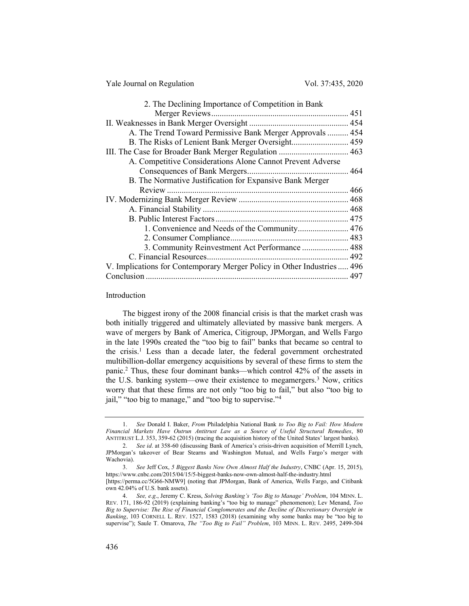Yale Journal on Regulation Vol. 37:435, 2020

| 2. The Declining Importance of Competition in Bank                      |  |
|-------------------------------------------------------------------------|--|
|                                                                         |  |
|                                                                         |  |
| A. The Trend Toward Permissive Bank Merger Approvals  454               |  |
| B. The Risks of Lenient Bank Merger Oversight 459                       |  |
|                                                                         |  |
| A. Competitive Considerations Alone Cannot Prevent Adverse              |  |
|                                                                         |  |
| B. The Normative Justification for Expansive Bank Merger                |  |
|                                                                         |  |
|                                                                         |  |
|                                                                         |  |
|                                                                         |  |
|                                                                         |  |
|                                                                         |  |
| 3. Community Reinvestment Act Performance  488                          |  |
|                                                                         |  |
| V. Implications for Contemporary Merger Policy in Other Industries  496 |  |
|                                                                         |  |
|                                                                         |  |

### Introduction

The biggest irony of the 2008 financial crisis is that the market crash was both initially triggered and ultimately alleviated by massive bank mergers. A wave of mergers by Bank of America, Citigroup, JPMorgan, and Wells Fargo in the late 1990s created the "too big to fail" banks that became so central to the crisis.<sup>1</sup> Less than a decade later, the federal government orchestrated multibillion-dollar emergency acquisitions by several of these firms to stem the panic.<sup>2</sup> Thus, these four dominant banks—which control 42% of the assets in the U.S. banking system—owe their existence to megamergers.<sup>3</sup> Now, critics worry that that these firms are not only "too big to fail," but also "too big to jail," "too big to manage," and "too big to supervise."<sup>4</sup>

<sup>1.</sup> See Donald I. Baker, From Philadelphia National Bank to Too Big to Fail: How Modern Financial Markets Have Outrun Antitrust Law as a Source of Useful Structural Remedies, 80 ANTITRUST L.J. 353, 359-62 (2015) (tracing the acquisition history of the United States' largest banks).

<sup>2.</sup> See id. at 358-60 (discussing Bank of America's crisis-driven acquisition of Merrill Lynch, JPMorgan's takeover of Bear Stearns and Washington Mutual, and Wells Fargo's merger with Wachovia).

<sup>3.</sup> See Jeff Cox, 5 Biggest Banks Now Own Almost Half the Industry, CNBC (Apr. 15, 2015), https://www.cnbc.com/2015/04/15/5-biggest-banks-now-own-almost-half-the-industry.html

<sup>[</sup>https://perma.cc/5G66-NMW9] (noting that JPMorgan, Bank of America, Wells Fargo, and Citibank own 42.04% of U.S. bank assets).

<sup>4.</sup> See, e.g., Jeremy C. Kress, Solving Banking's 'Too Big to Manage' Problem, 104 MINN. L. REV. 171, 186-92 (2019) (explaining banking's "too big to manage" phenomenon); Lev Menand, Too Big to Supervise: The Rise of Financial Conglomerates and the Decline of Discretionary Oversight in Banking, 103 CORNELL L. REV. 1527, 1583 (2018) (examining why some banks may be "too big to supervise"); Saule T. Omarova, *The "Too Big to Fail" Problem*, 103 MINN. L. REV. 2495, 2499-504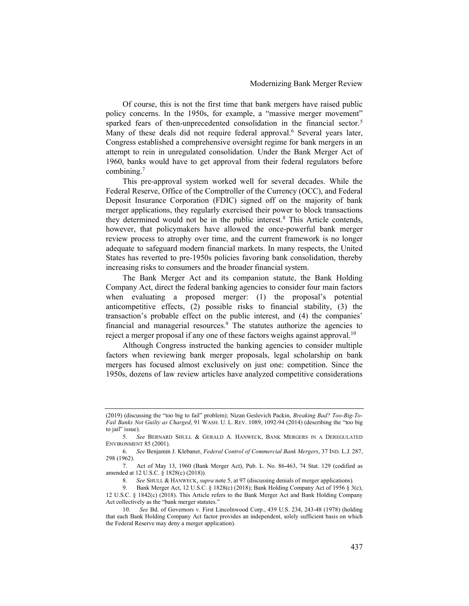Of course, this is not the first time that bank mergers have raised public policy concerns. In the 1950s, for example, a "massive merger movement" sparked fears of then-unprecedented consolidation in the financial sector.<sup>5</sup> Many of these deals did not require federal approval.<sup>6</sup> Several years later, Congress established a comprehensive oversight regime for bank mergers in an attempt to rein in unregulated consolidation. Under the Bank Merger Act of 1960, banks would have to get approval from their federal regulators before combining.<sup>7</sup>

This pre-approval system worked well for several decades. While the Federal Reserve, Office of the Comptroller of the Currency (OCC), and Federal Deposit Insurance Corporation (FDIC) signed off on the majority of bank merger applications, they regularly exercised their power to block transactions they determined would not be in the public interest.<sup>8</sup> This Article contends, however, that policymakers have allowed the once-powerful bank merger review process to atrophy over time, and the current framework is no longer adequate to safeguard modern financial markets. In many respects, the United States has reverted to pre-1950s policies favoring bank consolidation, thereby increasing risks to consumers and the broader financial system.

The Bank Merger Act and its companion statute, the Bank Holding Company Act, direct the federal banking agencies to consider four main factors when evaluating a proposed merger: (1) the proposal's potential anticompetitive effects, (2) possible risks to financial stability, (3) the transaction's probable effect on the public interest, and (4) the companies' financial and managerial resources.<sup>9</sup> The statutes authorize the agencies to reject a merger proposal if any one of these factors weighs against approval.<sup>10</sup>

Although Congress instructed the banking agencies to consider multiple factors when reviewing bank merger proposals, legal scholarship on bank mergers has focused almost exclusively on just one: competition. Since the 1950s, dozens of law review articles have analyzed competitive considerations

<sup>(2019) (</sup>discussing the "too big to fail" problem); Nizan Geslevich Packin, Breaking Bad? Too-Big-To-Fail Banks Not Guilty as Charged, 91 WASH. U. L. REV. 1089, 1092-94 (2014) (describing the "too big to *iail*" issue).

<sup>5.</sup> See BERNARD SHULL & GERALD A. HANWECK, BANK MERGERS IN A DEREGULATED ENVIRONMENT 85 (2001).

<sup>6.</sup> See Benjamin J. Klebaner, Federal Control of Commercial Bank Mergers, 37 IND. L.J. 287, 298 (1962).

<sup>7.</sup> Act of May 13, 1960 (Bank Merger Act), Pub. L. No. 86-463, 74 Stat. 129 (codified as amended at 12 U.S.C. § 1828(c) (2018)).

<sup>8.</sup> See SHULL & HANWECK, supra note 5, at 97 (discussing denials of merger applications).

<sup>9.</sup> Bank Merger Act, 12 U.S.C. § 1828(c) (2018); Bank Holding Company Act of 1956 § 3(c), 12 U.S.C. § 1842(c) (2018). This Article refers to the Bank Merger Act and Bank Holding Company Act collectively as the "bank merger statutes."

<sup>10.</sup> See Bd. of Governors v. First Lincolnwood Corp., 439 U.S. 234, 243-48 (1978) (holding that each Bank Holding Company Act factor provides an independent, solely sufficient basis on which the Federal Reserve may deny a merger application).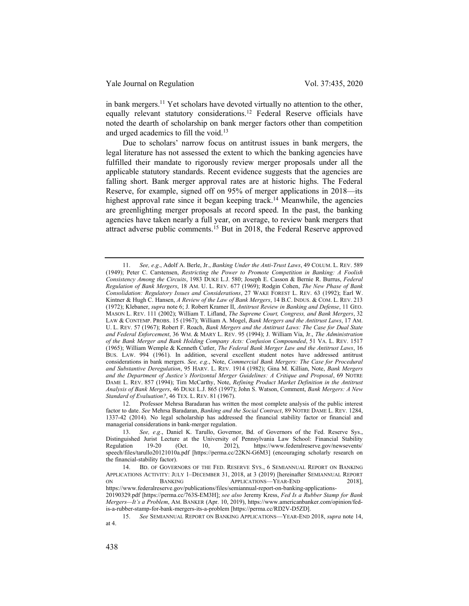in bank mergers.<sup>11</sup> Yet scholars have devoted virtually no attention to the other, equally relevant statutory considerations.<sup>12</sup> Federal Reserve officials have noted the dearth of scholarship on bank merger factors other than competition and urged academics to fill the void.<sup>13</sup>

Due to scholars' narrow focus on antitrust issues in bank mergers, the legal literature has not assessed the extent to which the banking agencies have fulfilled their mandate to rigorously review merger proposals under all the applicable statutory standards. Recent evidence suggests that the agencies are falling short. Bank merger approval rates are at historic highs. The Federal Reserve, for example, signed off on 95% of merger applications in 2018—its highest approval rate since it began keeping track.<sup>14</sup> Meanwhile, the agencies are greenlighting merger proposals at record speed. In the past, the banking agencies have taken nearly a full year, on average, to review bank mergers that attract adverse public comments.<sup>15</sup> But in 2018, the Federal Reserve approved

<sup>11.</sup> See, e.g., Adolf A. Berle, Jr., Banking Under the Anti-Trust Laws, 49 COLUM. L. REV. 589 (1949); Peter C. Carstensen, Restricting the Power to Promote Competition in Banking: A Foolish Consistency Among the Circuits, 1983 DUKE L.J. 580; Joseph E. Casson & Bernie R. Burrus, Federal Regulation of Bank Mergers, 18 AM. U. L. REV. 677 (1969); Rodgin Cohen, The New Phase of Bank Consolidation: Regulatory Issues and Considerations, 27 WAKE FOREST L. REV. 63 (1992); Earl W. Kintner & Hugh C. Hansen, A Review of the Law of Bank Mergers, 14 B.C. INDUS. & COM. L. REV. 213 (1972); Klebaner, supra note 6; J. Robert Kramer II, Antitrust Review in Banking and Defense, 11 GEO. MASON L. REV. 111 (2002); William T. Lifland, The Supreme Court, Congress, and Bank Mergers, 32 LAW & CONTEMP. PROBS. 15 (1967); William A. Mogel, Bank Mergers and the Antitrust Laws, 17 AM. U. L. REV. 57 (1967); Robert F. Roach, Bank Mergers and the Antitrust Laws: The Case for Dual State and Federal Enforcement, 36 WM. & MARY L. REV. 95 (1994); J. William Via, Jr., The Administration of the Bank Merger and Bank Holding Company Acts: Confusion Compounded, 51 VA. L. REV. 1517 (1965); William Wemple & Kenneth Cutler, The Federal Bank Merger Law and the Antitrust Laws, 16 BUS. LAW. 994 (1961). In addition, several excellent student notes have addressed antitrust considerations in bank mergers. See, e.g., Note, Commercial Bank Mergers: The Case for Procedural and Substantive Deregulation, 95 HARV. L. REV. 1914 (1982); Gina M. Killian, Note, Bank Mergers and the Department of Justice's Horizontal Merger Guidelines: A Critique and Proposal, 69 NOTRE DAME L. REV. 857 (1994); Tim McCarthy, Note, Refining Product Market Definition in the Antitrust Analysis of Bank Mergers, 46 DUKE L.J. 865 (1997); John S. Watson, Comment, Bank Mergers: A New Standard of Evaluation?, 46 TEX. L. REV. 81 (1967).

<sup>12.</sup> Professor Mehrsa Baradaran has written the most complete analysis of the public interest factor to date. See Mehrsa Baradaran, Banking and the Social Contract, 89 NOTRE DAME L. REV. 1284, 1337-42 (2014). No legal scholarship has addressed the financial stability factor or financial and managerial considerations in bank-merger regulation.

<sup>13.</sup> See, e.g., Daniel K. Tarullo, Governor, Bd. of Governors of the Fed. Reserve Sys., Distinguished Jurist Lecture at the University of Pennsylvania Law School: Financial Stability Regulation 19-20 (Oct. 10, 2012), https://www.federalreserve.gov/newsevents/ speech/files/tarullo20121010a.pdf [https://perma.cc/22KN-G6M3] (encouraging scholarly research on the financial-stability factor).

<sup>14.</sup> BD. OF GOVERNORS OF THE FED. RESERVE SYS., 6 SEMIANNUAL REPORT ON BANKING APPLICATIONS ACTIVITY: JULY 1–DECEMBER 31, 2018, at 3 (2019) [hereinafter SEMIANNUAL REPORT ON BANKING APPLICATIONS—YEAR-END 2018], https://www.federalreserve.gov/publications/files/semiannual-report-on-banking-applications-

<sup>20190329.</sup>pdf [https://perma.cc/763S-EM3H]; see also Jeremy Kress, Fed Is a Rubber Stamp for Bank Mergers—It's a Problem, AM. BANKER (Apr. 10, 2019), https://www.americanbanker.com/opinion/fedis-a-rubber-stamp-for-bank-mergers-its-a-problem [https://perma.cc/RD2V-D5ZD].

<sup>15.</sup> See SEMIANNUAL REPORT ON BANKING APPLICATIONS—YEAR-END 2018, supra note 14, at 4.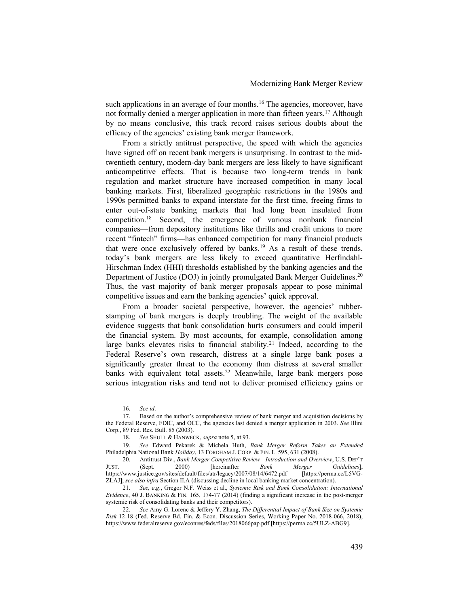such applications in an average of four months.<sup>16</sup> The agencies, moreover, have not formally denied a merger application in more than fifteen years.<sup>17</sup> Although by no means conclusive, this track record raises serious doubts about the efficacy of the agencies' existing bank merger framework.

From a strictly antitrust perspective, the speed with which the agencies have signed off on recent bank mergers is unsurprising. In contrast to the midtwentieth century, modern-day bank mergers are less likely to have significant anticompetitive effects. That is because two long-term trends in bank regulation and market structure have increased competition in many local banking markets. First, liberalized geographic restrictions in the 1980s and 1990s permitted banks to expand interstate for the first time, freeing firms to enter out-of-state banking markets that had long been insulated from competition.<sup>18</sup> Second, the emergence of various nonbank financial companies—from depository institutions like thrifts and credit unions to more recent "fintech" firms—has enhanced competition for many financial products that were once exclusively offered by banks.<sup>19</sup> As a result of these trends, today's bank mergers are less likely to exceed quantitative Herfindahl-Hirschman Index (HHI) thresholds established by the banking agencies and the Department of Justice (DOJ) in jointly promulgated Bank Merger Guidelines.<sup>20</sup> Thus, the vast majority of bank merger proposals appear to pose minimal competitive issues and earn the banking agencies' quick approval.

From a broader societal perspective, however, the agencies' rubberstamping of bank mergers is deeply troubling. The weight of the available evidence suggests that bank consolidation hurts consumers and could imperil the financial system. By most accounts, for example, consolidation among large banks elevates risks to financial stability.<sup>21</sup> Indeed, according to the Federal Reserve's own research, distress at a single large bank poses a significantly greater threat to the economy than distress at several smaller banks with equivalent total assets.<sup>22</sup> Meanwhile, large bank mergers pose serious integration risks and tend not to deliver promised efficiency gains or

<sup>16.</sup> See id.

<sup>17.</sup> Based on the author's comprehensive review of bank merger and acquisition decisions by the Federal Reserve, FDIC, and OCC, the agencies last denied a merger application in 2003. See Illini Corp., 89 Fed. Res. Bull. 85 (2003).

<sup>18.</sup> See SHULL & HANWECK, supra note 5, at 93.

<sup>19.</sup> See Edward Pekarek & Michela Huth, Bank Merger Reform Takes an Extended Philadelphia National Bank Holiday, 13 FORDHAM J. CORP. & FIN. L. 595, 631 (2008).

<sup>20.</sup> Antitrust Div., Bank Merger Competitive Review—Introduction and Overview, U.S. DEP'T (Sept. 2000) [hereinafter Bank Merger Guidelines], JUST. (Sept. 2000) [hereinafter *Bank Merger Guidelines*], https://www.justice.gov/sites/default/files/atr/legacy/2007/08/14/6472.pdf [https://perma.cc/L5VG-ZLAJ]; see also infra Section II.A (discussing decline in local banking market concentration).

<sup>21.</sup> See, e.g., Gregor N.F. Weiss et al., Systemic Risk and Bank Consolidation: International Evidence, 40 J. BANKING & FIN. 165, 174-77 (2014) (finding a significant increase in the post-merger systemic risk of consolidating banks and their competitors).

<sup>22.</sup> See Amy G. Lorenc & Jeffery Y. Zhang, The Differential Impact of Bank Size on Systemic Risk 12-18 (Fed. Reserve Bd. Fin. & Econ. Discussion Series, Working Paper No. 2018-066, 2018), https://www.federalreserve.gov/econres/feds/files/2018066pap.pdf [https://perma.cc/5ULZ-ABG9].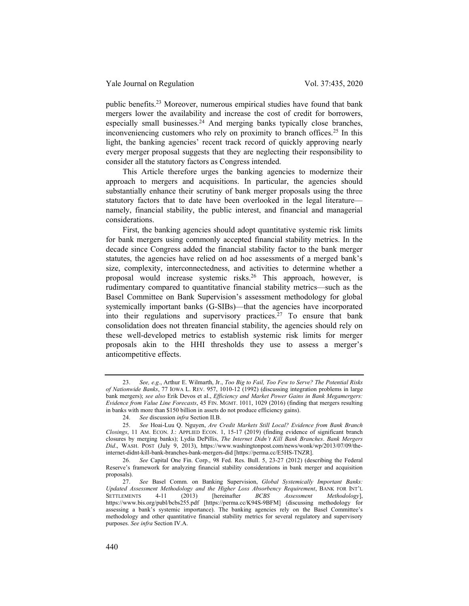public benefits.<sup>23</sup> Moreover, numerous empirical studies have found that bank mergers lower the availability and increase the cost of credit for borrowers, especially small businesses.<sup>24</sup> And merging banks typically close branches, inconveniencing customers who rely on proximity to branch offices.<sup>25</sup> In this light, the banking agencies' recent track record of quickly approving nearly every merger proposal suggests that they are neglecting their responsibility to consider all the statutory factors as Congress intended.

This Article therefore urges the banking agencies to modernize their approach to mergers and acquisitions. In particular, the agencies should substantially enhance their scrutiny of bank merger proposals using the three statutory factors that to date have been overlooked in the legal literature namely, financial stability, the public interest, and financial and managerial considerations.

First, the banking agencies should adopt quantitative systemic risk limits for bank mergers using commonly accepted financial stability metrics. In the decade since Congress added the financial stability factor to the bank merger statutes, the agencies have relied on ad hoc assessments of a merged bank's size, complexity, interconnectedness, and activities to determine whether a proposal would increase systemic risks.<sup>26</sup> This approach, however, is rudimentary compared to quantitative financial stability metrics—such as the Basel Committee on Bank Supervision's assessment methodology for global systemically important banks (G-SIBs)—that the agencies have incorporated into their regulations and supervisory practices.<sup>27</sup> To ensure that bank consolidation does not threaten financial stability, the agencies should rely on these well-developed metrics to establish systemic risk limits for merger proposals akin to the HHI thresholds they use to assess a merger's anticompetitive effects.

<sup>23.</sup> See, e.g., Arthur E. Wilmarth, Jr., Too Big to Fail, Too Few to Serve? The Potential Risks of Nationwide Banks, 77 IOWA L. REV. 957, 1010-12 (1992) (discussing integration problems in large bank mergers); see also Erik Devos et al., Efficiency and Market Power Gains in Bank Megamergers: Evidence from Value Line Forecasts, 45 FIN. MGMT. 1011, 1029 (2016) (finding that mergers resulting in banks with more than \$150 billion in assets do not produce efficiency gains).

<sup>24.</sup> See discussion infra Section II.B.

<sup>25.</sup> See Hoai-Luu Q. Nguyen, Are Credit Markets Still Local? Evidence from Bank Branch Closings, 11 AM. ECON. J.: APPLIED ECON. 1, 15-17 (2019) (finding evidence of significant branch closures by merging banks); Lydia DePillis, The Internet Didn't Kill Bank Branches. Bank Mergers Did., WASH. POST (July 9, 2013), https://www.washingtonpost.com/news/wonk/wp/2013/07/09/theinternet-didnt-kill-bank-branches-bank-mergers-did [https://perma.cc/E5HS-TNZR].

<sup>26.</sup> See Capital One Fin. Corp., 98 Fed. Res. Bull. 5, 23-27 (2012) (describing the Federal Reserve's framework for analyzing financial stability considerations in bank merger and acquisition proposals).<br>27.

See Basel Comm. on Banking Supervision, Global Systemically Important Banks: Updated Assessment Methodology and the Higher Loss Absorbency Requirement, BANK FOR INT'L<br>SETTLEMENTS 4-11 (2013) [hereinafter BCBS Assessment Methodology]. SETTLEMENTS 4-11 (2013) [hereinafter BCBS Assessment Methodology], https://www.bis.org/publ/bcbs255.pdf [https://perma.cc/K94S-9BFM] (discussing methodology for assessing a bank's systemic importance). The banking agencies rely on the Basel Committee's methodology and other quantitative financial stability metrics for several regulatory and supervisory purposes. See infra Section IV.A.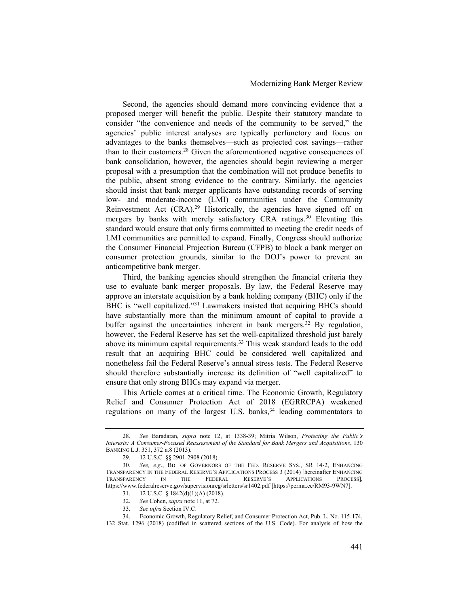Second, the agencies should demand more convincing evidence that a proposed merger will benefit the public. Despite their statutory mandate to consider "the convenience and needs of the community to be served," the agencies' public interest analyses are typically perfunctory and focus on advantages to the banks themselves—such as projected cost savings—rather than to their customers.<sup>28</sup> Given the aforementioned negative consequences of bank consolidation, however, the agencies should begin reviewing a merger proposal with a presumption that the combination will not produce benefits to the public, absent strong evidence to the contrary. Similarly, the agencies should insist that bank merger applicants have outstanding records of serving low- and moderate-income (LMI) communities under the Community Reinvestment Act  $(CRA)^{29}$  Historically, the agencies have signed off on mergers by banks with merely satisfactory CRA ratings.<sup>30</sup> Elevating this standard would ensure that only firms committed to meeting the credit needs of LMI communities are permitted to expand. Finally, Congress should authorize the Consumer Financial Projection Bureau (CFPB) to block a bank merger on consumer protection grounds, similar to the DOJ's power to prevent an anticompetitive bank merger.

Third, the banking agencies should strengthen the financial criteria they use to evaluate bank merger proposals. By law, the Federal Reserve may approve an interstate acquisition by a bank holding company (BHC) only if the BHC is "well capitalized."<sup>31</sup> Lawmakers insisted that acquiring BHCs should have substantially more than the minimum amount of capital to provide a buffer against the uncertainties inherent in bank mergers.<sup>32</sup> By regulation, however, the Federal Reserve has set the well-capitalized threshold just barely above its minimum capital requirements.<sup>33</sup> This weak standard leads to the odd result that an acquiring BHC could be considered well capitalized and nonetheless fail the Federal Reserve's annual stress tests. The Federal Reserve should therefore substantially increase its definition of "well capitalized" to ensure that only strong BHCs may expand via merger.

This Article comes at a critical time. The Economic Growth, Regulatory Relief and Consumer Protection Act of 2018 (EGRRCPA) weakened regulations on many of the largest U.S. banks,<sup>34</sup> leading commentators to

<sup>28.</sup> See Baradaran, supra note 12, at 1338-39; Mitria Wilson, Protecting the Public's Interests: A Consumer-Focused Reassessment of the Standard for Bank Mergers and Acquisitions, 130 BANKING L.J. 351, 372 n.8 (2013).

<sup>29. 12</sup> U.S.C. §§ 2901-2908 (2018).

<sup>30.</sup> See, e.g., BD. OF GOVERNORS OF THE FED. RESERVE SYS., SR 14-2, ENHANCING TRANSPARENCY IN THE FEDERAL RESERVE'S APPLICATIONS PROCESS 3 (2014) [hereinafter ENHANCING TRANSPARENCY IN THE FEDERAL RESERVE'S APPLICATIONS PROCESS], TRANSPARENCY https://www.federalreserve.gov/supervisionreg/srletters/sr1402.pdf [https://perma.cc/RM93-9WN7].

<sup>31. 12</sup> U.S.C. § 1842(d)(1)(A) (2018).

<sup>32.</sup> See Cohen, supra note 11, at 72.

<sup>33.</sup> See infra Section IV.C.

<sup>34.</sup> Economic Growth, Regulatory Relief, and Consumer Protection Act, Pub. L. No. 115-174, 132 Stat. 1296 (2018) (codified in scattered sections of the U.S. Code). For analysis of how the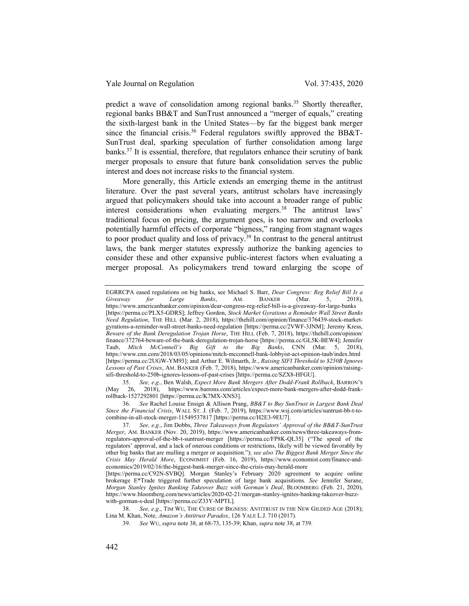predict a wave of consolidation among regional banks.<sup>35</sup> Shortly thereafter, regional banks BB&T and SunTrust announced a "merger of equals," creating the sixth-largest bank in the United States—by far the biggest bank merger since the financial crisis.<sup>36</sup> Federal regulators swiftly approved the BB&T-SunTrust deal, sparking speculation of further consolidation among large banks.<sup>37</sup> It is essential, therefore, that regulators enhance their scrutiny of bank merger proposals to ensure that future bank consolidation serves the public interest and does not increase risks to the financial system.

More generally, this Article extends an emerging theme in the antitrust literature. Over the past several years, antitrust scholars have increasingly argued that policymakers should take into account a broader range of public interest considerations when evaluating mergers.<sup>38</sup> The antitrust laws' traditional focus on pricing, the argument goes, is too narrow and overlooks potentially harmful effects of corporate "bigness," ranging from stagnant wages to poor product quality and loss of privacy. $39$  In contrast to the general antitrust laws, the bank merger statutes expressly authorize the banking agencies to consider these and other expansive public-interest factors when evaluating a merger proposal. As policymakers trend toward enlarging the scope of

35. See, e.g., Ben Walsh, Expect More Bank Mergers After Dodd-Frank Rollback, BARRON'S (May 26, 2018), https://www.barrons.com/articles/expect-more-bank-mergers-after-dodd-frankrollback-1527292801 [https://perma.cc/K7MX-XNS3].

EGRRCPA eased regulations on big banks, see Michael S. Barr, Dear Congress: Reg Relief Bill Is a Giveaway for Large Banks, AM. BANKER (Mar. 5, 2018), https://www.americanbanker.com/opinion/dear-congress-reg-relief-bill-is-a-giveaway-for-large-banks [https://perma.cc/PLX5-GDRS]; Jeffrey Gordon, Stock Market Gyrations a Reminder Wall Street Banks Need Regulation, THE HILL (Mar. 2, 2018), https://thehill.com/opinion/finance/376439-stock-marketgyrations-a-reminder-wall-street-banks-need-regulation [https://perma.cc/2VWF-3JNM]; Jeremy Kress, Beware of the Bank Deregulation Trojan Horse, THE HILL (Feb. 7, 2018), https://thehill.com/opinion/ finance/372764-beware-of-the-bank-deregulation-trojan-horse [https://perma.cc/GL5K-BEW4]; Jennifer Taub, Mitch McConnell's Big Gift to the Big Banks, CNN (Mar. 5, 2018), https://www.cnn.com/2018/03/05/opinions/mitch-mcconnell-bank-lobbyist-act-opinion-taub/index.html [https://perma.cc/2UGW-YM93]; and Arthur E. Wilmarth, Jr., Raising SIFI Threshold to \$250B Ignores Lessons of Past Crises, AM. BANKER (Feb. 7, 2018), https://www.americanbanker.com/opinion/raisingsifi-threshold-to-250b-ignores-lessons-of-past-crises [https://perma.cc/SZX8-HFGU].

<sup>36.</sup> See Rachel Louise Ensign & Allison Prang, BB&T to Buy SunTrust in Largest Bank Deal Since the Financial Crisis, WALL ST. J. (Feb. 7, 2019), https://www.wsj.com/articles/suntrust-bb-t-tocombine-in-all-stock-merger-11549537817 [https://perma.cc/H2E3-9EU7].

<sup>37.</sup> See, e.g., Jim Dobbs, Three Takeaways from Regulators' Approval of the BB&T-SunTrust Merger, AM. BANKER (Nov. 20, 2019), https://www.americanbanker.com/news/three-takeaways-fromregulators-approval-of-the-bb-t-suntrust-merger [https://perma.cc/FP8K-QL35] ("The speed of the regulators' approval, and a lack of onerous conditions or restrictions, likely will be viewed favorably by other big banks that are mulling a merger or acquisition."); see also The Biggest Bank Merger Since the Crisis May Herald More, ECONOMIST (Feb. 16, 2019), https://www.economist.com/finance-andeconomics/2019/02/16/the-biggest-bank-merger-since-the-crisis-may-herald-more

<sup>[</sup>https://perma.cc/C92N-SVBQ]. Morgan Stanley's February 2020 agreement to acquire online brokerage E\*Trade triggered further speculation of large bank acquisitions. See Jennifer Surane, Morgan Stanley Ignites Banking Takeover Buzz with Gorman's Deal, BLOOMBERG (Feb. 21, 2020), https://www.bloomberg.com/news/articles/2020-02-21/morgan-stanley-ignites-banking-takeover-buzzwith-gorman-s-deal [https://perma.cc/Z33Y-MPTL].

<sup>38.</sup> See, e.g., TIM WU, THE CURSE OF BIGNESS: ANTITRUST IN THE NEW GILDED AGE (2018); Lina M. Khan, Note, Amazon's Antitrust Paradox, 126 YALE L.J. 710 (2017).

<sup>39.</sup> See WU, supra note 38, at 68-73, 135-39; Khan, supra note 38, at 739.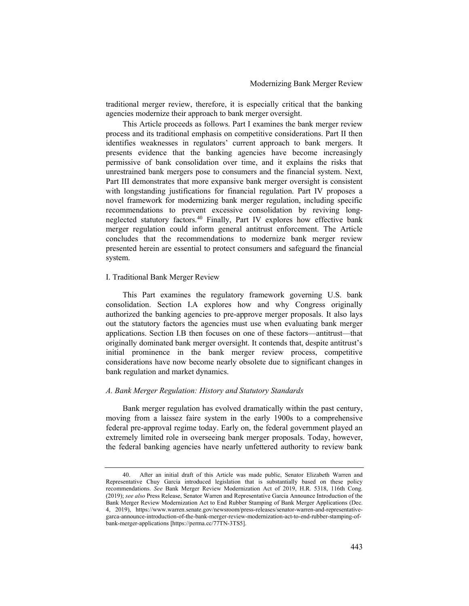traditional merger review, therefore, it is especially critical that the banking agencies modernize their approach to bank merger oversight.

This Article proceeds as follows. Part I examines the bank merger review process and its traditional emphasis on competitive considerations. Part II then identifies weaknesses in regulators' current approach to bank mergers. It presents evidence that the banking agencies have become increasingly permissive of bank consolidation over time, and it explains the risks that unrestrained bank mergers pose to consumers and the financial system. Next, Part III demonstrates that more expansive bank merger oversight is consistent with longstanding justifications for financial regulation. Part IV proposes a novel framework for modernizing bank merger regulation, including specific recommendations to prevent excessive consolidation by reviving longneglected statutory factors.<sup>40</sup> Finally, Part IV explores how effective bank merger regulation could inform general antitrust enforcement. The Article concludes that the recommendations to modernize bank merger review presented herein are essential to protect consumers and safeguard the financial system.

### I. Traditional Bank Merger Review

This Part examines the regulatory framework governing U.S. bank consolidation. Section I.A explores how and why Congress originally authorized the banking agencies to pre-approve merger proposals. It also lays out the statutory factors the agencies must use when evaluating bank merger applications. Section I.B then focuses on one of these factors—antitrust—that originally dominated bank merger oversight. It contends that, despite antitrust's initial prominence in the bank merger review process, competitive considerations have now become nearly obsolete due to significant changes in bank regulation and market dynamics.

### A. Bank Merger Regulation: History and Statutory Standards

Bank merger regulation has evolved dramatically within the past century, moving from a laissez faire system in the early 1900s to a comprehensive federal pre-approval regime today. Early on, the federal government played an extremely limited role in overseeing bank merger proposals. Today, however, the federal banking agencies have nearly unfettered authority to review bank

<sup>40.</sup> After an initial draft of this Article was made public, Senator Elizabeth Warren and Representative Chuy Garcia introduced legislation that is substantially based on these policy recommendations. See Bank Merger Review Modernization Act of 2019, H.R. 5318, 116th Cong. (2019); see also Press Release, Senator Warren and Representative Garcia Announce Introduction of the Bank Merger Review Modernization Act to End Rubber Stamping of Bank Merger Applications (Dec. 4, 2019), https://www.warren.senate.gov/newsroom/press-releases/senator-warren-and-representativegarca-announce-introduction-of-the-bank-merger-review-modernization-act-to-end-rubber-stamping-ofbank-merger-applications [https://perma.cc/77TN-3TS5].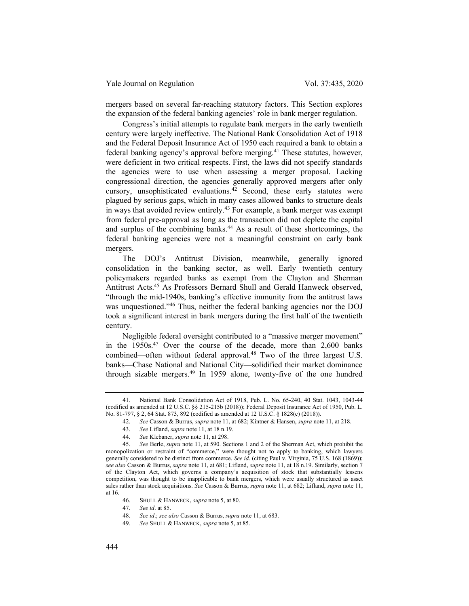mergers based on several far-reaching statutory factors. This Section explores the expansion of the federal banking agencies' role in bank merger regulation.

Congress's initial attempts to regulate bank mergers in the early twentieth century were largely ineffective. The National Bank Consolidation Act of 1918 and the Federal Deposit Insurance Act of 1950 each required a bank to obtain a federal banking agency's approval before merging.<sup>41</sup> These statutes, however, were deficient in two critical respects. First, the laws did not specify standards the agencies were to use when assessing a merger proposal. Lacking congressional direction, the agencies generally approved mergers after only cursory, unsophisticated evaluations.<sup>42</sup> Second, these early statutes were plagued by serious gaps, which in many cases allowed banks to structure deals in ways that avoided review entirely.<sup>43</sup> For example, a bank merger was exempt from federal pre-approval as long as the transaction did not deplete the capital and surplus of the combining banks.<sup>44</sup> As a result of these shortcomings, the federal banking agencies were not a meaningful constraint on early bank mergers.

The DOJ's Antitrust Division, meanwhile, generally ignored consolidation in the banking sector, as well. Early twentieth century policymakers regarded banks as exempt from the Clayton and Sherman Antitrust Acts.<sup>45</sup> As Professors Bernard Shull and Gerald Hanweck observed, "through the mid-1940s, banking's effective immunity from the antitrust laws was unquestioned."<sup>46</sup> Thus, neither the federal banking agencies nor the DOJ took a significant interest in bank mergers during the first half of the twentieth century.

Negligible federal oversight contributed to a "massive merger movement" in the 1950s.<sup>47</sup> Over the course of the decade, more than 2,600 banks combined—often without federal approval.<sup>48</sup> Two of the three largest U.S. banks—Chase National and National City—solidified their market dominance through sizable mergers.<sup>49</sup> In 1959 alone, twenty-five of the one hundred

<sup>41.</sup> National Bank Consolidation Act of 1918, Pub. L. No. 65-240, 40 Stat. 1043, 1043-44 (codified as amended at 12 U.S.C. §§ 215-215b (2018)); Federal Deposit Insurance Act of 1950, Pub. L. No. 81-797, § 2, 64 Stat. 873, 892 (codified as amended at 12 U.S.C. § 1828(c) (2018)).

<sup>42.</sup> See Casson & Burrus, *supra* note 11, at 682; Kintner & Hansen, *supra* note 11, at 218.

<sup>43.</sup> See Lifland, supra note 11, at 18 n.19.

<sup>44.</sup> See Klebaner, supra note 11, at 298.

<sup>45.</sup> See Berle, supra note 11, at 590. Sections 1 and 2 of the Sherman Act, which prohibit the monopolization or restraint of "commerce," were thought not to apply to banking, which lawyers generally considered to be distinct from commerce. See id. (citing Paul v. Virginia, 75 U.S. 168 (1869)); see also Casson & Burrus, *supra* note 11, at 681; Lifland, *supra* note 11, at 18 n.19. Similarly, section 7 of the Clayton Act, which governs a company's acquisition of stock that substantially lessens competition, was thought to be inapplicable to bank mergers, which were usually structured as asset sales rather than stock acquisitions. See Casson & Burrus, supra note 11, at 682; Lifland, supra note 11, at 16.

<sup>46.</sup> SHULL & HANWECK, supra note 5, at 80.

<sup>47.</sup> See id. at 85.

<sup>48.</sup> See id.; see also Casson & Burrus, supra note 11, at 683.

<sup>49.</sup> See SHULL & HANWECK, supra note 5, at 85.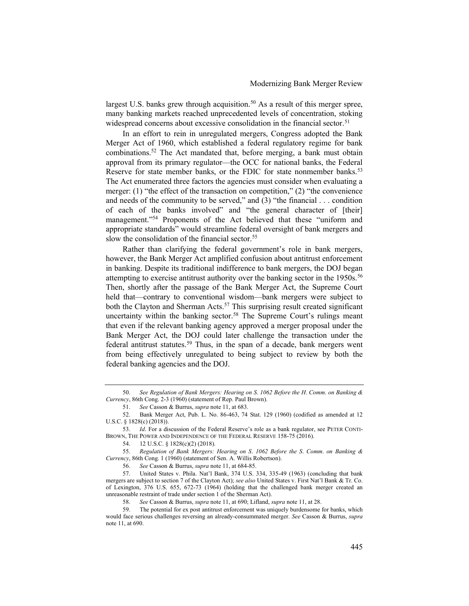largest U.S. banks grew through acquisition.<sup>50</sup> As a result of this merger spree, many banking markets reached unprecedented levels of concentration, stoking widespread concerns about excessive consolidation in the financial sector.<sup>51</sup>

In an effort to rein in unregulated mergers, Congress adopted the Bank Merger Act of 1960, which established a federal regulatory regime for bank combinations.<sup>52</sup> The Act mandated that, before merging, a bank must obtain approval from its primary regulator—the OCC for national banks, the Federal Reserve for state member banks, or the FDIC for state nonmember banks.<sup>53</sup> The Act enumerated three factors the agencies must consider when evaluating a merger: (1) "the effect of the transaction on competition," (2) "the convenience and needs of the community to be served," and (3) "the financial . . . condition of each of the banks involved" and "the general character of [their] management."<sup>54</sup> Proponents of the Act believed that these "uniform and appropriate standards" would streamline federal oversight of bank mergers and slow the consolidation of the financial sector.<sup>55</sup>

Rather than clarifying the federal government's role in bank mergers, however, the Bank Merger Act amplified confusion about antitrust enforcement in banking. Despite its traditional indifference to bank mergers, the DOJ began attempting to exercise antitrust authority over the banking sector in the 1950s.<sup>56</sup> Then, shortly after the passage of the Bank Merger Act, the Supreme Court held that—contrary to conventional wisdom—bank mergers were subject to both the Clayton and Sherman Acts.<sup>57</sup> This surprising result created significant uncertainty within the banking sector.<sup>58</sup> The Supreme Court's rulings meant that even if the relevant banking agency approved a merger proposal under the Bank Merger Act, the DOJ could later challenge the transaction under the federal antitrust statutes.<sup>59</sup> Thus, in the span of a decade, bank mergers went from being effectively unregulated to being subject to review by both the federal banking agencies and the DOJ.

<sup>50.</sup> See Regulation of Bank Mergers: Hearing on S. 1062 Before the H. Comm. on Banking & Currency, 86th Cong. 2-3 (1960) (statement of Rep. Paul Brown).

<sup>51.</sup> See Casson & Burrus, supra note 11, at 683.

<sup>52.</sup> Bank Merger Act, Pub. L. No. 86-463, 74 Stat. 129 (1960) (codified as amended at 12 U.S.C. § 1828(c) (2018)).

<sup>53.</sup> Id. For a discussion of the Federal Reserve's role as a bank regulator, see PETER CONTI-BROWN, THE POWER AND INDEPENDENCE OF THE FEDERAL RESERVE 158-75 (2016).

<sup>54. 12</sup> U.S.C. § 1828(c)(2) (2018).

<sup>55.</sup> Regulation of Bank Mergers: Hearing on S. 1062 Before the S. Comm. on Banking & Currency, 86th Cong. 1 (1960) (statement of Sen. A. Willis Robertson).

<sup>56.</sup> See Casson & Burrus, supra note 11, at 684-85.

<sup>57.</sup> United States v. Phila. Nat'l Bank, 374 U.S. 334, 335-49 (1963) (concluding that bank mergers are subject to section 7 of the Clayton Act); see also United States v. First Nat'l Bank & Tr. Co. of Lexington, 376 U.S. 655, 672-73 (1964) (holding that the challenged bank merger created an unreasonable restraint of trade under section 1 of the Sherman Act).

<sup>58.</sup> See Casson & Burrus, supra note 11, at 690; Lifland, supra note 11, at 28.

<sup>59.</sup> The potential for ex post antitrust enforcement was uniquely burdensome for banks, which would face serious challenges reversing an already-consummated merger. See Casson & Burrus, supra note 11, at 690.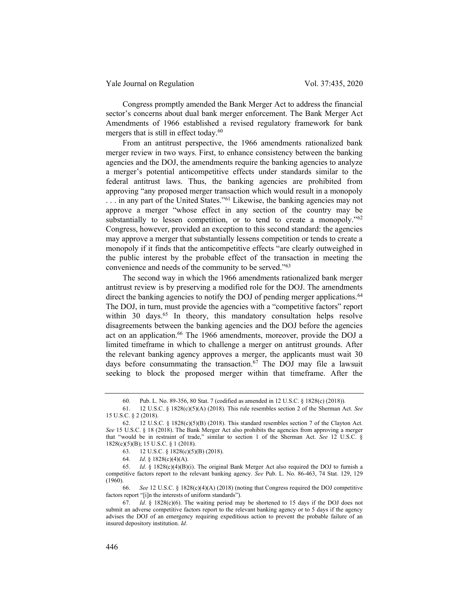Congress promptly amended the Bank Merger Act to address the financial sector's concerns about dual bank merger enforcement. The Bank Merger Act Amendments of 1966 established a revised regulatory framework for bank mergers that is still in effect today.<sup>60</sup>

From an antitrust perspective, the 1966 amendments rationalized bank merger review in two ways. First, to enhance consistency between the banking agencies and the DOJ, the amendments require the banking agencies to analyze a merger's potential anticompetitive effects under standards similar to the federal antitrust laws. Thus, the banking agencies are prohibited from approving "any proposed merger transaction which would result in a monopoly ... in any part of the United States."<sup>61</sup> Likewise, the banking agencies may not approve a merger "whose effect in any section of the country may be substantially to lessen competition, or to tend to create a monopoly."<sup>62</sup> Congress, however, provided an exception to this second standard: the agencies may approve a merger that substantially lessens competition or tends to create a monopoly if it finds that the anticompetitive effects "are clearly outweighed in the public interest by the probable effect of the transaction in meeting the convenience and needs of the community to be served."<sup>63</sup>

The second way in which the 1966 amendments rationalized bank merger antitrust review is by preserving a modified role for the DOJ. The amendments direct the banking agencies to notify the DOJ of pending merger applications.<sup>64</sup> The DOJ, in turn, must provide the agencies with a "competitive factors" report within 30 days.<sup>65</sup> In theory, this mandatory consultation helps resolve disagreements between the banking agencies and the DOJ before the agencies act on an application.<sup>66</sup> The 1966 amendments, moreover, provide the DOJ a limited timeframe in which to challenge a merger on antitrust grounds. After the relevant banking agency approves a merger, the applicants must wait 30 days before consummating the transaction.<sup>67</sup> The DOJ may file a lawsuit seeking to block the proposed merger within that timeframe. After the

<sup>60.</sup> Pub. L. No. 89-356, 80 Stat. 7 (codified as amended in 12 U.S.C. § 1828(c) (2018)).

<sup>61. 12</sup> U.S.C. § 1828(c)(5)(A) (2018). This rule resembles section 2 of the Sherman Act. See 15 U.S.C. § 2 (2018).

<sup>62. 12</sup> U.S.C. § 1828(c)(5)(B) (2018). This standard resembles section 7 of the Clayton Act. See 15 U.S.C. § 18 (2018). The Bank Merger Act also prohibits the agencies from approving a merger that "would be in restraint of trade," similar to section 1 of the Sherman Act. See 12 U.S.C. § 1828(c)(5)(B); 15 U.S.C. § 1 (2018).

<sup>63. 12</sup> U.S.C. § 1828(c)(5)(B) (2018).

<sup>64.</sup> Id. § 1828(c)(4)(A).

<sup>65.</sup> Id. §  $1828(c)(4)(B)(i)$ . The original Bank Merger Act also required the DOJ to furnish a competitive factors report to the relevant banking agency. See Pub. L. No. 86-463, 74 Stat. 129, 129 (1960).

<sup>66.</sup> See 12 U.S.C. § 1828(c)(4)(A) (2018) (noting that Congress required the DOJ competitive factors report "[i]n the interests of uniform standards").

<sup>67.</sup> Id. §  $1828(c)(6)$ . The waiting period may be shortened to 15 days if the DOJ does not submit an adverse competitive factors report to the relevant banking agency or to 5 days if the agency advises the DOJ of an emergency requiring expeditious action to prevent the probable failure of an insured depository institution. Id.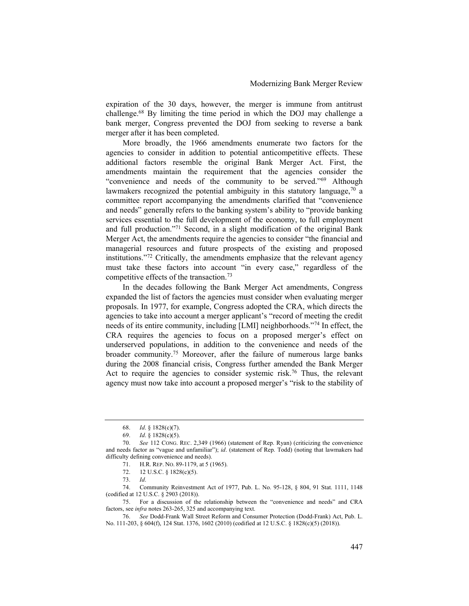expiration of the 30 days, however, the merger is immune from antitrust challenge.<sup>68</sup> By limiting the time period in which the DOJ may challenge a bank merger, Congress prevented the DOJ from seeking to reverse a bank merger after it has been completed.

More broadly, the 1966 amendments enumerate two factors for the agencies to consider in addition to potential anticompetitive effects. These additional factors resemble the original Bank Merger Act. First, the amendments maintain the requirement that the agencies consider the "convenience and needs of the community to be served."<sup>69</sup> Although lawmakers recognized the potential ambiguity in this statutory language,  $70$  a committee report accompanying the amendments clarified that "convenience and needs" generally refers to the banking system's ability to "provide banking services essential to the full development of the economy, to full employment and full production."<sup>71</sup> Second, in a slight modification of the original Bank Merger Act, the amendments require the agencies to consider "the financial and managerial resources and future prospects of the existing and proposed institutions."<sup>72</sup> Critically, the amendments emphasize that the relevant agency must take these factors into account "in every case," regardless of the competitive effects of the transaction.<sup>73</sup>

In the decades following the Bank Merger Act amendments, Congress expanded the list of factors the agencies must consider when evaluating merger proposals. In 1977, for example, Congress adopted the CRA, which directs the agencies to take into account a merger applicant's "record of meeting the credit needs of its entire community, including [LMI] neighborhoods."<sup>74</sup> In effect, the CRA requires the agencies to focus on a proposed merger's effect on underserved populations, in addition to the convenience and needs of the broader community.<sup>75</sup> Moreover, after the failure of numerous large banks during the 2008 financial crisis, Congress further amended the Bank Merger Act to require the agencies to consider systemic risk.<sup>76</sup> Thus, the relevant agency must now take into account a proposed merger's "risk to the stability of

<sup>68.</sup> Id. § 1828(c)(7).

<sup>69.</sup> Id. § 1828(c)(5).

<sup>70.</sup> See 112 CONG. REC. 2,349 (1966) (statement of Rep. Ryan) (criticizing the convenience and needs factor as "vague and unfamiliar"); id. (statement of Rep. Todd) (noting that lawmakers had difficulty defining convenience and needs).

<sup>71.</sup> H.R. REP. NO. 89-1179, at 5 (1965).

<sup>72. 12</sup> U.S.C. § 1828(c)(5).

<sup>73.</sup> Id.

<sup>74.</sup> Community Reinvestment Act of 1977, Pub. L. No. 95-128, § 804, 91 Stat. 1111, 1148 (codified at 12 U.S.C. § 2903 (2018)).

<sup>75.</sup> For a discussion of the relationship between the "convenience and needs" and CRA factors, see infra notes 263-265, 325 and accompanying text.

<sup>76.</sup> See Dodd-Frank Wall Street Reform and Consumer Protection (Dodd-Frank) Act, Pub. L. No. 111-203, § 604(f), 124 Stat. 1376, 1602 (2010) (codified at 12 U.S.C. § 1828(c)(5) (2018)).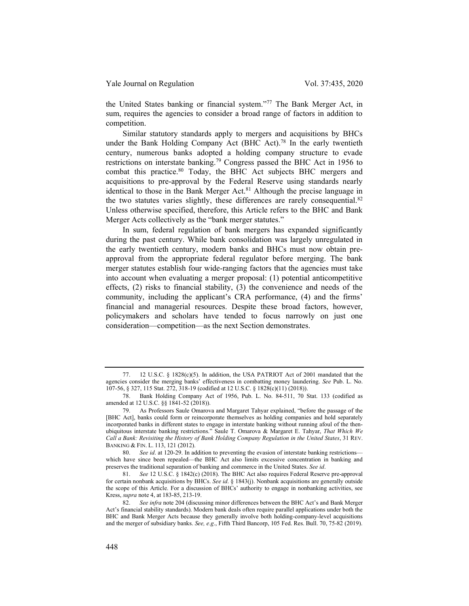the United States banking or financial system."<sup>77</sup> The Bank Merger Act, in sum, requires the agencies to consider a broad range of factors in addition to competition.

Similar statutory standards apply to mergers and acquisitions by BHCs under the Bank Holding Company Act (BHC Act).<sup>78</sup> In the early twentieth century, numerous banks adopted a holding company structure to evade restrictions on interstate banking.<sup>79</sup> Congress passed the BHC Act in 1956 to combat this practice.<sup>80</sup> Today, the BHC Act subjects BHC mergers and acquisitions to pre-approval by the Federal Reserve using standards nearly identical to those in the Bank Merger Act.<sup>81</sup> Although the precise language in the two statutes varies slightly, these differences are rarely consequential.<sup>82</sup> Unless otherwise specified, therefore, this Article refers to the BHC and Bank Merger Acts collectively as the "bank merger statutes."

In sum, federal regulation of bank mergers has expanded significantly during the past century. While bank consolidation was largely unregulated in the early twentieth century, modern banks and BHCs must now obtain preapproval from the appropriate federal regulator before merging. The bank merger statutes establish four wide-ranging factors that the agencies must take into account when evaluating a merger proposal: (1) potential anticompetitive effects, (2) risks to financial stability, (3) the convenience and needs of the community, including the applicant's CRA performance, (4) and the firms' financial and managerial resources. Despite these broad factors, however, policymakers and scholars have tended to focus narrowly on just one consideration—competition—as the next Section demonstrates.

<sup>77. 12</sup> U.S.C. § 1828(c)(5). In addition, the USA PATRIOT Act of 2001 mandated that the agencies consider the merging banks' effectiveness in combatting money laundering. See Pub. L. No. 107-56, § 327, 115 Stat. 272, 318-19 (codified at 12 U.S.C. § 1828(c)(11) (2018)).

<sup>78.</sup> Bank Holding Company Act of 1956, Pub. L. No. 84-511, 70 Stat. 133 (codified as amended at 12 U.S.C. §§ 1841-52 (2018)).

<sup>79.</sup> As Professors Saule Omarova and Margaret Tahyar explained, "before the passage of the [BHC Act], banks could form or reincorporate themselves as holding companies and hold separately incorporated banks in different states to engage in interstate banking without running afoul of the thenubiquitous interstate banking restrictions." Saule T. Omarova & Margaret E. Tahyar, That Which We Call a Bank: Revisiting the History of Bank Holding Company Regulation in the United States, 31 REV. BANKING & FIN. L. 113, 121 (2012).

<sup>80.</sup> See id. at 120-29. In addition to preventing the evasion of interstate banking restrictions which have since been repealed—the BHC Act also limits excessive concentration in banking and preserves the traditional separation of banking and commerce in the United States. See id.

<sup>81.</sup> See 12 U.S.C. § 1842(c) (2018). The BHC Act also requires Federal Reserve pre-approval for certain nonbank acquisitions by BHCs. See id.  $\S$  1843(j). Nonbank acquisitions are generally outside the scope of this Article. For a discussion of BHCs' authority to engage in nonbanking activities, see Kress, supra note 4, at 183-85, 213-19.

<sup>82.</sup> See infra note 204 (discussing minor differences between the BHC Act's and Bank Merger Act's financial stability standards). Modern bank deals often require parallel applications under both the BHC and Bank Merger Acts because they generally involve both holding-company-level acquisitions and the merger of subsidiary banks. See, e.g., Fifth Third Bancorp, 105 Fed. Res. Bull. 70, 75-82 (2019).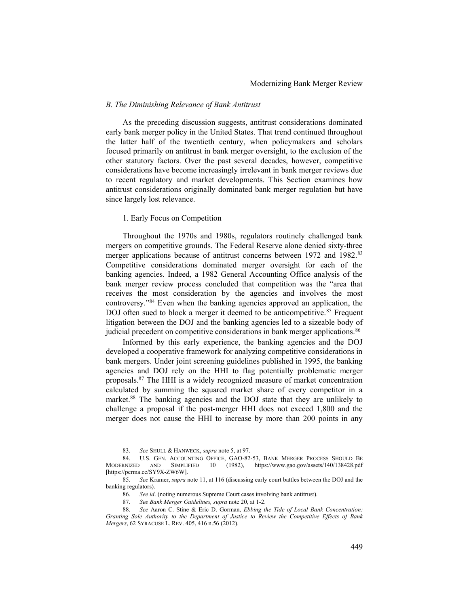#### B. The Diminishing Relevance of Bank Antitrust

As the preceding discussion suggests, antitrust considerations dominated early bank merger policy in the United States. That trend continued throughout the latter half of the twentieth century, when policymakers and scholars focused primarily on antitrust in bank merger oversight, to the exclusion of the other statutory factors. Over the past several decades, however, competitive considerations have become increasingly irrelevant in bank merger reviews due to recent regulatory and market developments. This Section examines how antitrust considerations originally dominated bank merger regulation but have since largely lost relevance.

### 1. Early Focus on Competition

Throughout the 1970s and 1980s, regulators routinely challenged bank mergers on competitive grounds. The Federal Reserve alone denied sixty-three merger applications because of antitrust concerns between 1972 and 1982.<sup>83</sup> Competitive considerations dominated merger oversight for each of the banking agencies. Indeed, a 1982 General Accounting Office analysis of the bank merger review process concluded that competition was the "area that receives the most consideration by the agencies and involves the most controversy."<sup>84</sup> Even when the banking agencies approved an application, the DOJ often sued to block a merger it deemed to be anticompetitive.<sup>85</sup> Frequent litigation between the DOJ and the banking agencies led to a sizeable body of judicial precedent on competitive considerations in bank merger applications.<sup>86</sup>

Informed by this early experience, the banking agencies and the DOJ developed a cooperative framework for analyzing competitive considerations in bank mergers. Under joint screening guidelines published in 1995, the banking agencies and DOJ rely on the HHI to flag potentially problematic merger proposals.<sup>87</sup> The HHI is a widely recognized measure of market concentration calculated by summing the squared market share of every competitor in a market.<sup>88</sup> The banking agencies and the DOJ state that they are unlikely to challenge a proposal if the post-merger HHI does not exceed 1,800 and the merger does not cause the HHI to increase by more than 200 points in any

<sup>83.</sup> See SHULL & HANWECK, supra note 5, at 97.

<sup>84.</sup> U.S. GEN. ACCOUNTING OFFICE, GAO-82-53, BANK MERGER PROCESS SHOULD BE<br>MODERNIZED AND SIMPLIFIED 10 (1982). https://www.gao.gov/assets/140/138428.pdf SIMPLIFIED 10 (1982), https://www.gao.gov/assets/140/138428.pdf [https://perma.cc/SY9X-ZW6W].

<sup>85.</sup> See Kramer, supra note 11, at 116 (discussing early court battles between the DOJ and the banking regulators).

<sup>86.</sup> See id. (noting numerous Supreme Court cases involving bank antitrust).

<sup>87.</sup> See Bank Merger Guidelines, supra note 20, at 1-2.

<sup>88.</sup> See Aaron C. Stine & Eric D. Gorman, Ebbing the Tide of Local Bank Concentration: Granting Sole Authority to the Department of Justice to Review the Competitive Effects of Bank Mergers, 62 SYRACUSE L. REV. 405, 416 n.56 (2012).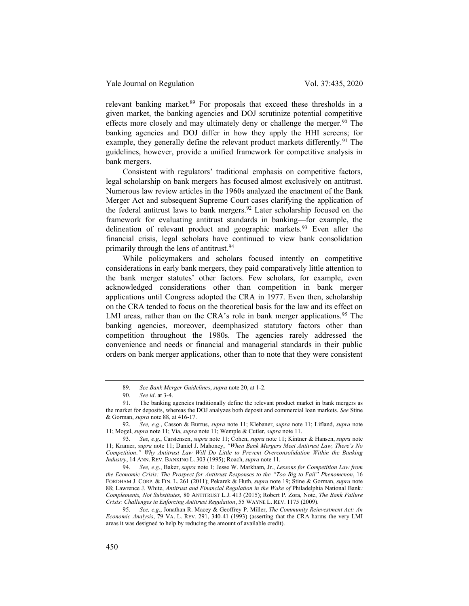relevant banking market.<sup>89</sup> For proposals that exceed these thresholds in a given market, the banking agencies and DOJ scrutinize potential competitive effects more closely and may ultimately deny or challenge the merger.<sup>90</sup> The banking agencies and DOJ differ in how they apply the HHI screens; for example, they generally define the relevant product markets differently.<sup>91</sup> The guidelines, however, provide a unified framework for competitive analysis in bank mergers.

Consistent with regulators' traditional emphasis on competitive factors, legal scholarship on bank mergers has focused almost exclusively on antitrust. Numerous law review articles in the 1960s analyzed the enactment of the Bank Merger Act and subsequent Supreme Court cases clarifying the application of the federal antitrust laws to bank mergers.<sup>92</sup> Later scholarship focused on the framework for evaluating antitrust standards in banking—for example, the delineation of relevant product and geographic markets.<sup>93</sup> Even after the financial crisis, legal scholars have continued to view bank consolidation primarily through the lens of antitrust.<sup>94</sup>

While policymakers and scholars focused intently on competitive considerations in early bank mergers, they paid comparatively little attention to the bank merger statutes' other factors. Few scholars, for example, even acknowledged considerations other than competition in bank merger applications until Congress adopted the CRA in 1977. Even then, scholarship on the CRA tended to focus on the theoretical basis for the law and its effect on LMI areas, rather than on the CRA's role in bank merger applications.<sup>95</sup> The banking agencies, moreover, deemphasized statutory factors other than competition throughout the 1980s. The agencies rarely addressed the convenience and needs or financial and managerial standards in their public orders on bank merger applications, other than to note that they were consistent

<sup>89.</sup> See Bank Merger Guidelines, supra note 20, at 1-2.

<sup>90.</sup> See id. at 3-4.

<sup>91.</sup> The banking agencies traditionally define the relevant product market in bank mergers as the market for deposits, whereas the DOJ analyzes both deposit and commercial loan markets. See Stine & Gorman, supra note 88, at 416-17.

<sup>92.</sup> See, e.g., Casson & Burrus, *supra* note 11; Klebaner, *supra* note 11; Lifland, *supra* note 11; Mogel, *supra* note 11; Via, *supra* note 11; Wemple & Cutler, *supra* note 11.

<sup>93.</sup> See, e.g., Carstensen, supra note 11; Cohen, supra note 11; Kintner & Hansen, supra note 11; Kramer, supra note 11; Daniel J. Mahoney, "When Bank Mergers Meet Antitrust Law, There's No Competition." Why Antitrust Law Will Do Little to Prevent Overconsolidation Within the Banking Industry, 14 ANN. REV. BANKING L. 303 (1995); Roach, supra note 11.

<sup>94.</sup> See, e.g., Baker, supra note 1; Jesse W. Markham, Jr., Lessons for Competition Law from the Economic Crisis: The Prospect for Antitrust Responses to the "Too Big to Fail" Phenomenon, 16 FORDHAM J. CORP. & FIN. L. 261 (2011); Pekarek & Huth, supra note 19; Stine & Gorman, supra note 88; Lawrence J. White, Antitrust and Financial Regulation in the Wake of Philadelphia National Bank: Complements, Not Substitutes, 80 ANTITRUST L.J. 413 (2015); Robert P. Zora, Note, The Bank Failure Crisis: Challenges in Enforcing Antitrust Regulation, 55 WAYNE L. REV. 1175 (2009).

<sup>95.</sup> See, e.g., Jonathan R. Macey & Geoffrey P. Miller, The Community Reinvestment Act: An Economic Analysis, 79 VA. L. REV. 291, 340-41 (1993) (asserting that the CRA harms the very LMI areas it was designed to help by reducing the amount of available credit).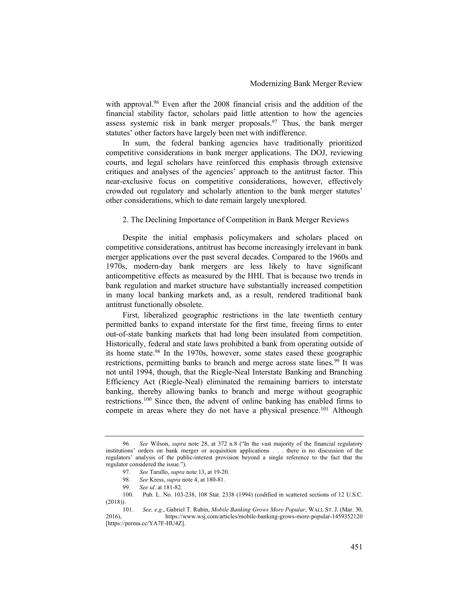with approval.<sup>96</sup> Even after the 2008 financial crisis and the addition of the financial stability factor, scholars paid little attention to how the agencies assess systemic risk in bank merger proposals.<sup>97</sup> Thus, the bank merger statutes' other factors have largely been met with indifference.

In sum, the federal banking agencies have traditionally prioritized competitive considerations in bank merger applications. The DOJ, reviewing courts, and legal scholars have reinforced this emphasis through extensive critiques and analyses of the agencies' approach to the antitrust factor. This near-exclusive focus on competitive considerations, however, effectively crowded out regulatory and scholarly attention to the bank merger statutes' other considerations, which to date remain largely unexplored.

2. The Declining Importance of Competition in Bank Merger Reviews

Despite the initial emphasis policymakers and scholars placed on competitive considerations, antitrust has become increasingly irrelevant in bank merger applications over the past several decades. Compared to the 1960s and 1970s, modern-day bank mergers are less likely to have significant anticompetitive effects as measured by the HHI. That is because two trends in bank regulation and market structure have substantially increased competition in many local banking markets and, as a result, rendered traditional bank antitrust functionally obsolete.

First, liberalized geographic restrictions in the late twentieth century permitted banks to expand interstate for the first time, freeing firms to enter out-of-state banking markets that had long been insulated from competition. Historically, federal and state laws prohibited a bank from operating outside of its home state.<sup>98</sup> In the 1970s, however, some states eased these geographic restrictions, permitting banks to branch and merge across state lines.<sup>99</sup> It was not until 1994, though, that the Riegle-Neal Interstate Banking and Branching Efficiency Act (Riegle-Neal) eliminated the remaining barriers to interstate banking, thereby allowing banks to branch and merge without geographic restrictions.<sup>100</sup> Since then, the advent of online banking has enabled firms to compete in areas where they do not have a physical presence.<sup>101</sup> Although

<sup>96.</sup> See Wilson, *supra* note 28, at 372 n.8 ("In the vast majority of the financial regulatory institutions' orders on bank merger or acquisition applications . . . there is no discussion of the regulators' analysis of the public-interest provision beyond a single reference to the fact that the regulator considered the issue.").

<sup>97.</sup> See Tarullo, supra note 13, at 19-20.

<sup>98.</sup> See Kress, *supra* note 4, at 180-81.

<sup>99.</sup> See id. at 181-82.

<sup>100.</sup> Pub. L. No. 103-238, 108 Stat. 2338 (1994) (codified in scattered sections of 12 U.S.C. (2018)).

<sup>101.</sup> See, e.g., Gabriel T. Rubin, Mobile Banking Grows More Popular, WALL ST. J. (Mar. 30, 2016), https://www.wsj.com/articles/mobile-banking-grows-more-popular-1459352120 [https://perma.cc/YA7F-HU4Z].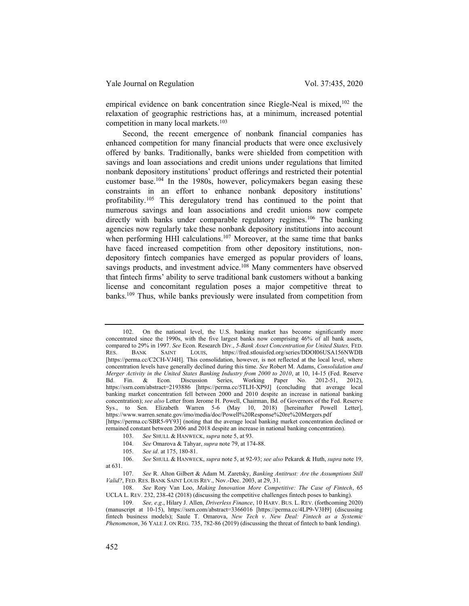empirical evidence on bank concentration since Riegle-Neal is mixed,<sup>102</sup> the relaxation of geographic restrictions has, at a minimum, increased potential competition in many local markets.<sup>103</sup>

Second, the recent emergence of nonbank financial companies has enhanced competition for many financial products that were once exclusively offered by banks. Traditionally, banks were shielded from competition with savings and loan associations and credit unions under regulations that limited nonbank depository institutions' product offerings and restricted their potential customer base.<sup>104</sup> In the 1980s, however, policymakers began easing these constraints in an effort to enhance nonbank depository institutions' profitability.<sup>105</sup> This deregulatory trend has continued to the point that numerous savings and loan associations and credit unions now compete directly with banks under comparable regulatory regimes.<sup>106</sup> The banking agencies now regularly take these nonbank depository institutions into account when performing HHI calculations.<sup>107</sup> Moreover, at the same time that banks have faced increased competition from other depository institutions, nondepository fintech companies have emerged as popular providers of loans, savings products, and investment advice.<sup>108</sup> Many commenters have observed that fintech firms' ability to serve traditional bank customers without a banking license and concomitant regulation poses a major competitive threat to banks.<sup>109</sup> Thus, while banks previously were insulated from competition from

<sup>102.</sup> On the national level, the U.S. banking market has become significantly more concentrated since the 1990s, with the five largest banks now comprising 46% of all bank assets, compared to 29% in 1997. See Econ. Research Div., 5-Bank Asset Concentration for United States, FED.<br>RES. BANK SAINT LOUIS, https://fred.stlouisfed.org/series/DDOI06USA156NWDB RES. BANK SAINT LOUIS, https://fred.stlouisfed.org/series/DDOI06USA156NWDB [https://perma.cc/C2CH-VJ4H]. This consolidation, however, is not reflected at the local level, where concentration levels have generally declined during this time. See Robert M. Adams, Consolidation and Merger Activity in the United States Banking Industry from 2000 to 2010, at 10, 14-15 (Fed. Reserve Bd. Fin. & Econ. Discussion Series, Working Paper No. 2012-51, 2012), https://ssrn.com/abstract=2193886 [https://perma.cc/5TLH-XP9J] (concluding that average local banking market concentration fell between 2000 and 2010 despite an increase in national banking concentration); see also Letter from Jerome H. Powell, Chairman, Bd. of Governors of the Fed. Reserve Sys., to Sen. Elizabeth Warren 5-6 (May 10, 2018) [hereinafter Powell Letter], https://www.warren.senate.gov/imo/media/doc/Powell%20Response%20re%20Mergers.pdf [https://perma.cc/SBR5-9Y93] (noting that the average local banking market concentration declined or remained constant between 2006 and 2018 despite an increase in national banking concentration).

<sup>103.</sup> See SHULL & HANWECK, supra note 5, at 93.

<sup>104.</sup> See Omarova & Tahyar, supra note 79, at 174-88.

<sup>105.</sup> See id. at 175, 180-81.

<sup>106.</sup> See SHULL & HANWECK, supra note 5, at 92-93; see also Pekarek & Huth, supra note 19, at 631.

<sup>107.</sup> See R. Alton Gilbert & Adam M. Zaretsky, Banking Antitrust: Are the Assumptions Still Valid?, FED. RES. BANK SAINT LOUIS REV., Nov.-Dec. 2003, at 29, 31.

<sup>108.</sup> See Rory Van Loo, Making Innovation More Competitive: The Case of Fintech, 65 UCLA L. REV. 232, 238-42 (2018) (discussing the competitive challenges fintech poses to banking).

<sup>109.</sup> See, e.g., Hilary J. Allen, Driverless Finance, 10 HARV. BUS. L. REV. (forthcoming 2020) (manuscript at 10-15), https://ssrn.com/abstract=3366016 [https://perma.cc/4LP9-V3H9] (discussing fintech business models); Saule T. Omarova, New Tech v. New Deal: Fintech as a Systemic Phenomenon, 36 YALE J. ON REG. 735, 782-86 (2019) (discussing the threat of fintech to bank lending).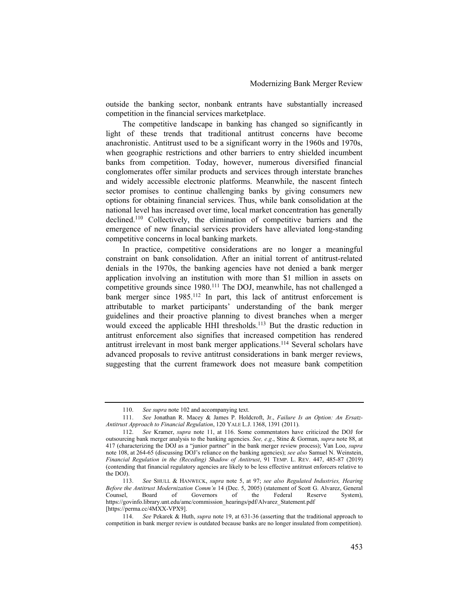outside the banking sector, nonbank entrants have substantially increased competition in the financial services marketplace.

The competitive landscape in banking has changed so significantly in light of these trends that traditional antitrust concerns have become anachronistic. Antitrust used to be a significant worry in the 1960s and 1970s, when geographic restrictions and other barriers to entry shielded incumbent banks from competition. Today, however, numerous diversified financial conglomerates offer similar products and services through interstate branches and widely accessible electronic platforms. Meanwhile, the nascent fintech sector promises to continue challenging banks by giving consumers new options for obtaining financial services. Thus, while bank consolidation at the national level has increased over time, local market concentration has generally declined.<sup>110</sup> Collectively, the elimination of competitive barriers and the emergence of new financial services providers have alleviated long-standing competitive concerns in local banking markets.

In practice, competitive considerations are no longer a meaningful constraint on bank consolidation. After an initial torrent of antitrust-related denials in the 1970s, the banking agencies have not denied a bank merger application involving an institution with more than \$1 million in assets on competitive grounds since 1980.<sup>111</sup> The DOJ, meanwhile, has not challenged a bank merger since 1985.<sup>112</sup> In part, this lack of antitrust enforcement is attributable to market participants' understanding of the bank merger guidelines and their proactive planning to divest branches when a merger would exceed the applicable HHI thresholds.<sup>113</sup> But the drastic reduction in antitrust enforcement also signifies that increased competition has rendered antitrust irrelevant in most bank merger applications.<sup>114</sup> Several scholars have advanced proposals to revive antitrust considerations in bank merger reviews, suggesting that the current framework does not measure bank competition

<sup>110.</sup> See supra note 102 and accompanying text.

<sup>111.</sup> See Jonathan R. Macey & James P. Holdcroft, Jr., Failure Is an Option: An Ersatz-Antitrust Approach to Financial Regulation, 120 YALE L.J. 1368, 1391 (2011).

<sup>112.</sup> See Kramer, supra note 11, at 116. Some commentators have criticized the DOJ for outsourcing bank merger analysis to the banking agencies. See, e.g., Stine & Gorman, supra note 88, at 417 (characterizing the DOJ as a "junior partner" in the bank merger review process); Van Loo, supra note 108, at 264-65 (discussing DOJ's reliance on the banking agencies); see also Samuel N. Weinstein, Financial Regulation in the (Receding) Shadow of Antitrust, 91 TEMP. L. REV. 447, 485-87 (2019) (contending that financial regulatory agencies are likely to be less effective antitrust enforcers relative to the DOJ).

<sup>113.</sup> See SHULL & HANWECK, supra note 5, at 97; see also Regulated Industries, Hearing Before the Antitrust Modernization Comm'n 14 (Dec. 5, 2005) (statement of Scott G. Alvarez, General Counsel, Board of Governors of the Federal Reserve System), https://govinfo.library.unt.edu/amc/commission\_hearings/pdf/Alvarez\_Statement.pdf [https://perma.cc/4MXX-VPX9].

<sup>114.</sup> See Pekarek & Huth, supra note 19, at 631-36 (asserting that the traditional approach to competition in bank merger review is outdated because banks are no longer insulated from competition).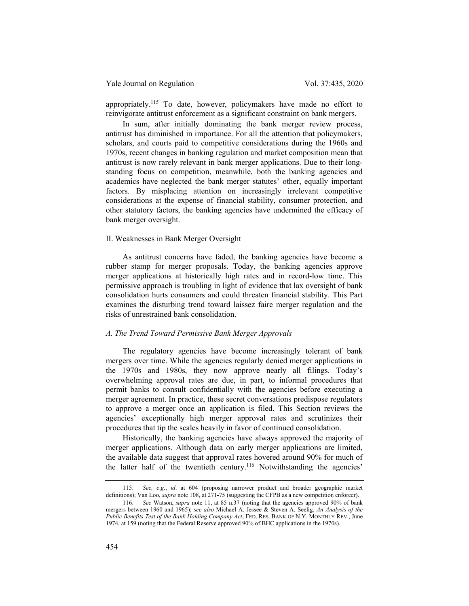appropriately.<sup>115</sup> To date, however, policymakers have made no effort to reinvigorate antitrust enforcement as a significant constraint on bank mergers.

In sum, after initially dominating the bank merger review process, antitrust has diminished in importance. For all the attention that policymakers, scholars, and courts paid to competitive considerations during the 1960s and 1970s, recent changes in banking regulation and market composition mean that antitrust is now rarely relevant in bank merger applications. Due to their longstanding focus on competition, meanwhile, both the banking agencies and academics have neglected the bank merger statutes' other, equally important factors. By misplacing attention on increasingly irrelevant competitive considerations at the expense of financial stability, consumer protection, and other statutory factors, the banking agencies have undermined the efficacy of bank merger oversight.

### II. Weaknesses in Bank Merger Oversight

As antitrust concerns have faded, the banking agencies have become a rubber stamp for merger proposals. Today, the banking agencies approve merger applications at historically high rates and in record-low time. This permissive approach is troubling in light of evidence that lax oversight of bank consolidation hurts consumers and could threaten financial stability. This Part examines the disturbing trend toward laissez faire merger regulation and the risks of unrestrained bank consolidation.

# A. The Trend Toward Permissive Bank Merger Approvals

The regulatory agencies have become increasingly tolerant of bank mergers over time. While the agencies regularly denied merger applications in the 1970s and 1980s, they now approve nearly all filings. Today's overwhelming approval rates are due, in part, to informal procedures that permit banks to consult confidentially with the agencies before executing a merger agreement. In practice, these secret conversations predispose regulators to approve a merger once an application is filed. This Section reviews the agencies' exceptionally high merger approval rates and scrutinizes their procedures that tip the scales heavily in favor of continued consolidation.

Historically, the banking agencies have always approved the majority of merger applications. Although data on early merger applications are limited, the available data suggest that approval rates hovered around 90% for much of the latter half of the twentieth century.<sup>116</sup> Notwithstanding the agencies'

<sup>115.</sup> See, e.g., id. at 604 (proposing narrower product and broader geographic market definitions); Van Loo, *supra* note 108, at 271-75 (suggesting the CFPB as a new competition enforcer).

<sup>116.</sup> See Watson, supra note 11, at 85 n.37 (noting that the agencies approved 90% of bank mergers between 1960 and 1965); see also Michael A. Jessee & Steven A. Seelig, An Analysis of the Public Benefits Test of the Bank Holding Company Act, FED. RES. BANK OF N.Y. MONTHLY REV., June 1974, at 159 (noting that the Federal Reserve approved 90% of BHC applications in the 1970s).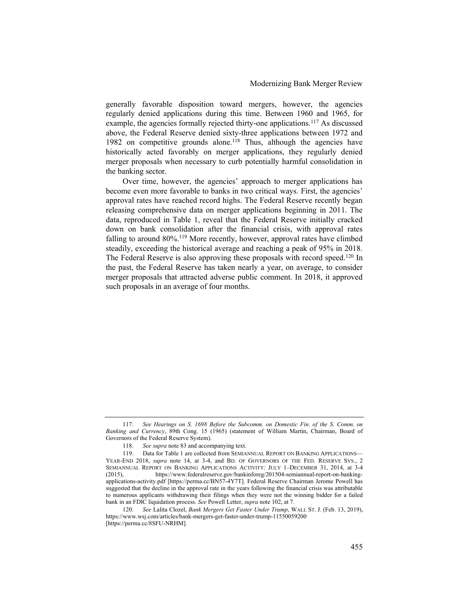generally favorable disposition toward mergers, however, the agencies regularly denied applications during this time. Between 1960 and 1965, for example, the agencies formally rejected thirty-one applications.<sup>117</sup> As discussed above, the Federal Reserve denied sixty-three applications between 1972 and 1982 on competitive grounds alone.<sup>118</sup> Thus, although the agencies have historically acted favorably on merger applications, they regularly denied merger proposals when necessary to curb potentially harmful consolidation in the banking sector.

Over time, however, the agencies' approach to merger applications has become even more favorable to banks in two critical ways. First, the agencies' approval rates have reached record highs. The Federal Reserve recently began releasing comprehensive data on merger applications beginning in 2011. The data, reproduced in Table 1, reveal that the Federal Reserve initially cracked down on bank consolidation after the financial crisis, with approval rates falling to around  $80\%$ .<sup>119</sup> More recently, however, approval rates have climbed steadily, exceeding the historical average and reaching a peak of 95% in 2018. The Federal Reserve is also approving these proposals with record speed.<sup>120</sup> In the past, the Federal Reserve has taken nearly a year, on average, to consider merger proposals that attracted adverse public comment. In 2018, it approved such proposals in an average of four months.

<sup>117.</sup> See Hearings on S. 1698 Before the Subcomm. on Domestic Fin. of the S. Comm. on Banking and Currency, 89th Cong. 15 (1965) (statement of William Martin, Chairman, Board of Governors of the Federal Reserve System).

<sup>118.</sup> See supra note 83 and accompanying text.

<sup>119.</sup> Data for Table 1 are collected from SEMIANNUAL REPORT ON BANKING APPLICATIONS— YEAR-END 2018, *supra* note 14, at 3-4, and BD. OF GOVERNORS OF THE FED. RESERVE SYS., 2 SEMIANNUAL REPORT ON BANKING APPLICATIONS ACTIVITY: JULY 1–DECEMBER 31, 2014, at 3-4 (2015), https://www.federalreserve.gov/bankinforeg/201504-semiannual-report-on-bankingapplications-activity.pdf [https://perma.cc/BN57-4Y7T]. Federal Reserve Chairman Jerome Powell has suggested that the decline in the approval rate in the years following the financial crisis was attributable to numerous applicants withdrawing their filings when they were not the winning bidder for a failed bank in an FDIC liquidation process. See Powell Letter, supra note 102, at 7.

<sup>120.</sup> See Lalita Clozel, Bank Mergers Get Faster Under Trump, WALL ST. J. (Feb. 13, 2019), https://www.wsj.com/articles/bank-mergers-get-faster-under-trump-11550059200 [https://perma.cc/8SFU-NRHM].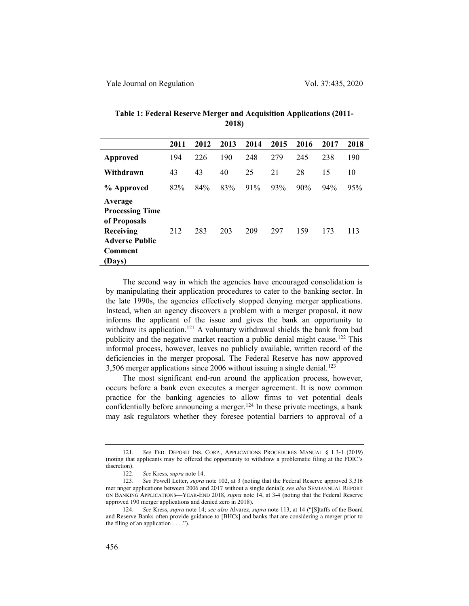|                                                                                                              | 2011 | 2012 | 2013 | 2014 | 2015 | 2016 | 2017 | 2018 |
|--------------------------------------------------------------------------------------------------------------|------|------|------|------|------|------|------|------|
| <b>Approved</b>                                                                                              | 194  | 226  | 190  | 248  | 279  | 245  | 238  | 190  |
| Withdrawn                                                                                                    | 43   | 43   | 40   | 25   | 21   | 28   | 15   | 10   |
| % Approved                                                                                                   | 82%  | 84%  | 83%  | 91%  | 93%  | 90%  | 94%  | 95%  |
| Average<br><b>Processing Time</b><br>of Proposals<br>Receiving<br><b>Adverse Public</b><br>Comment<br>(Days) | 212  | 283  | 203  | 209  | 297  | 159  | 173  | 113  |

# Table 1: Federal Reserve Merger and Acquisition Applications (2011- 2018)

The second way in which the agencies have encouraged consolidation is by manipulating their application procedures to cater to the banking sector. In the late 1990s, the agencies effectively stopped denying merger applications. Instead, when an agency discovers a problem with a merger proposal, it now informs the applicant of the issue and gives the bank an opportunity to withdraw its application.<sup>121</sup> A voluntary withdrawal shields the bank from bad publicity and the negative market reaction a public denial might cause.<sup>122</sup> This informal process, however, leaves no publicly available, written record of the deficiencies in the merger proposal. The Federal Reserve has now approved 3,506 merger applications since 2006 without issuing a single denial.<sup>123</sup>

The most significant end-run around the application process, however, occurs before a bank even executes a merger agreement. It is now common practice for the banking agencies to allow firms to vet potential deals confidentially before announcing a merger.<sup>124</sup> In these private meetings, a bank may ask regulators whether they foresee potential barriers to approval of a

<sup>121.</sup> See FED. DEPOSIT INS. CORP., APPLICATIONS PROCEDURES MANUAL § 1.3-1 (2019) (noting that applicants may be offered the opportunity to withdraw a problematic filing at the FDIC's discretion).

<sup>122.</sup> See Kress, supra note 14.

<sup>123.</sup> See Powell Letter, *supra* note 102, at 3 (noting that the Federal Reserve approved 3,316) mer nnger applications between 2006 and 2017 without a single denial); see also SEMIANNUAL REPORT ON BANKING APPLICATIONS—YEAR-END 2018, supra note 14, at 3-4 (noting that the Federal Reserve approved 190 merger applications and denied zero in 2018).

<sup>124.</sup> See Kress, *supra* note 14; see also Alvarez, *supra* note 113, at 14 ("[S]taffs of the Board and Reserve Banks often provide guidance to [BHCs] and banks that are considering a merger prior to the filing of an application  $\dots$ .").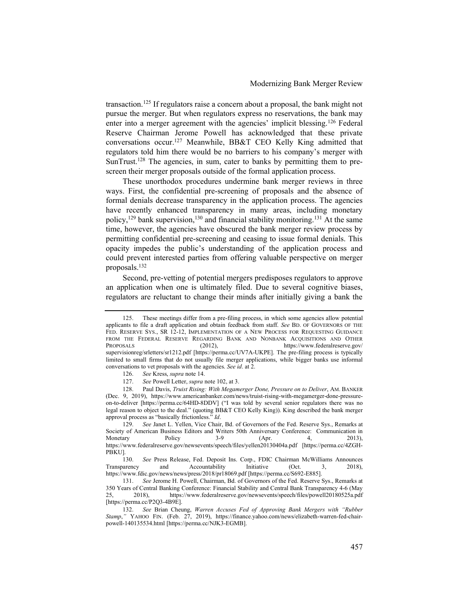transaction.<sup>125</sup> If regulators raise a concern about a proposal, the bank might not pursue the merger. But when regulators express no reservations, the bank may enter into a merger agreement with the agencies' implicit blessing.<sup>126</sup> Federal Reserve Chairman Jerome Powell has acknowledged that these private conversations occur.<sup>127</sup> Meanwhile, BB&T CEO Kelly King admitted that regulators told him there would be no barriers to his company's merger with SunTrust.<sup>128</sup> The agencies, in sum, cater to banks by permitting them to prescreen their merger proposals outside of the formal application process.

These unorthodox procedures undermine bank merger reviews in three ways. First, the confidential pre-screening of proposals and the absence of formal denials decrease transparency in the application process. The agencies have recently enhanced transparency in many areas, including monetary policy,<sup>129</sup> bank supervision,<sup>130</sup> and financial stability monitoring.<sup>131</sup> At the same time, however, the agencies have obscured the bank merger review process by permitting confidential pre-screening and ceasing to issue formal denials. This opacity impedes the public's understanding of the application process and could prevent interested parties from offering valuable perspective on merger proposals.<sup>132</sup>

Second, pre-vetting of potential mergers predisposes regulators to approve an application when one is ultimately filed. Due to several cognitive biases, regulators are reluctant to change their minds after initially giving a bank the

<sup>125.</sup> These meetings differ from a pre-filing process, in which some agencies allow potential applicants to file a draft application and obtain feedback from staff. See BD. OF GOVERNORS OF THE FED. RESERVE SYS., SR 12-12, IMPLEMENTATION OF A NEW PROCESS FOR REQUESTING GUIDANCE FROM THE FEDERAL RESERVE REGARDING BANK AND NONBANK ACQUISITIONS AND OTHER PROPOSALS (2012), https://www.federalreserve.gov/ https://www.federalreserve.gov/ supervisionreg/srletters/sr1212.pdf [https://perma.cc/UV7A-UKPE]. The pre-filing process is typically limited to small firms that do not usually file merger applications, while bigger banks use informal conversations to vet proposals with the agencies. See id. at 2.

<sup>126.</sup> See Kress, supra note 14.

<sup>127.</sup> See Powell Letter, supra note 102, at 3.

<sup>128.</sup> Paul Davis, Truist Rising: With Megamerger Done, Pressure on to Deliver, AM. BANKER (Dec. 9, 2019), https://www.americanbanker.com/news/truist-rising-with-megamerger-done-pressureon-to-deliver [https://perma.cc/64HD-8DDV] ("I was told by several senior regulators there was no legal reason to object to the deal." (quoting BB&T CEO Kelly King)). King described the bank merger approval process as "basically frictionless." Id.

<sup>129.</sup> See Janet L. Yellen, Vice Chair, Bd. of Governors of the Fed. Reserve Sys., Remarks at Society of American Business Editors and Writers 50th Anniversary Conference: Communication in<br>Monetary Policy 3-9 (Apr. 4, 2013), Monetary Policy 3-9 (Apr. 4, 2013), https://www.federalreserve.gov/newsevents/speech/files/yellen20130404a.pdf [https://perma.cc/4ZGH-PBKU].

<sup>130.</sup> See Press Release, Fed. Deposit Ins. Corp., FDIC Chairman McWilliams Announces Transparency and Accountability Initiative (Oct. 3, 2018), https://www.fdic.gov/news/news/press/2018/pr18069.pdf [https://perma.cc/S692-E885].

<sup>131.</sup> See Jerome H. Powell, Chairman, Bd. of Governors of the Fed. Reserve Sys., Remarks at 350 Years of Central Banking Conference: Financial Stability and Central Bank Transparency 4-6 (May 25, 2018), https://www.federalreserve.gov/newsevents/speech/files/powell20180525a.pdf [https://perma.cc/P2Q3-4B9E].

<sup>132.</sup> See Brian Cheung, Warren Accuses Fed of Approving Bank Mergers with "Rubber Stamp," YAHOO FIN. (Feb. 27, 2019), https://finance.yahoo.com/news/elizabeth-warren-fed-chairpowell-140135534.html [https://perma.cc/NJK3-EGMB].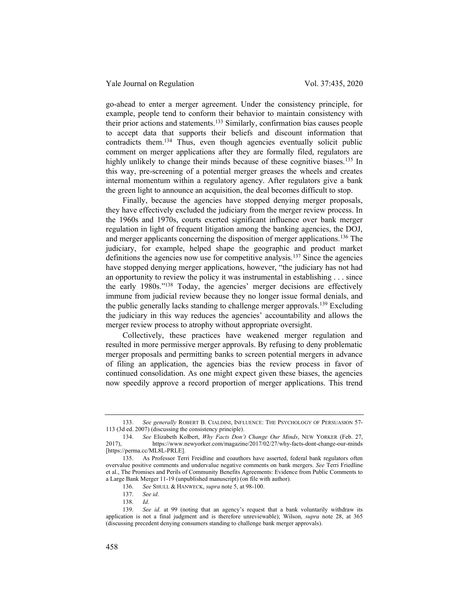go-ahead to enter a merger agreement. Under the consistency principle, for example, people tend to conform their behavior to maintain consistency with their prior actions and statements.<sup>133</sup> Similarly, confirmation bias causes people to accept data that supports their beliefs and discount information that contradicts them.<sup>134</sup> Thus, even though agencies eventually solicit public comment on merger applications after they are formally filed, regulators are highly unlikely to change their minds because of these cognitive biases.<sup>135</sup> In this way, pre-screening of a potential merger greases the wheels and creates internal momentum within a regulatory agency. After regulators give a bank the green light to announce an acquisition, the deal becomes difficult to stop.

Finally, because the agencies have stopped denying merger proposals, they have effectively excluded the judiciary from the merger review process. In the 1960s and 1970s, courts exerted significant influence over bank merger regulation in light of frequent litigation among the banking agencies, the DOJ, and merger applicants concerning the disposition of merger applications.<sup>136</sup> The judiciary, for example, helped shape the geographic and product market definitions the agencies now use for competitive analysis.<sup>137</sup> Since the agencies have stopped denying merger applications, however, "the judiciary has not had an opportunity to review the policy it was instrumental in establishing . . . since the early 1980s."<sup>138</sup> Today, the agencies' merger decisions are effectively immune from judicial review because they no longer issue formal denials, and the public generally lacks standing to challenge merger approvals.<sup>139</sup> Excluding the judiciary in this way reduces the agencies' accountability and allows the merger review process to atrophy without appropriate oversight.

Collectively, these practices have weakened merger regulation and resulted in more permissive merger approvals. By refusing to deny problematic merger proposals and permitting banks to screen potential mergers in advance of filing an application, the agencies bias the review process in favor of continued consolidation. As one might expect given these biases, the agencies now speedily approve a record proportion of merger applications. This trend

<sup>133.</sup> See generally ROBERT B. CIALDINI, INFLUENCE: THE PSYCHOLOGY OF PERSUASION 57-113 (3d ed. 2007) (discussing the consistency principle).

<sup>134.</sup> See Elizabeth Kolbert, Why Facts Don't Change Our Minds, NEW YORKER (Feb. 27, 2017), https://www.newyorker.com/magazine/2017/02/27/why-facts-dont-change-our-minds [https://perma.cc/ML8L-PRLE].

<sup>135.</sup> As Professor Terri Freidline and coauthors have asserted, federal bank regulators often overvalue positive comments and undervalue negative comments on bank mergers. See Terri Friedline et al., The Promises and Perils of Community Benefits Agreements: Evidence from Public Comments to a Large Bank Merger 11-19 (unpublished manuscript) (on file with author).

<sup>136.</sup> See SHULL & HANWECK, supra note 5, at 98-100.

<sup>137.</sup> See id.

<sup>138.</sup> Id.

<sup>139.</sup> See id. at 99 (noting that an agency's request that a bank voluntarily withdraw its application is not a final judgment and is therefore unreviewable); Wilson, supra note 28, at 365 (discussing precedent denying consumers standing to challenge bank merger approvals).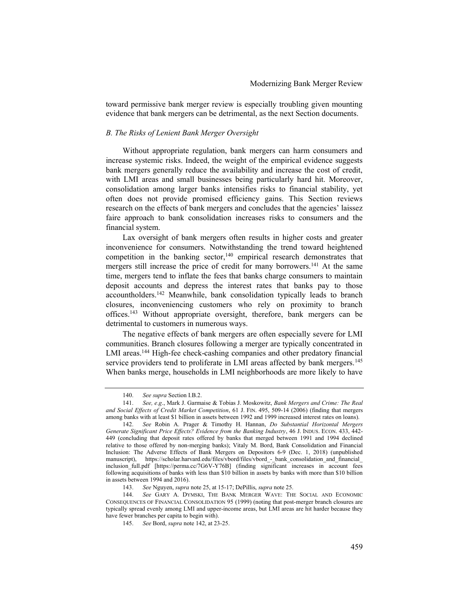toward permissive bank merger review is especially troubling given mounting evidence that bank mergers can be detrimental, as the next Section documents.

#### B. The Risks of Lenient Bank Merger Oversight

Without appropriate regulation, bank mergers can harm consumers and increase systemic risks. Indeed, the weight of the empirical evidence suggests bank mergers generally reduce the availability and increase the cost of credit, with LMI areas and small businesses being particularly hard hit. Moreover, consolidation among larger banks intensifies risks to financial stability, yet often does not provide promised efficiency gains. This Section reviews research on the effects of bank mergers and concludes that the agencies' laissez faire approach to bank consolidation increases risks to consumers and the financial system.

Lax oversight of bank mergers often results in higher costs and greater inconvenience for consumers. Notwithstanding the trend toward heightened competition in the banking sector,<sup>140</sup> empirical research demonstrates that mergers still increase the price of credit for many borrowers.<sup>141</sup> At the same time, mergers tend to inflate the fees that banks charge consumers to maintain deposit accounts and depress the interest rates that banks pay to those accountholders.<sup>142</sup> Meanwhile, bank consolidation typically leads to branch closures, inconveniencing customers who rely on proximity to branch offices.<sup>143</sup> Without appropriate oversight, therefore, bank mergers can be detrimental to customers in numerous ways.

The negative effects of bank mergers are often especially severe for LMI communities. Branch closures following a merger are typically concentrated in LMI areas.<sup>144</sup> High-fee check-cashing companies and other predatory financial service providers tend to proliferate in LMI areas affected by bank mergers.<sup>145</sup> When banks merge, households in LMI neighborhoods are more likely to have

<sup>140.</sup> See supra Section I.B.2.

<sup>141.</sup> See, e.g., Mark J. Garmaise & Tobias J. Moskowitz, Bank Mergers and Crime: The Real and Social Effects of Credit Market Competition, 61 J. FIN. 495, 509-14 (2006) (finding that mergers among banks with at least \$1 billion in assets between 1992 and 1999 increased interest rates on loans).

<sup>142.</sup> See Robin A. Prager & Timothy H. Hannan, Do Substantial Horizontal Mergers Generate Significant Price Effects? Evidence from the Banking Industry, 46 J. INDUS. ECON. 433, 442- 449 (concluding that deposit rates offered by banks that merged between 1991 and 1994 declined relative to those offered by non-merging banks); Vitaly M. Bord, Bank Consolidation and Financial Inclusion: The Adverse Effects of Bank Mergers on Depositors 6-9 (Dec. 1, 2018) (unpublished manuscript), https://scholar.harvard.edu/files/vbord/files/vbord - bank\_consolidation\_and\_financial\_ inclusion\_full.pdf [https://perma.cc/7G6V-Y76B] (finding significant increases in account fees following acquisitions of banks with less than \$10 billion in assets by banks with more than \$10 billion in assets between 1994 and 2016).

<sup>143.</sup> See Nguyen, supra note 25, at 15-17; DePillis, supra note 25.

<sup>144.</sup> See GARY A. DYMSKI, THE BANK MERGER WAVE: THE SOCIAL AND ECONOMIC CONSEQUENCES OF FINANCIAL CONSOLIDATION 95 (1999) (noting that post-merger branch closures are typically spread evenly among LMI and upper-income areas, but LMI areas are hit harder because they have fewer branches per capita to begin with).

<sup>145.</sup> See Bord, supra note 142, at 23-25.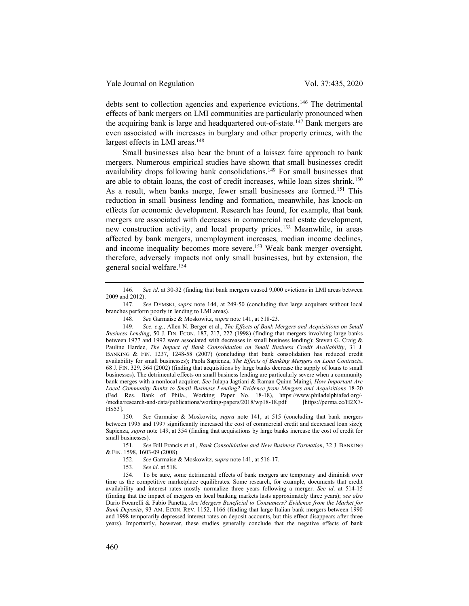debts sent to collection agencies and experience evictions.<sup>146</sup> The detrimental effects of bank mergers on LMI communities are particularly pronounced when the acquiring bank is large and headquartered out-of-state.<sup>147</sup> Bank mergers are even associated with increases in burglary and other property crimes, with the largest effects in LMI areas.<sup>148</sup>

Small businesses also bear the brunt of a laissez faire approach to bank mergers. Numerous empirical studies have shown that small businesses credit availability drops following bank consolidations.<sup>149</sup> For small businesses that are able to obtain loans, the cost of credit increases, while loan sizes shrink.<sup>150</sup> As a result, when banks merge, fewer small businesses are formed.<sup>151</sup> This reduction in small business lending and formation, meanwhile, has knock-on effects for economic development. Research has found, for example, that bank mergers are associated with decreases in commercial real estate development, new construction activity, and local property prices.<sup>152</sup> Meanwhile, in areas affected by bank mergers, unemployment increases, median income declines, and income inequality becomes more severe.<sup>153</sup> Weak bank merger oversight, therefore, adversely impacts not only small businesses, but by extension, the general social welfare.<sup>154</sup>

151. See Bill Francis et al., Bank Consolidation and New Business Formation, 32 J. BANKING & FIN. 1598, 1603-09 (2008).

<sup>146.</sup> See id. at 30-32 (finding that bank mergers caused 9,000 evictions in LMI areas between 2009 and 2012).

<sup>147.</sup> See DYMSKI, supra note 144, at 249-50 (concluding that large acquirers without local branches perform poorly in lending to LMI areas).

<sup>148.</sup> See Garmaise & Moskowitz, supra note 141, at 518-23.

<sup>149.</sup> See, e.g., Allen N. Berger et al., The Effects of Bank Mergers and Acquisitions on Small Business Lending, 50 J. FIN. ECON. 187, 217, 222 (1998) (finding that mergers involving large banks between 1977 and 1992 were associated with decreases in small business lending); Steven G. Craig & Pauline Hardee, The Impact of Bank Consolidation on Small Business Credit Availability, 31 J. BANKING & FIN. 1237, 1248-58 (2007) (concluding that bank consolidation has reduced credit availability for small businesses); Paola Sapienza, The Effects of Banking Mergers on Loan Contracts, 68 J. FIN. 329, 364 (2002) (finding that acquisitions by large banks decrease the supply of loans to small businesses). The detrimental effects on small business lending are particularly severe when a community bank merges with a nonlocal acquirer. See Julapa Jagtiani & Raman Quinn Maingi, How Important Are Local Community Banks to Small Business Lending? Evidence from Mergers and Acquisitions 18-20 (Fed. Res. Bank of Phila., Working Paper No. 18-18), https://www.philadelphiafed.org/- /media/research-and-data/publications/working-papers/2018/wp18-18.pdf [https://perma.cc/H2X7- HS53].

<sup>150.</sup> See Garmaise & Moskowitz, supra note 141, at 515 (concluding that bank mergers between 1995 and 1997 significantly increased the cost of commercial credit and decreased loan size); Sapienza, supra note 149, at 354 (finding that acquisitions by large banks increase the cost of credit for small businesses).

<sup>152.</sup> See Garmaise & Moskowitz, supra note 141, at 516-17.

<sup>153.</sup> See id. at 518.

<sup>154.</sup> To be sure, some detrimental effects of bank mergers are temporary and diminish over time as the competitive marketplace equilibrates. Some research, for example, documents that credit availability and interest rates mostly normalize three years following a merger. See id. at 514-15 (finding that the impact of mergers on local banking markets lasts approximately three years); see also Dario Focarelli & Fabio Panetta, Are Mergers Beneficial to Consumers? Evidence from the Market for Bank Deposits, 93 AM. ECON. REV. 1152, 1166 (finding that large Italian bank mergers between 1990 and 1998 temporarily depressed interest rates on deposit accounts, but this effect disappears after three years). Importantly, however, these studies generally conclude that the negative effects of bank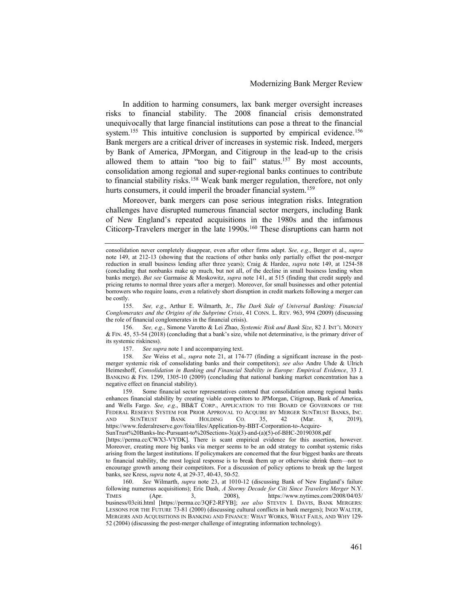In addition to harming consumers, lax bank merger oversight increases risks to financial stability. The 2008 financial crisis demonstrated unequivocally that large financial institutions can pose a threat to the financial system.<sup>155</sup> This intuitive conclusion is supported by empirical evidence.<sup>156</sup> Bank mergers are a critical driver of increases in systemic risk. Indeed, mergers by Bank of America, JPMorgan, and Citigroup in the lead-up to the crisis allowed them to attain "too big to fail" status.<sup>157</sup> By most accounts, consolidation among regional and super-regional banks continues to contribute to financial stability risks.<sup>158</sup> Weak bank merger regulation, therefore, not only hurts consumers, it could imperil the broader financial system.<sup>159</sup>

Moreover, bank mergers can pose serious integration risks. Integration challenges have disrupted numerous financial sector mergers, including Bank of New England's repeated acquisitions in the 1980s and the infamous Citicorp-Travelers merger in the late 1990s.<sup>160</sup> These disruptions can harm not

155. See, e.g., Arthur E. Wilmarth, Jr., The Dark Side of Universal Banking: Financial Conglomerates and the Origins of the Subprime Crisis, 41 CONN. L. REV. 963, 994 (2009) (discussing the role of financial conglomerates in the financial crisis).

157. See supra note 1 and accompanying text.

158. See Weiss et al., supra note 21, at 174-77 (finding a significant increase in the postmerger systemic risk of consolidating banks and their competitors); see also Andre Uhde & Ulrich Heimeshoff, Consolidation in Banking and Financial Stability in Europe: Empirical Evidence, 33 J. BANKING & FIN. 1299, 1305-10 (2009) (concluding that national banking market concentration has a negative effect on financial stability).

159. Some financial sector representatives contend that consolidation among regional banks enhances financial stability by creating viable competitors to JPMorgan, Citigroup, Bank of America, and Wells Fargo. See, e.g., BB&T CORP., APPLICATION TO THE BOARD OF GOVERNORS OF THE FEDERAL RESERVE SYSTEM FOR PRIOR APPROVAL TO ACQUIRE BY MERGER SUNTRUST BANKS, INC. AND SUNTRUST BANK HOLDING CO. 35, 42 (Mar. 8, 2019), https://www.federalreserve.gov/foia/files/Application-by-BBT-Corporation-to-Acquire-

[https://perma.cc/CWX3-VYDK]. There is scant empirical evidence for this assertion, however. Moreover, creating more big banks via merger seems to be an odd strategy to combat systemic risks arising from the largest institutions. If policymakers are concerned that the four biggest banks are threats to financial stability, the most logical response is to break them up or otherwise shrink them—not to encourage growth among their competitors. For a discussion of policy options to break up the largest banks, see Kress, supra note 4, at 29-37, 40-43, 50-52.

160. See Wilmarth, supra note 23, at 1010-12 (discussing Bank of New England's failure following numerous acquisitions); Eric Dash, A Stormy Decade for Citi Since Travelers Merger N.Y.<br>TIMES (Apr. 3, 2008), https://www.nytimes.com/2008/04/03/  $T_{\text{Apr.}}$  3, 2008), https://www.nytimes.com/2008/04/03/ business/03citi.html [https://perma.cc/3QF2-RFYB]; see also STEVEN I. DAVIS, BANK MERGERS: LESSONS FOR THE FUTURE 73-81 (2000) (discussing cultural conflicts in bank mergers); INGO WALTER, MERGERS AND ACQUISITIONS IN BANKING AND FINANCE: WHAT WORKS, WHAT FAILS, AND WHY 129- 52 (2004) (discussing the post-merger challenge of integrating information technology).

consolidation never completely disappear, even after other firms adapt. See, e.g., Berger et al., supra note 149, at 212-13 (showing that the reactions of other banks only partially offset the post-merger reduction in small business lending after three years); Craig & Hardee, supra note 149, at 1254-58 (concluding that nonbanks make up much, but not all, of the decline in small business lending when banks merge). But see Garmaise & Moskowitz, supra note 141, at 515 (finding that credit supply and pricing returns to normal three years after a merger). Moreover, for small businesses and other potential borrowers who require loans, even a relatively short disruption in credit markets following a merger can be costly.

<sup>156.</sup> See, e.g., Simone Varotto & Lei Zhao, Systemic Risk and Bank Size, 82 J. INT'L MONEY & FIN. 45, 53-54 (2018) (concluding that a bank's size, while not determinative, is the primary driver of its systemic riskiness).

SunTrust%20Banks-Inc-Pursuant-to%20Sections-3(a)(3)-and-(a)(5)-of-BHC-20190308.pdf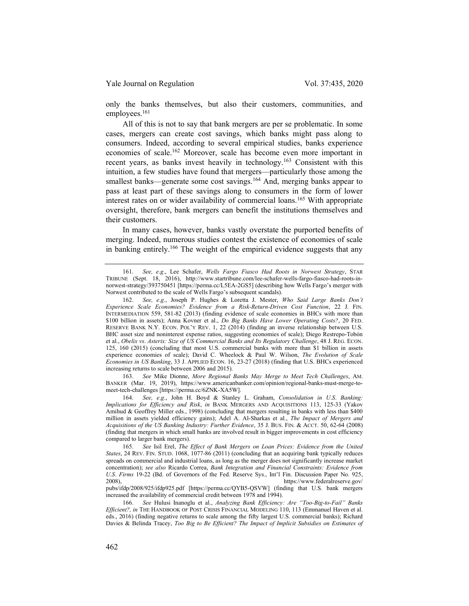only the banks themselves, but also their customers, communities, and employees.<sup>161</sup>

All of this is not to say that bank mergers are per se problematic. In some cases, mergers can create cost savings, which banks might pass along to consumers. Indeed, according to several empirical studies, banks experience economies of scale.<sup>162</sup> Moreover, scale has become even more important in recent years, as banks invest heavily in technology.<sup>163</sup> Consistent with this intuition, a few studies have found that mergers—particularly those among the smallest banks—generate some cost savings.<sup>164</sup> And, merging banks appear to pass at least part of these savings along to consumers in the form of lower interest rates on or wider availability of commercial loans.<sup>165</sup> With appropriate oversight, therefore, bank mergers can benefit the institutions themselves and their customers.

In many cases, however, banks vastly overstate the purported benefits of merging. Indeed, numerous studies contest the existence of economies of scale in banking entirely.<sup>166</sup> The weight of the empirical evidence suggests that any

163. See Mike Dionne, More Regional Banks May Merge to Meet Tech Challenges, AM. BANKER (Mar. 19, 2019), https://www.americanbanker.com/opinion/regional-banks-must-merge-tomeet-tech-challenges [https://perma.cc/6ZNK-XA5W].

<sup>161.</sup> See, e.g., Lee Schafer, Wells Fargo Fiasco Had Roots in Norwest Strategy, STAR TRIBUNE (Sept. 18, 2016), http://www.startribune.com/lee-schafer-wells-fargo-fiasco-had-roots-innorwest-strategy/393750451 [https://perma.cc/L5EA-2GS5] (describing how Wells Fargo's merger with Norwest contributed to the scale of Wells Fargo's subsequent scandals).

<sup>162.</sup> See, e.g., Joseph P. Hughes & Loretta J. Mester, Who Said Large Banks Don't Experience Scale Economies? Evidence from a Risk-Return-Driven Cost Function, 22 J. FIN. INTERMEDIATION 559, 581-82 (2013) (finding evidence of scale economies in BHCs with more than \$100 billion in assets); Anna Kovner et al., Do Big Banks Have Lower Operating Costs?, 20 FED. RESERVE BANK N.Y. ECON. POL'Y REV. 1, 22 (2014) (finding an inverse relationship between U.S. BHC asset size and noninterest expense ratios, suggesting economies of scale); Diego Restrepo-Tobón et al., Obelix vs. Asterix: Size of US Commercial Banks and Its Regulatory Challenge, 48 J. REG. ECON. 125, 160 (2015) (concluding that most U.S. commercial banks with more than \$1 billion in assets experience economies of scale); David C. Wheelock & Paul W. Wilson, The Evolution of Scale Economies in US Banking, 33 J. APPLIED ECON. 16, 23-27 (2018) (finding that U.S. BHCs experienced increasing returns to scale between 2006 and 2015).

<sup>164.</sup> See, e.g., John H. Boyd & Stanley L. Graham, Consolidation in U.S. Banking: Implications for Efficiency and Risk, in BANK MERGERS AND ACQUISITIONS 113, 125-33 (Yakov Amihud & Geoffrey Miller eds., 1998) (concluding that mergers resulting in banks with less than \$400 million in assets yielded efficiency gains); Adel A. Al-Sharkas et al., The Impact of Mergers and Acquisitions of the US Banking Industry: Further Evidence, 35 J. BUS. FIN. & ACCT. 50, 62-64 (2008) (finding that mergers in which small banks are involved result in bigger improvements in cost efficiency compared to larger bank mergers).

<sup>165.</sup> See Isil Erel, The Effect of Bank Mergers on Loan Prices: Evidence from the United States, 24 REV. FIN. STUD. 1068, 1077-86 (2011) (concluding that an acquiring bank typically reduces spreads on commercial and industrial loans, as long as the merger does not significantly increase market concentration); see also Ricardo Correa, Bank Integration and Financial Constraints: Evidence from U.S. Firms 19-22 (Bd. of Governors of the Fed. Reserve Sys., Int'l Fin. Discussion Paper No. 925, 2008), https://www.federalreserve.gov/

pubs/ifdp/2008/925/ifdp925.pdf [https://perma.cc/QYB5-QSVW] (finding that U.S. bank mergers increased the availability of commercial credit between 1978 and 1994).

<sup>166.</sup> See Hulusi Inanoglu et al., Analyzing Bank Efficiency: Are "Too-Big-to-Fail" Banks Efficient?, in THE HANDBOOK OF POST CRISIS FINANCIAL MODELING 110, 113 (Emmanuel Haven et al. eds., 2016) (finding negative returns to scale among the fifty largest U.S. commercial banks); Richard Davies & Belinda Tracey, Too Big to Be Efficient? The Impact of Implicit Subsidies on Estimates of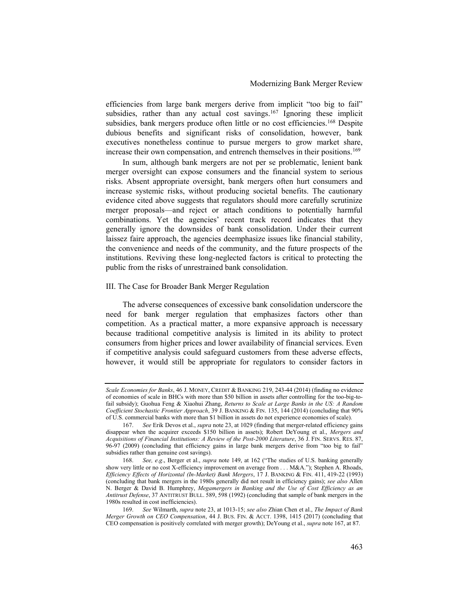efficiencies from large bank mergers derive from implicit "too big to fail" subsidies, rather than any actual cost savings.<sup>167</sup> Ignoring these implicit subsidies, bank mergers produce often little or no cost efficiencies.<sup>168</sup> Despite dubious benefits and significant risks of consolidation, however, bank executives nonetheless continue to pursue mergers to grow market share, increase their own compensation, and entrench themselves in their positions.<sup>169</sup>

In sum, although bank mergers are not per se problematic, lenient bank merger oversight can expose consumers and the financial system to serious risks. Absent appropriate oversight, bank mergers often hurt consumers and increase systemic risks, without producing societal benefits. The cautionary evidence cited above suggests that regulators should more carefully scrutinize merger proposals—and reject or attach conditions to potentially harmful combinations. Yet the agencies' recent track record indicates that they generally ignore the downsides of bank consolidation. Under their current laissez faire approach, the agencies deemphasize issues like financial stability, the convenience and needs of the community, and the future prospects of the institutions. Reviving these long-neglected factors is critical to protecting the public from the risks of unrestrained bank consolidation.

#### III. The Case for Broader Bank Merger Regulation

The adverse consequences of excessive bank consolidation underscore the need for bank merger regulation that emphasizes factors other than competition. As a practical matter, a more expansive approach is necessary because traditional competitive analysis is limited in its ability to protect consumers from higher prices and lower availability of financial services. Even if competitive analysis could safeguard customers from these adverse effects, however, it would still be appropriate for regulators to consider factors in

Scale Economies for Banks, 46 J. MONEY, CREDIT & BANKING 219, 243-44 (2014) (finding no evidence of economies of scale in BHCs with more than \$50 billion in assets after controlling for the too-big-tofail subsidy); Guohua Feng & Xiaohui Zhang, Returns to Scale at Large Banks in the US: A Random Coefficient Stochastic Frontier Approach, 39 J. BANKING & FIN. 135, 144 (2014) (concluding that 90% of U.S. commercial banks with more than \$1 billion in assets do not experience economies of scale).

<sup>167.</sup> See Erik Devos et al., supra note 23, at 1029 (finding that merger-related efficiency gains disappear when the acquirer exceeds \$150 billion in assets); Robert DeYoung et al., Mergers and Acquisitions of Financial Institutions: A Review of the Post-2000 Literature, 36 J. FIN. SERVS. RES. 87, 96-97 (2009) (concluding that efficiency gains in large bank mergers derive from "too big to fail" subsidies rather than genuine cost savings).

<sup>168.</sup> See, e.g., Berger et al., *supra* note 149, at 162 ("The studies of U.S. banking generally show very little or no cost X-efficiency improvement on average from . . . M&A."); Stephen A. Rhoads, Efficiency Effects of Horizontal (In-Market) Bank Mergers, 17 J. BANKING & FIN. 411, 419-22 (1993) (concluding that bank mergers in the 1980s generally did not result in efficiency gains); see also Allen N. Berger & David B. Humphrey, Megamergers in Banking and the Use of Cost Efficiency as an Antitrust Defense, 37 ANTITRUST BULL. 589, 598 (1992) (concluding that sample of bank mergers in the 1980s resulted in cost inefficiencies).

<sup>169.</sup> See Wilmarth, supra note 23, at 1013-15; see also Zhian Chen et al., The Impact of Bank Merger Growth on CEO Compensation, 44 J. BUS. FIN. & ACCT. 1398, 1415 (2017) (concluding that CEO compensation is positively correlated with merger growth); DeYoung et al., supra note 167, at 87.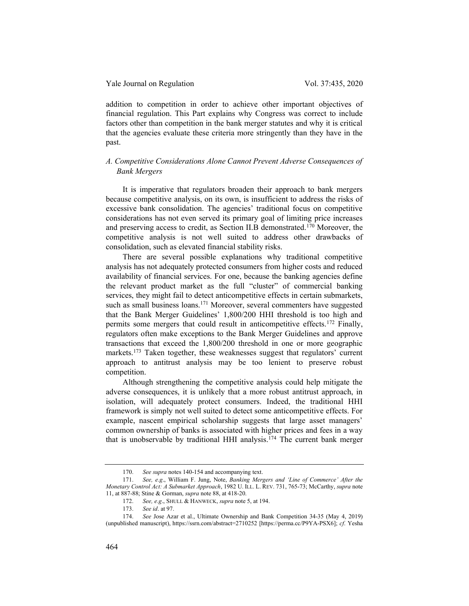addition to competition in order to achieve other important objectives of financial regulation. This Part explains why Congress was correct to include factors other than competition in the bank merger statutes and why it is critical that the agencies evaluate these criteria more stringently than they have in the past.

# A. Competitive Considerations Alone Cannot Prevent Adverse Consequences of Bank Mergers

It is imperative that regulators broaden their approach to bank mergers because competitive analysis, on its own, is insufficient to address the risks of excessive bank consolidation. The agencies' traditional focus on competitive considerations has not even served its primary goal of limiting price increases and preserving access to credit, as Section II.B demonstrated.<sup>170</sup> Moreover, the competitive analysis is not well suited to address other drawbacks of consolidation, such as elevated financial stability risks.

There are several possible explanations why traditional competitive analysis has not adequately protected consumers from higher costs and reduced availability of financial services. For one, because the banking agencies define the relevant product market as the full "cluster" of commercial banking services, they might fail to detect anticompetitive effects in certain submarkets, such as small business loans.<sup>171</sup> Moreover, several commenters have suggested that the Bank Merger Guidelines' 1,800/200 HHI threshold is too high and permits some mergers that could result in anticompetitive effects.<sup>172</sup> Finally, regulators often make exceptions to the Bank Merger Guidelines and approve transactions that exceed the 1,800/200 threshold in one or more geographic markets.<sup>173</sup> Taken together, these weaknesses suggest that regulators' current approach to antitrust analysis may be too lenient to preserve robust competition.

Although strengthening the competitive analysis could help mitigate the adverse consequences, it is unlikely that a more robust antitrust approach, in isolation, will adequately protect consumers. Indeed, the traditional HHI framework is simply not well suited to detect some anticompetitive effects. For example, nascent empirical scholarship suggests that large asset managers' common ownership of banks is associated with higher prices and fees in a way that is unobservable by traditional HHI analysis.<sup>174</sup> The current bank merger

<sup>170.</sup> See supra notes 140-154 and accompanying text.

<sup>171.</sup> See, e.g., William F. Jung, Note, Banking Mergers and 'Line of Commerce' After the Monetary Control Act: A Submarket Approach, 1982 U. ILL. L. REV. 731, 765-73; McCarthy, supra note 11, at 887-88; Stine & Gorman, supra note 88, at 418-20.

<sup>172.</sup> See, e.g., SHULL & HANWECK, supra note 5, at 194.

<sup>173.</sup> See id. at 97.

<sup>174.</sup> See Jose Azar et al., Ultimate Ownership and Bank Competition 34-35 (May 4, 2019) (unpublished manuscript), https://ssrn.com/abstract=2710252 [https://perma.cc/P9YA-PSX6]; cf. Yesha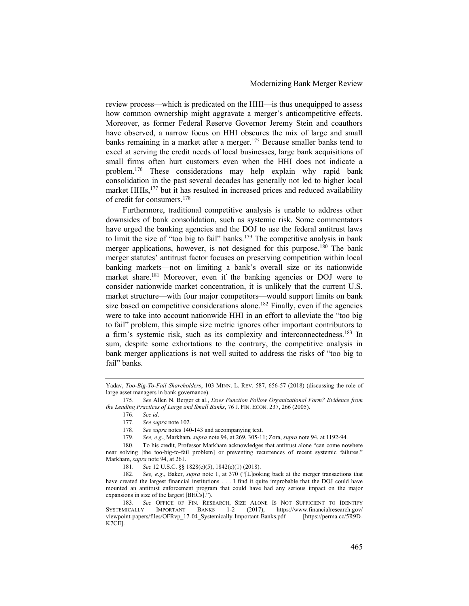review process—which is predicated on the HHI—is thus unequipped to assess how common ownership might aggravate a merger's anticompetitive effects. Moreover, as former Federal Reserve Governor Jeremy Stein and coauthors have observed, a narrow focus on HHI obscures the mix of large and small banks remaining in a market after a merger.<sup>175</sup> Because smaller banks tend to excel at serving the credit needs of local businesses, large bank acquisitions of small firms often hurt customers even when the HHI does not indicate a problem.<sup>176</sup> These considerations may help explain why rapid bank consolidation in the past several decades has generally not led to higher local market HHIs,<sup>177</sup> but it has resulted in increased prices and reduced availability of credit for consumers.<sup>178</sup>

Furthermore, traditional competitive analysis is unable to address other downsides of bank consolidation, such as systemic risk. Some commentators have urged the banking agencies and the DOJ to use the federal antitrust laws to limit the size of "too big to fail" banks.<sup>179</sup> The competitive analysis in bank merger applications, however, is not designed for this purpose.<sup>180</sup> The bank merger statutes' antitrust factor focuses on preserving competition within local banking markets—not on limiting a bank's overall size or its nationwide market share.<sup>181</sup> Moreover, even if the banking agencies or DOJ were to consider nationwide market concentration, it is unlikely that the current U.S. market structure—with four major competitors—would support limits on bank size based on competitive considerations alone.<sup>182</sup> Finally, even if the agencies were to take into account nationwide HHI in an effort to alleviate the "too big to fail" problem, this simple size metric ignores other important contributors to a firm's systemic risk, such as its complexity and interconnectedness.<sup>183</sup> In sum, despite some exhortations to the contrary, the competitive analysis in bank merger applications is not well suited to address the risks of "too big to fail" banks.

181. See 12 U.S.C. §§ 1828(c)(5), 1842(c)(1) (2018).

Yadav, Too-Big-To-Fail Shareholders, 103 MINN. L. REV. 587, 656-57 (2018) (discussing the role of large asset managers in bank governance).

<sup>175.</sup> See Allen N. Berger et al., Does Function Follow Organizational Form? Evidence from the Lending Practices of Large and Small Banks, 76 J. FIN. ECON. 237, 266 (2005).

<sup>176.</sup> See id.

<sup>177.</sup> See supra note 102.

<sup>178.</sup> See supra notes 140-143 and accompanying text.

<sup>179.</sup> See, e.g., Markham, supra note 94, at 269, 305-11; Zora, supra note 94, at 1192-94.

<sup>180.</sup> To his credit, Professor Markham acknowledges that antitrust alone "can come nowhere near solving [the too-big-to-fail problem] or preventing recurrences of recent systemic failures." Markham, supra note 94, at 261.

<sup>182.</sup> See, e.g., Baker, supra note 1, at 370 ("[L]ooking back at the merger transactions that have created the largest financial institutions . . . I find it quite improbable that the DOJ could have mounted an antitrust enforcement program that could have had any serious impact on the major expansions in size of the largest [BHCs].").

<sup>183.</sup> See OFFICE OF FIN. RESEARCH, SIZE ALONE IS NOT SUFFICIENT TO IDENTIFY<br>SYSTEMICALLY IMPORTANT BANKS 1-2 (2017), https://www.financialresearch.gov/ 1-2 (2017), https://www.financialresearch.gov/ viewpoint-papers/files/OFRvp\_17-04\_Systemically-Important-Banks.pdf [https://perma.cc/5R9D-K7CE].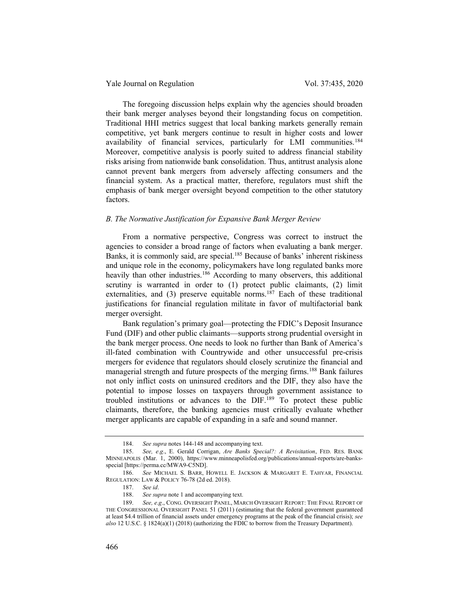Yale Journal on Regulation Vol. 37:435, 2020

The foregoing discussion helps explain why the agencies should broaden their bank merger analyses beyond their longstanding focus on competition. Traditional HHI metrics suggest that local banking markets generally remain competitive, yet bank mergers continue to result in higher costs and lower availability of financial services, particularly for LMI communities.<sup>184</sup> Moreover, competitive analysis is poorly suited to address financial stability risks arising from nationwide bank consolidation. Thus, antitrust analysis alone cannot prevent bank mergers from adversely affecting consumers and the financial system. As a practical matter, therefore, regulators must shift the emphasis of bank merger oversight beyond competition to the other statutory factors.

### B. The Normative Justification for Expansive Bank Merger Review

From a normative perspective, Congress was correct to instruct the agencies to consider a broad range of factors when evaluating a bank merger. Banks, it is commonly said, are special.<sup>185</sup> Because of banks' inherent riskiness and unique role in the economy, policymakers have long regulated banks more heavily than other industries.<sup>186</sup> According to many observers, this additional scrutiny is warranted in order to (1) protect public claimants, (2) limit externalities, and  $(3)$  preserve equitable norms.<sup>187</sup> Each of these traditional justifications for financial regulation militate in favor of multifactorial bank merger oversight.

Bank regulation's primary goal—protecting the FDIC's Deposit Insurance Fund (DIF) and other public claimants—supports strong prudential oversight in the bank merger process. One needs to look no further than Bank of America's ill-fated combination with Countrywide and other unsuccessful pre-crisis mergers for evidence that regulators should closely scrutinize the financial and managerial strength and future prospects of the merging firms.<sup>188</sup> Bank failures not only inflict costs on uninsured creditors and the DIF, they also have the potential to impose losses on taxpayers through government assistance to troubled institutions or advances to the DIF.<sup>189</sup> To protect these public claimants, therefore, the banking agencies must critically evaluate whether merger applicants are capable of expanding in a safe and sound manner.

<sup>184.</sup> See supra notes 144-148 and accompanying text.

<sup>185.</sup> See, e.g., E. Gerald Corrigan, Are Banks Special?: A Revisitation, FED. RES. BANK MINNEAPOLIS (Mar. 1, 2000), https://www.minneapolisfed.org/publications/annual-reports/are-banksspecial [https://perma.cc/MWA9-C5ND].

<sup>186.</sup> See MICHAEL S. BARR, HOWELL E. JACKSON & MARGARET E. TAHYAR, FINANCIAL REGULATION: LAW & POLICY 76-78 (2d ed. 2018).

<sup>187.</sup> See id.

<sup>188.</sup> See supra note 1 and accompanying text.

<sup>189.</sup> See, e.g., CONG. OVERSIGHT PANEL, MARCH OVERSIGHT REPORT: THE FINAL REPORT OF THE CONGRESSIONAL OVERSIGHT PANEL 51 (2011) (estimating that the federal government guaranteed at least \$4.4 trillion of financial assets under emergency programs at the peak of the financial crisis); see also 12 U.S.C. § 1824(a)(1) (2018) (authorizing the FDIC to borrow from the Treasury Department).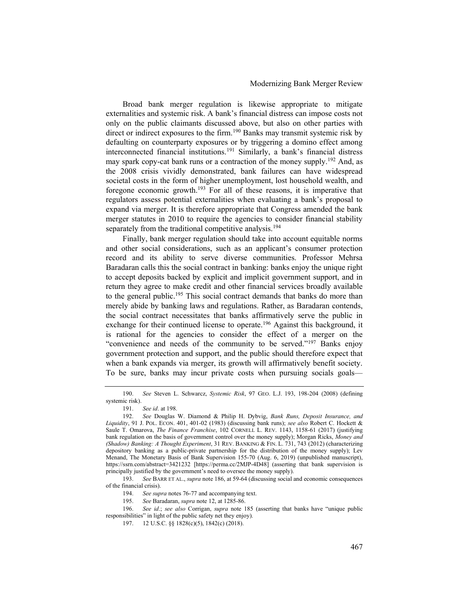Broad bank merger regulation is likewise appropriate to mitigate externalities and systemic risk. A bank's financial distress can impose costs not only on the public claimants discussed above, but also on other parties with direct or indirect exposures to the firm.<sup>190</sup> Banks may transmit systemic risk by defaulting on counterparty exposures or by triggering a domino effect among interconnected financial institutions.<sup>191</sup> Similarly, a bank's financial distress may spark copy-cat bank runs or a contraction of the money supply.<sup>192</sup> And, as the 2008 crisis vividly demonstrated, bank failures can have widespread societal costs in the form of higher unemployment, lost household wealth, and foregone economic growth.<sup>193</sup> For all of these reasons, it is imperative that regulators assess potential externalities when evaluating a bank's proposal to expand via merger. It is therefore appropriate that Congress amended the bank merger statutes in 2010 to require the agencies to consider financial stability separately from the traditional competitive analysis.<sup>194</sup>

Finally, bank merger regulation should take into account equitable norms and other social considerations, such as an applicant's consumer protection record and its ability to serve diverse communities. Professor Mehrsa Baradaran calls this the social contract in banking: banks enjoy the unique right to accept deposits backed by explicit and implicit government support, and in return they agree to make credit and other financial services broadly available to the general public.<sup>195</sup> This social contract demands that banks do more than merely abide by banking laws and regulations. Rather, as Baradaran contends, the social contract necessitates that banks affirmatively serve the public in exchange for their continued license to operate.<sup>196</sup> Against this background, it is rational for the agencies to consider the effect of a merger on the "convenience and needs of the community to be served."<sup>197</sup> Banks enjoy government protection and support, and the public should therefore expect that when a bank expands via merger, its growth will affirmatively benefit society. To be sure, banks may incur private costs when pursuing socials goals—

193. See BARR ET AL., supra note 186, at 59-64 (discussing social and economic consequences of the financial crisis).

195. See Baradaran, supra note 12, at 1285-86.

<sup>190.</sup> See Steven L. Schwarcz, Systemic Risk, 97 GEO. L.J. 193, 198-204 (2008) (defining systemic risk).

<sup>191.</sup> See id. at 198.

<sup>192.</sup> See Douglas W. Diamond & Philip H. Dybvig, Bank Runs, Deposit Insurance, and Liquidity, 91 J. POL. ECON. 401, 401-02 (1983) (discussing bank runs); see also Robert C. Hockett & Saule T. Omarova, The Finance Franchise, 102 CORNELL L. REV. 1143, 1158-61 (2017) (justifying bank regulation on the basis of government control over the money supply); Morgan Ricks, Money and (Shadow) Banking: A Thought Experiment, 31 REV. BANKING & FIN. L. 731, 743 (2012) (characterizing depository banking as a public-private partnership for the distribution of the money supply); Lev Menand, The Monetary Basis of Bank Supervision 155-70 (Aug. 6, 2019) (unpublished manuscript), https://ssrn.com/abstract=3421232 [https://perma.cc/2MJP-4D48] (asserting that bank supervision is principally justified by the government's need to oversee the money supply).

<sup>194.</sup> See supra notes 76-77 and accompanying text.

<sup>196.</sup> See id.; see also Corrigan, supra note 185 (asserting that banks have "unique public responsibilities" in light of the public safety net they enjoy).

<sup>197. 12</sup> U.S.C. §§ 1828(c)(5), 1842(c) (2018).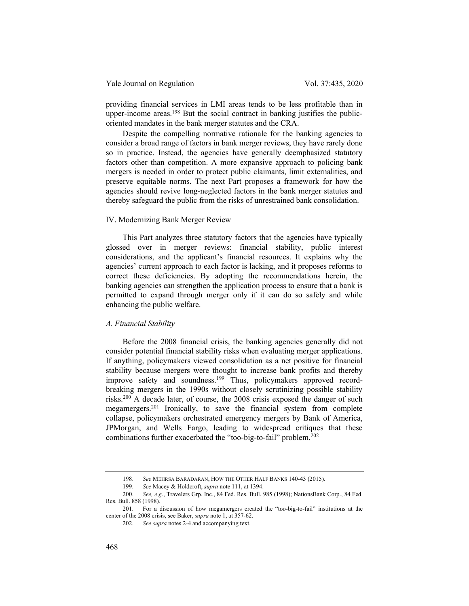providing financial services in LMI areas tends to be less profitable than in upper-income areas.<sup>198</sup> But the social contract in banking justifies the publicoriented mandates in the bank merger statutes and the CRA.

Despite the compelling normative rationale for the banking agencies to consider a broad range of factors in bank merger reviews, they have rarely done so in practice. Instead, the agencies have generally deemphasized statutory factors other than competition. A more expansive approach to policing bank mergers is needed in order to protect public claimants, limit externalities, and preserve equitable norms. The next Part proposes a framework for how the agencies should revive long-neglected factors in the bank merger statutes and thereby safeguard the public from the risks of unrestrained bank consolidation.

#### IV. Modernizing Bank Merger Review

This Part analyzes three statutory factors that the agencies have typically glossed over in merger reviews: financial stability, public interest considerations, and the applicant's financial resources. It explains why the agencies' current approach to each factor is lacking, and it proposes reforms to correct these deficiencies. By adopting the recommendations herein, the banking agencies can strengthen the application process to ensure that a bank is permitted to expand through merger only if it can do so safely and while enhancing the public welfare.

#### A. Financial Stability

Before the 2008 financial crisis, the banking agencies generally did not consider potential financial stability risks when evaluating merger applications. If anything, policymakers viewed consolidation as a net positive for financial stability because mergers were thought to increase bank profits and thereby improve safety and soundness.<sup>199</sup> Thus, policymakers approved recordbreaking mergers in the 1990s without closely scrutinizing possible stability risks.<sup>200</sup> A decade later, of course, the 2008 crisis exposed the danger of such megamergers.<sup>201</sup> Ironically, to save the financial system from complete collapse, policymakers orchestrated emergency mergers by Bank of America, JPMorgan, and Wells Fargo, leading to widespread critiques that these combinations further exacerbated the "too-big-to-fail" problem.<sup>202</sup>

<sup>198.</sup> See MEHRSA BARADARAN, HOW THE OTHER HALF BANKS 140-43 (2015).

<sup>199.</sup> See Macey & Holdcroft, supra note 111, at 1394.

<sup>200.</sup> See, e.g., Travelers Grp. Inc., 84 Fed. Res. Bull. 985 (1998); NationsBank Corp., 84 Fed. Res. Bull. 858 (1998).

<sup>201.</sup> For a discussion of how megamergers created the "too-big-to-fail" institutions at the center of the 2008 crisis, see Baker, supra note 1, at 357-62.

<sup>202.</sup> See supra notes 2-4 and accompanying text.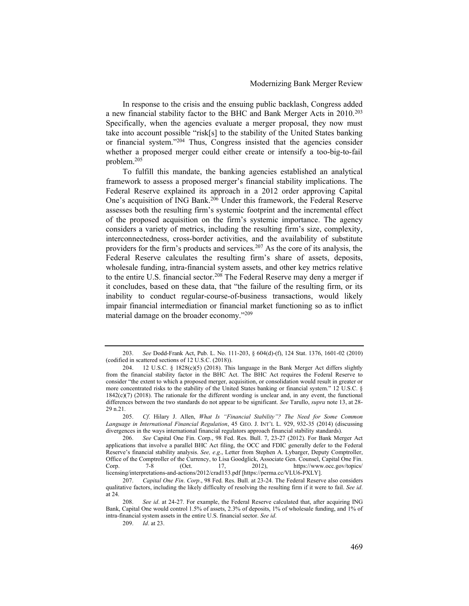In response to the crisis and the ensuing public backlash, Congress added a new financial stability factor to the BHC and Bank Merger Acts in 2010.<sup>203</sup> Specifically, when the agencies evaluate a merger proposal, they now must take into account possible "risk[s] to the stability of the United States banking or financial system."<sup>204</sup> Thus, Congress insisted that the agencies consider whether a proposed merger could either create or intensify a too-big-to-fail problem.<sup>205</sup>

To fulfill this mandate, the banking agencies established an analytical framework to assess a proposed merger's financial stability implications. The Federal Reserve explained its approach in a 2012 order approving Capital One's acquisition of ING Bank.<sup>206</sup> Under this framework, the Federal Reserve assesses both the resulting firm's systemic footprint and the incremental effect of the proposed acquisition on the firm's systemic importance. The agency considers a variety of metrics, including the resulting firm's size, complexity, interconnectedness, cross-border activities, and the availability of substitute providers for the firm's products and services.<sup>207</sup> As the core of its analysis, the Federal Reserve calculates the resulting firm's share of assets, deposits, wholesale funding, intra-financial system assets, and other key metrics relative to the entire U.S. financial sector.<sup>208</sup> The Federal Reserve may deny a merger if it concludes, based on these data, that "the failure of the resulting firm, or its inability to conduct regular-course-of-business transactions, would likely impair financial intermediation or financial market functioning so as to inflict material damage on the broader economy."<sup>209</sup>

<sup>203.</sup> See Dodd-Frank Act, Pub. L. No. 111-203, § 604(d)-(f), 124 Stat. 1376, 1601-02 (2010) (codified in scattered sections of 12 U.S.C. (2018)).

<sup>204. 12</sup> U.S.C. § 1828(c)(5) (2018). This language in the Bank Merger Act differs slightly from the financial stability factor in the BHC Act. The BHC Act requires the Federal Reserve to consider "the extent to which a proposed merger, acquisition, or consolidation would result in greater or more concentrated risks to the stability of the United States banking or financial system." 12 U.S.C. § 1842(c)(7) (2018). The rationale for the different wording is unclear and, in any event, the functional differences between the two standards do not appear to be significant. See Tarullo, supra note 13, at 28-29 n.21.

<sup>205.</sup> Cf. Hilary J. Allen, What Is "Financial Stability"? The Need for Some Common Language in International Financial Regulation, 45 GEO. J. INT'L L. 929, 932-35 (2014) (discussing divergences in the ways international financial regulators approach financial stability standards).

<sup>206.</sup> See Capital One Fin. Corp., 98 Fed. Res. Bull. 7, 23-27 (2012). For Bank Merger Act applications that involve a parallel BHC Act filing, the OCC and FDIC generally defer to the Federal Reserve's financial stability analysis. See, e.g., Letter from Stephen A. Lybarger, Deputy Comptroller, Office of the Comptroller of the Currency, to Lisa Goodglick, Associate Gen. Counsel, Capital One Fin. Corp. 7-8 (Oct. 17, 2012), https://www.occ.gov/topics/ licensing/interpretations-and-actions/2012/crad153.pdf [https://perma.cc/VLU6-PXLY].

<sup>207.</sup> Capital One Fin. Corp., 98 Fed. Res. Bull. at 23-24. The Federal Reserve also considers qualitative factors, including the likely difficulty of resolving the resulting firm if it were to fail. See id. at 24.

<sup>208.</sup> See id. at 24-27. For example, the Federal Reserve calculated that, after acquiring ING Bank, Capital One would control 1.5% of assets, 2.3% of deposits, 1% of wholesale funding, and 1% of intra-financial system assets in the entire U.S. financial sector. See id.

<sup>209.</sup> Id. at 23.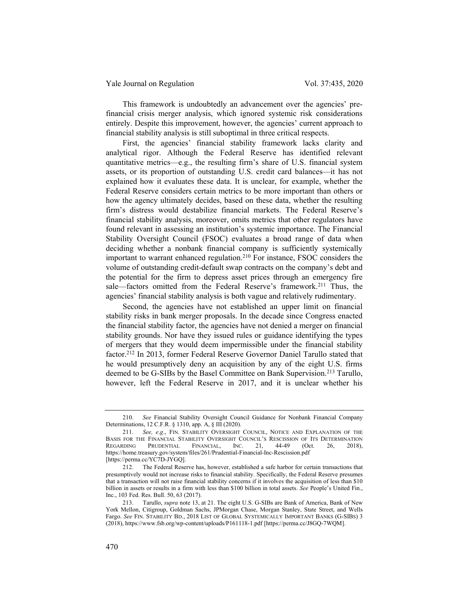This framework is undoubtedly an advancement over the agencies' prefinancial crisis merger analysis, which ignored systemic risk considerations entirely. Despite this improvement, however, the agencies' current approach to financial stability analysis is still suboptimal in three critical respects.

First, the agencies' financial stability framework lacks clarity and analytical rigor. Although the Federal Reserve has identified relevant quantitative metrics—e.g., the resulting firm's share of U.S. financial system assets, or its proportion of outstanding U.S. credit card balances—it has not explained how it evaluates these data. It is unclear, for example, whether the Federal Reserve considers certain metrics to be more important than others or how the agency ultimately decides, based on these data, whether the resulting firm's distress would destabilize financial markets. The Federal Reserve's financial stability analysis, moreover, omits metrics that other regulators have found relevant in assessing an institution's systemic importance. The Financial Stability Oversight Council (FSOC) evaluates a broad range of data when deciding whether a nonbank financial company is sufficiently systemically important to warrant enhanced regulation.<sup>210</sup> For instance, FSOC considers the volume of outstanding credit-default swap contracts on the company's debt and the potential for the firm to depress asset prices through an emergency fire sale—factors omitted from the Federal Reserve's framework.<sup>211</sup> Thus, the agencies' financial stability analysis is both vague and relatively rudimentary.

Second, the agencies have not established an upper limit on financial stability risks in bank merger proposals. In the decade since Congress enacted the financial stability factor, the agencies have not denied a merger on financial stability grounds. Nor have they issued rules or guidance identifying the types of mergers that they would deem impermissible under the financial stability factor.<sup>212</sup> In 2013, former Federal Reserve Governor Daniel Tarullo stated that he would presumptively deny an acquisition by any of the eight U.S. firms deemed to be G-SIBs by the Basel Committee on Bank Supervision.<sup>213</sup> Tarullo, however, left the Federal Reserve in 2017, and it is unclear whether his

<sup>210.</sup> See Financial Stability Oversight Council Guidance for Nonbank Financial Company Determinations, 12 C.F.R. § 1310, app. A, § III (2020).

<sup>211.</sup> See, e.g., FIN. STABILITY OVERSIGHT COUNCIL, NOTICE AND EXPLANATION OF THE BASIS FOR THE FINANCIAL STABILITY OVERSIGHT COUNCIL'S RESCISSION OF ITS DETERMINATION REGARDING PRUDENTIAL FINANCIAL, INC. 21, 44-49 (Oct. 26, 2018), REGARDING PRUDENTIAL FINANCIAL, INC. 21, 44-49 (Oct. 26, 2018), https://home.treasury.gov/system/files/261/Prudential-Financial-Inc-Rescission.pdf [https://perma.cc/YC7D-JYGQ].

<sup>212.</sup> The Federal Reserve has, however, established a safe harbor for certain transactions that presumptively would not increase risks to financial stability. Specifically, the Federal Reserve presumes that a transaction will not raise financial stability concerns if it involves the acquisition of less than \$10 billion in assets or results in a firm with less than \$100 billion in total assets. See People's United Fin., Inc., 103 Fed. Res. Bull. 50, 63 (2017).

<sup>213.</sup> Tarullo, supra note 13, at 21. The eight U.S. G-SIBs are Bank of America, Bank of New York Mellon, Citigroup, Goldman Sachs, JPMorgan Chase, Morgan Stanley, State Street, and Wells Fargo. See FIN. STABILITY BD., 2018 LIST OF GLOBAL SYSTEMICALLY IMPORTANT BANKS (G-SIBS) 3 (2018), https://www.fsb.org/wp-content/uploads/P161118-1.pdf [https://perma.cc/J8GQ-7WQM].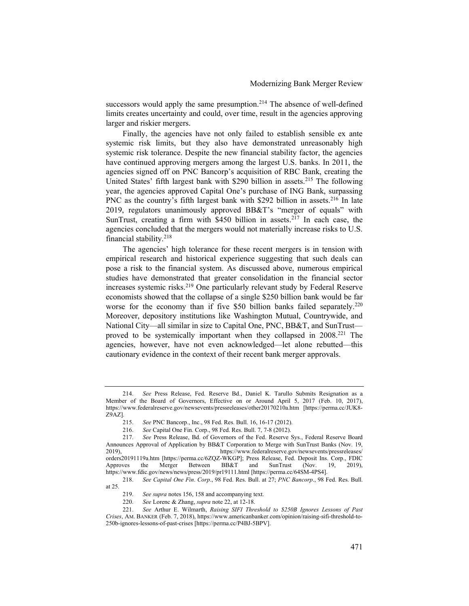successors would apply the same presumption.<sup>214</sup> The absence of well-defined limits creates uncertainty and could, over time, result in the agencies approving larger and riskier mergers.

Finally, the agencies have not only failed to establish sensible ex ante systemic risk limits, but they also have demonstrated unreasonably high systemic risk tolerance. Despite the new financial stability factor, the agencies have continued approving mergers among the largest U.S. banks. In 2011, the agencies signed off on PNC Bancorp's acquisition of RBC Bank, creating the United States' fifth largest bank with \$290 billion in assets.<sup>215</sup> The following year, the agencies approved Capital One's purchase of ING Bank, surpassing PNC as the country's fifth largest bank with \$292 billion in assets.<sup>216</sup> In late 2019, regulators unanimously approved BB&T's "merger of equals" with SunTrust, creating a firm with \$450 billion in assets.<sup>217</sup> In each case, the agencies concluded that the mergers would not materially increase risks to U.S. financial stability.<sup>218</sup>

The agencies' high tolerance for these recent mergers is in tension with empirical research and historical experience suggesting that such deals can pose a risk to the financial system. As discussed above, numerous empirical studies have demonstrated that greater consolidation in the financial sector increases systemic risks.<sup>219</sup> One particularly relevant study by Federal Reserve economists showed that the collapse of a single \$250 billion bank would be far worse for the economy than if five \$50 billion banks failed separately.<sup>220</sup> Moreover, depository institutions like Washington Mutual, Countrywide, and National City—all similar in size to Capital One, PNC, BB&T, and SunTrust proved to be systemically important when they collapsed in 2008.<sup>221</sup> The agencies, however, have not even acknowledged—let alone rebutted—this cautionary evidence in the context of their recent bank merger approvals.

<sup>214.</sup> See Press Release, Fed. Reserve Bd., Daniel K. Tarullo Submits Resignation as a Member of the Board of Governors, Effective on or Around April 5, 2017 (Feb. 10, 2017), https://www.federalreserve.gov/newsevents/pressreleases/other20170210a.htm [https://perma.cc/JUK8- Z9AZ].

<sup>215.</sup> See PNC Bancorp., Inc., 98 Fed. Res. Bull. 16, 16-17 (2012).

<sup>216.</sup> See Capital One Fin. Corp., 98 Fed. Res. Bull. 7, 7-8 (2012).

<sup>217.</sup> See Press Release, Bd. of Governors of the Fed. Reserve Sys., Federal Reserve Board Announces Approval of Application by BB&T Corporation to Merge with SunTrust Banks (Nov. 19, 2019), https://www.federalreserve.gov/newsevents/pressreleases/ orders20191119a.htm [https://perma.cc/6ZQZ-WKGP]; Press Release, Fed. Deposit Ins. Corp., FDIC<br>Approves the Merger Between BB&T and SunTrust (Nov. 19, 2019). the Merger Between BB&T and SunTrust (Nov. 19, 2019), https://www.fdic.gov/news/news/press/2019/pr19111.html [https://perma.cc/64SM-4PS4].

<sup>218.</sup> See Capital One Fin. Corp., 98 Fed. Res. Bull. at 27; PNC Bancorp., 98 Fed. Res. Bull. at 25.

<sup>219.</sup> See supra notes 156, 158 and accompanying text.

<sup>220.</sup> See Lorenc & Zhang, supra note 22, at 12-18.

<sup>221.</sup> See Arthur E. Wilmarth, Raising SIFI Threshold to \$250B Ignores Lessons of Past Crises, AM. BANKER (Feb. 7, 2018), https://www.americanbanker.com/opinion/raising-sifi-threshold-to-250b-ignores-lessons-of-past-crises [https://perma.cc/P4BJ-5BPV].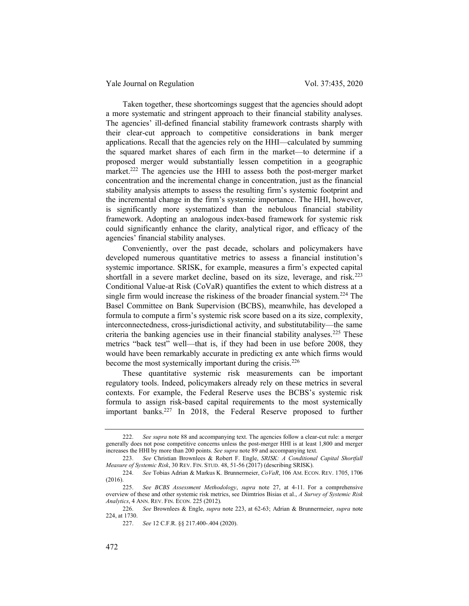Yale Journal on Regulation Vol. 37:435, 2020

Taken together, these shortcomings suggest that the agencies should adopt a more systematic and stringent approach to their financial stability analyses. The agencies' ill-defined financial stability framework contrasts sharply with their clear-cut approach to competitive considerations in bank merger applications. Recall that the agencies rely on the HHI—calculated by summing the squared market shares of each firm in the market—to determine if a proposed merger would substantially lessen competition in a geographic market.<sup>222</sup> The agencies use the HHI to assess both the post-merger market concentration and the incremental change in concentration, just as the financial stability analysis attempts to assess the resulting firm's systemic footprint and the incremental change in the firm's systemic importance. The HHI, however, is significantly more systematized than the nebulous financial stability framework. Adopting an analogous index-based framework for systemic risk could significantly enhance the clarity, analytical rigor, and efficacy of the agencies' financial stability analyses.

Conveniently, over the past decade, scholars and policymakers have developed numerous quantitative metrics to assess a financial institution's systemic importance. SRISK, for example, measures a firm's expected capital shortfall in a severe market decline, based on its size, leverage, and risk.<sup>223</sup> Conditional Value-at Risk (CoVaR) quantifies the extent to which distress at a single firm would increase the riskiness of the broader financial system.<sup>224</sup> The Basel Committee on Bank Supervision (BCBS), meanwhile, has developed a formula to compute a firm's systemic risk score based on a its size, complexity, interconnectedness, cross-jurisdictional activity, and substitutability—the same criteria the banking agencies use in their financial stability analyses.<sup>225</sup> These metrics "back test" well—that is, if they had been in use before 2008, they would have been remarkably accurate in predicting ex ante which firms would become the most systemically important during the crisis.<sup>226</sup>

These quantitative systemic risk measurements can be important regulatory tools. Indeed, policymakers already rely on these metrics in several contexts. For example, the Federal Reserve uses the BCBS's systemic risk formula to assign risk-based capital requirements to the most systemically important banks.<sup>227</sup> In 2018, the Federal Reserve proposed to further

<sup>222.</sup> See supra note 88 and accompanying text. The agencies follow a clear-cut rule: a merger generally does not pose competitive concerns unless the post-merger HHI is at least 1,800 and merger increases the HHI by more than 200 points. See supra note 89 and accompanying text.

<sup>223.</sup> See Christian Brownlees & Robert F. Engle, SRISK: A Conditional Capital Shortfall Measure of Systemic Risk, 30 REV. FIN. STUD. 48, 51-56 (2017) (describing SRISK).

<sup>224.</sup> See Tobias Adrian & Markus K. Brunnermeier, CoVaR, 106 AM. ECON. REV. 1705, 1706  $(2016)$ 

<sup>225.</sup> See BCBS Assessment Methodology, supra note 27, at 4-11. For a comprehensive overview of these and other systemic risk metrics, see Diimtrios Bisias et al., A Survey of Systemic Risk Analytics, 4 ANN. REV. FIN. ECON. 225 (2012).

<sup>226.</sup> See Brownlees & Engle, supra note 223, at 62-63; Adrian & Brunnermeier, supra note 224, at 1730.

<sup>227.</sup> See 12 C.F.R. §§ 217.400-.404 (2020).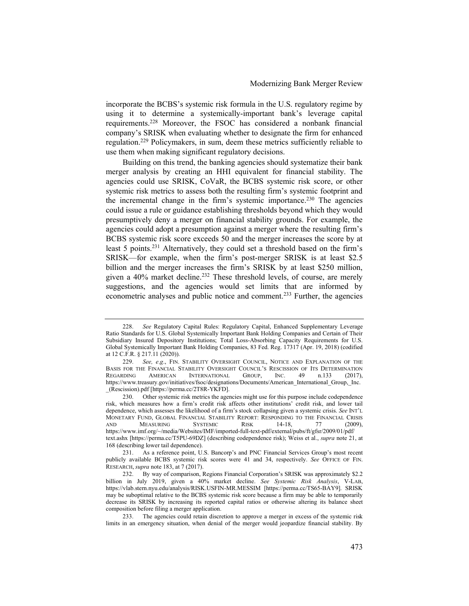incorporate the BCBS's systemic risk formula in the U.S. regulatory regime by using it to determine a systemically-important bank's leverage capital requirements.<sup>228</sup> Moreover, the FSOC has considered a nonbank financial company's SRISK when evaluating whether to designate the firm for enhanced regulation.<sup>229</sup> Policymakers, in sum, deem these metrics sufficiently reliable to use them when making significant regulatory decisions.

Building on this trend, the banking agencies should systematize their bank merger analysis by creating an HHI equivalent for financial stability. The agencies could use SRISK, CoVaR, the BCBS systemic risk score, or other systemic risk metrics to assess both the resulting firm's systemic footprint and the incremental change in the firm's systemic importance.<sup>230</sup> The agencies could issue a rule or guidance establishing thresholds beyond which they would presumptively deny a merger on financial stability grounds. For example, the agencies could adopt a presumption against a merger where the resulting firm's BCBS systemic risk score exceeds 50 and the merger increases the score by at least 5 points.<sup>231</sup> Alternatively, they could set a threshold based on the firm's SRISK—for example, when the firm's post-merger SRISK is at least \$2.5 billion and the merger increases the firm's SRISK by at least \$250 million, given a 40% market decline.<sup>232</sup> These threshold levels, of course, are merely suggestions, and the agencies would set limits that are informed by econometric analyses and public notice and comment.<sup>233</sup> Further, the agencies

<sup>228.</sup> See Regulatory Capital Rules: Regulatory Capital, Enhanced Supplementary Leverage Ratio Standards for U.S. Global Systemically Important Bank Holding Companies and Certain of Their Subsidiary Insured Depository Institutions; Total Loss-Absorbing Capacity Requirements for U.S. Global Systemically Important Bank Holding Companies, 83 Fed. Reg. 17317 (Apr. 19, 2018) (codified at 12 C.F.R. § 217.11 (2020)).

<sup>229.</sup> See, e.g., FIN. STABILITY OVERSIGHT COUNCIL, NOTICE AND EXPLANATION OF THE BASIS FOR THE FINANCIAL STABILITY OVERSIGHT COUNCIL'S RESCISSION OF ITS DETERMINATION REGARDING AMERICAN INTERNATIONAL GROUP, INC. 49 n.133 (2017), REGARDING AMERICAN INTERNATIONAL GROUP, INC. 49 n.133 (2017), https://www.treasury.gov/initiatives/fsoc/designations/Documents/American\_International\_Group,\_Inc. \_(Rescission).pdf [https://perma.cc/2T8R-YKFD].

<sup>230.</sup> Other systemic risk metrics the agencies might use for this purpose include codependence risk, which measures how a firm's credit risk affects other institutions' credit risk, and lower tail dependence, which assesses the likelihood of a firm's stock collapsing given a systemic crisis. See INT'L MONETARY FUND, GLOBAL FINANCIAL STABILITY REPORT: RESPONDING TO THE FINANCIAL CRISIS<br>AND MEASURING SYSTEMIC RISK 14-18, 77 (2009), AND MEASURING SYSTEMIC RISK 14-18, 77 (2009), https://www.imf.org/~/media/Websites/IMF/imported-full-text-pdf/external/pubs/ft/gfsr/2009/01/pdf/ text.ashx [https://perma.cc/T5PU-69DZ] (describing codependence risk); Weiss et al., supra note 21, at 168 (describing lower tail dependence).

<sup>231.</sup> As a reference point, U.S. Bancorp's and PNC Financial Services Group's most recent publicly available BCBS systemic risk scores were 41 and 34, respectively. See OFFICE OF FIN. RESEARCH, supra note 183, at 7 (2017).

<sup>232.</sup> By way of comparison, Regions Financial Corporation's SRISK was approximately \$2.2 billion in July 2019, given a 40% market decline. See Systemic Risk Analysis, V-LAB, https://vlab.stern.nyu.edu/analysis/RISK.USFIN-MR.MESSIM [https://perma.cc/TS65-BAY9]. SRISK may be suboptimal relative to the BCBS systemic risk score because a firm may be able to temporarily decrease its SRISK by increasing its reported capital ratios or otherwise altering its balance sheet composition before filing a merger application.

<sup>233.</sup> The agencies could retain discretion to approve a merger in excess of the systemic risk limits in an emergency situation, when denial of the merger would jeopardize financial stability. By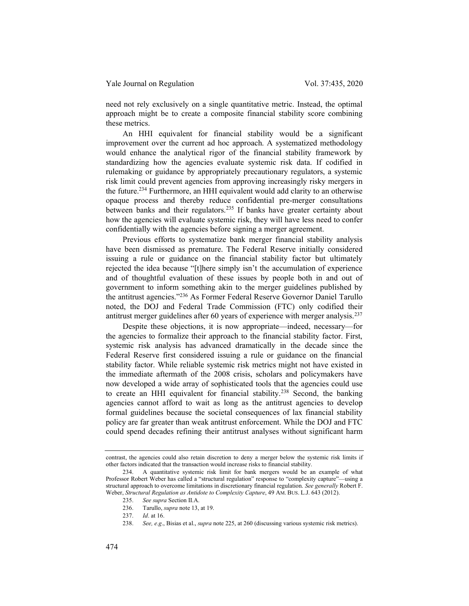need not rely exclusively on a single quantitative metric. Instead, the optimal approach might be to create a composite financial stability score combining these metrics.

An HHI equivalent for financial stability would be a significant improvement over the current ad hoc approach. A systematized methodology would enhance the analytical rigor of the financial stability framework by standardizing how the agencies evaluate systemic risk data. If codified in rulemaking or guidance by appropriately precautionary regulators, a systemic risk limit could prevent agencies from approving increasingly risky mergers in the future.<sup>234</sup> Furthermore, an HHI equivalent would add clarity to an otherwise opaque process and thereby reduce confidential pre-merger consultations between banks and their regulators.<sup>235</sup> If banks have greater certainty about how the agencies will evaluate systemic risk, they will have less need to confer confidentially with the agencies before signing a merger agreement.

Previous efforts to systematize bank merger financial stability analysis have been dismissed as premature. The Federal Reserve initially considered issuing a rule or guidance on the financial stability factor but ultimately rejected the idea because "[t]here simply isn't the accumulation of experience and of thoughtful evaluation of these issues by people both in and out of government to inform something akin to the merger guidelines published by the antitrust agencies."<sup>236</sup> As Former Federal Reserve Governor Daniel Tarullo noted, the DOJ and Federal Trade Commission (FTC) only codified their antitrust merger guidelines after 60 years of experience with merger analysis.<sup>237</sup>

Despite these objections, it is now appropriate—indeed, necessary—for the agencies to formalize their approach to the financial stability factor. First, systemic risk analysis has advanced dramatically in the decade since the Federal Reserve first considered issuing a rule or guidance on the financial stability factor. While reliable systemic risk metrics might not have existed in the immediate aftermath of the 2008 crisis, scholars and policymakers have now developed a wide array of sophisticated tools that the agencies could use to create an HHI equivalent for financial stability.<sup>238</sup> Second, the banking agencies cannot afford to wait as long as the antitrust agencies to develop formal guidelines because the societal consequences of lax financial stability policy are far greater than weak antitrust enforcement. While the DOJ and FTC could spend decades refining their antitrust analyses without significant harm

contrast, the agencies could also retain discretion to deny a merger below the systemic risk limits if other factors indicated that the transaction would increase risks to financial stability.

<sup>234.</sup> A quantitative systemic risk limit for bank mergers would be an example of what Professor Robert Weber has called a "structural regulation" response to "complexity capture"—using a structural approach to overcome limitations in discretionary financial regulation. See generally Robert F. Weber, Structural Regulation as Antidote to Complexity Capture, 49 AM. BUS. L.J. 643 (2012).

<sup>235.</sup> See supra Section II.A.

<sup>236.</sup> Tarullo, supra note 13, at 19.

<sup>237.</sup> Id. at 16.

<sup>238.</sup> See, e.g., Bisias et al., supra note 225, at 260 (discussing various systemic risk metrics).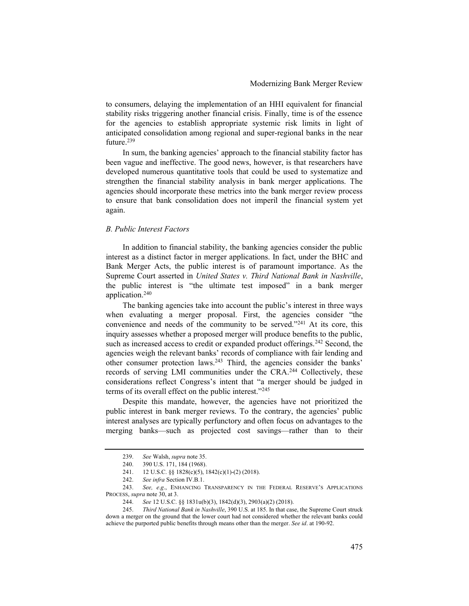to consumers, delaying the implementation of an HHI equivalent for financial stability risks triggering another financial crisis. Finally, time is of the essence for the agencies to establish appropriate systemic risk limits in light of anticipated consolidation among regional and super-regional banks in the near future.<sup>239</sup>

In sum, the banking agencies' approach to the financial stability factor has been vague and ineffective. The good news, however, is that researchers have developed numerous quantitative tools that could be used to systematize and strengthen the financial stability analysis in bank merger applications. The agencies should incorporate these metrics into the bank merger review process to ensure that bank consolidation does not imperil the financial system yet again.

# B. Public Interest Factors

In addition to financial stability, the banking agencies consider the public interest as a distinct factor in merger applications. In fact, under the BHC and Bank Merger Acts, the public interest is of paramount importance. As the Supreme Court asserted in United States v. Third National Bank in Nashville, the public interest is "the ultimate test imposed" in a bank merger application.<sup>240</sup>

The banking agencies take into account the public's interest in three ways when evaluating a merger proposal. First, the agencies consider "the convenience and needs of the community to be served."<sup>241</sup> At its core, this inquiry assesses whether a proposed merger will produce benefits to the public, such as increased access to credit or expanded product offerings.<sup>242</sup> Second, the agencies weigh the relevant banks' records of compliance with fair lending and other consumer protection laws.<sup>243</sup> Third, the agencies consider the banks' records of serving LMI communities under the CRA.<sup>244</sup> Collectively, these considerations reflect Congress's intent that "a merger should be judged in terms of its overall effect on the public interest."<sup>245</sup>

Despite this mandate, however, the agencies have not prioritized the public interest in bank merger reviews. To the contrary, the agencies' public interest analyses are typically perfunctory and often focus on advantages to the merging banks—such as projected cost savings—rather than to their

<sup>239.</sup> See Walsh, supra note 35.

<sup>240. 390</sup> U.S. 171, 184 (1968).

<sup>241. 12</sup> U.S.C. §§ 1828(c)(5), 1842(c)(1)-(2) (2018).

<sup>242.</sup> See infra Section IV.B.1.

<sup>243.</sup> See, e.g., ENHANCING TRANSPARENCY IN THE FEDERAL RESERVE'S APPLICATIONS PROCESS, supra note 30, at 3.

<sup>244.</sup> See 12 U.S.C. §§ 1831u(b)(3), 1842(d)(3), 2903(a)(2) (2018).

<sup>245.</sup> Third National Bank in Nashville, 390 U.S. at 185. In that case, the Supreme Court struck down a merger on the ground that the lower court had not considered whether the relevant banks could achieve the purported public benefits through means other than the merger. See id. at 190-92.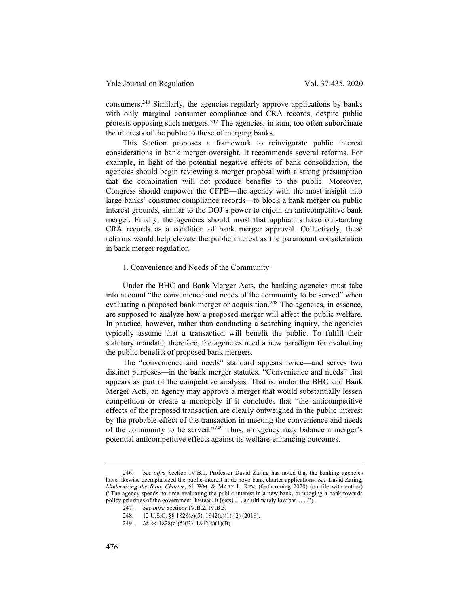consumers.<sup>246</sup> Similarly, the agencies regularly approve applications by banks with only marginal consumer compliance and CRA records, despite public protests opposing such mergers. $247$  The agencies, in sum, too often subordinate the interests of the public to those of merging banks.

This Section proposes a framework to reinvigorate public interest considerations in bank merger oversight. It recommends several reforms. For example, in light of the potential negative effects of bank consolidation, the agencies should begin reviewing a merger proposal with a strong presumption that the combination will not produce benefits to the public. Moreover, Congress should empower the CFPB—the agency with the most insight into large banks' consumer compliance records—to block a bank merger on public interest grounds, similar to the DOJ's power to enjoin an anticompetitive bank merger. Finally, the agencies should insist that applicants have outstanding CRA records as a condition of bank merger approval. Collectively, these reforms would help elevate the public interest as the paramount consideration in bank merger regulation.

#### 1. Convenience and Needs of the Community

Under the BHC and Bank Merger Acts, the banking agencies must take into account "the convenience and needs of the community to be served" when evaluating a proposed bank merger or acquisition.<sup>248</sup> The agencies, in essence, are supposed to analyze how a proposed merger will affect the public welfare. In practice, however, rather than conducting a searching inquiry, the agencies typically assume that a transaction will benefit the public. To fulfill their statutory mandate, therefore, the agencies need a new paradigm for evaluating the public benefits of proposed bank mergers.

The "convenience and needs" standard appears twice—and serves two distinct purposes—in the bank merger statutes. "Convenience and needs" first appears as part of the competitive analysis. That is, under the BHC and Bank Merger Acts, an agency may approve a merger that would substantially lessen competition or create a monopoly if it concludes that "the anticompetitive effects of the proposed transaction are clearly outweighed in the public interest by the probable effect of the transaction in meeting the convenience and needs of the community to be served."<sup>249</sup> Thus, an agency may balance a merger's potential anticompetitive effects against its welfare-enhancing outcomes.

<sup>246.</sup> See infra Section IV.B.1. Professor David Zaring has noted that the banking agencies have likewise deemphasized the public interest in de novo bank charter applications. See David Zaring, Modernizing the Bank Charter, 61 WM. & MARY L. REV. (forthcoming 2020) (on file with author) ("The agency spends no time evaluating the public interest in a new bank, or nudging a bank towards policy priorities of the government. Instead, it [sets] . . . an ultimately low bar . . . .").

<sup>247.</sup> See infra Sections IV.B.2, IV.B.3.

<sup>248. 12</sup> U.S.C. §§ 1828(c)(5), 1842(c)(1)-(2) (2018).

<sup>249.</sup> *Id.* §§ 1828(c)(5)(B), 1842(c)(1)(B).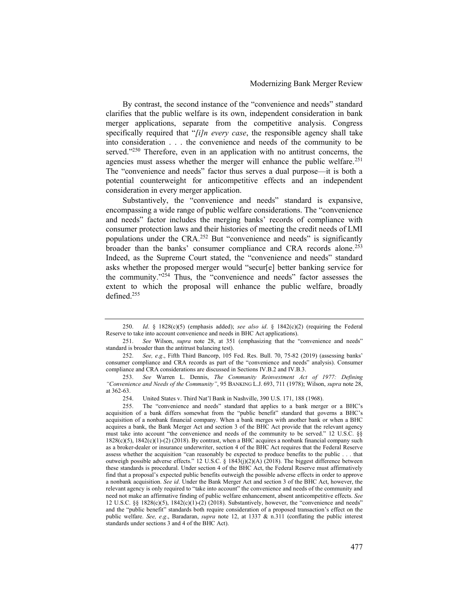By contrast, the second instance of the "convenience and needs" standard clarifies that the public welfare is its own, independent consideration in bank merger applications, separate from the competitive analysis. Congress specifically required that " $[i]$ n every case, the responsible agency shall take into consideration . . . the convenience and needs of the community to be served."<sup>250</sup> Therefore, even in an application with no antitrust concerns, the agencies must assess whether the merger will enhance the public welfare.<sup>251</sup> The "convenience and needs" factor thus serves a dual purpose—it is both a potential counterweight for anticompetitive effects and an independent consideration in every merger application.

Substantively, the "convenience and needs" standard is expansive, encompassing a wide range of public welfare considerations. The "convenience and needs" factor includes the merging banks' records of compliance with consumer protection laws and their histories of meeting the credit needs of LMI populations under the CRA.<sup>252</sup> But "convenience and needs" is significantly broader than the banks' consumer compliance and CRA records alone.<sup>253</sup> Indeed, as the Supreme Court stated, the "convenience and needs" standard asks whether the proposed merger would "secur[e] better banking service for the community."<sup>254</sup> Thus, the "convenience and needs" factor assesses the extent to which the proposal will enhance the public welfare, broadly defined.<sup>255</sup>

<sup>250.</sup> Id. § 1828(c)(5) (emphasis added); see also id. § 1842(c)(2) (requiring the Federal Reserve to take into account convenience and needs in BHC Act applications).

<sup>251.</sup> See Wilson, supra note 28, at 351 (emphasizing that the "convenience and needs" standard is broader than the antitrust balancing test).

<sup>252.</sup> See, e.g., Fifth Third Bancorp, 105 Fed. Res. Bull. 70, 75-82 (2019) (assessing banks' consumer compliance and CRA records as part of the "convenience and needs" analysis). Consumer compliance and CRA considerations are discussed in Sections IV.B.2 and IV.B.3.

<sup>253.</sup> See Warren L. Dennis, The Community Reinvestment Act of 1977: Defining "Convenience and Needs of the Community", 95 BANKING L.J. 693, 711 (1978); Wilson, supra note 28, at 362-63.

<sup>254.</sup> United States v. Third Nat'l Bank in Nashville, 390 U.S. 171, 188 (1968).

<sup>255.</sup> The "convenience and needs" standard that applies to a bank merger or a BHC's acquisition of a bank differs somewhat from the "public benefit" standard that governs a BHC's acquisition of a nonbank financial company. When a bank merges with another bank or when a BHC acquires a bank, the Bank Merger Act and section 3 of the BHC Act provide that the relevant agency must take into account "the convenience and needs of the community to be served." 12 U.S.C. §§  $1828(c)(5)$ ,  $1842(c)(1)-(2)$  (2018). By contrast, when a BHC acquires a nonbank financial company such as a broker-dealer or insurance underwriter, section 4 of the BHC Act requires that the Federal Reserve assess whether the acquisition "can reasonably be expected to produce benefits to the public . . . that outweigh possible adverse effects." 12 U.S.C. § 1843(j)(2)(A) (2018). The biggest difference between these standards is procedural. Under section 4 of the BHC Act, the Federal Reserve must affirmatively find that a proposal's expected public benefits outweigh the possible adverse effects in order to approve a nonbank acquisition. See id. Under the Bank Merger Act and section 3 of the BHC Act, however, the relevant agency is only required to "take into account" the convenience and needs of the community and need not make an affirmative finding of public welfare enhancement, absent anticompetitive effects. See 12 U.S.C. §§ 1828(c)(5), 1842(c)(1)-(2) (2018). Substantively, however, the "convenience and needs" and the "public benefit" standards both require consideration of a proposed transaction's effect on the public welfare. See, e.g., Baradaran, supra note 12, at 1337 & n.311 (conflating the public interest standards under sections 3 and 4 of the BHC Act).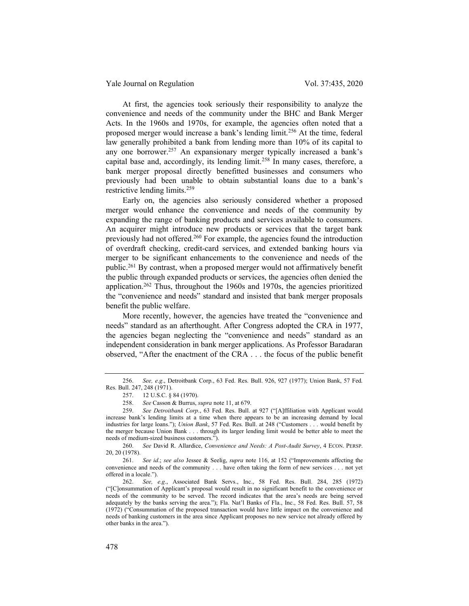At first, the agencies took seriously their responsibility to analyze the convenience and needs of the community under the BHC and Bank Merger Acts. In the 1960s and 1970s, for example, the agencies often noted that a proposed merger would increase a bank's lending limit.<sup>256</sup> At the time, federal law generally prohibited a bank from lending more than 10% of its capital to any one borrower.<sup>257</sup> An expansionary merger typically increased a bank's capital base and, accordingly, its lending limit.<sup>258</sup> In many cases, therefore, a bank merger proposal directly benefitted businesses and consumers who previously had been unable to obtain substantial loans due to a bank's restrictive lending limits.<sup>259</sup>

Early on, the agencies also seriously considered whether a proposed merger would enhance the convenience and needs of the community by expanding the range of banking products and services available to consumers. An acquirer might introduce new products or services that the target bank previously had not offered.<sup>260</sup> For example, the agencies found the introduction of overdraft checking, credit-card services, and extended banking hours via merger to be significant enhancements to the convenience and needs of the public.<sup>261</sup> By contrast, when a proposed merger would not affirmatively benefit the public through expanded products or services, the agencies often denied the application.<sup>262</sup> Thus, throughout the 1960s and 1970s, the agencies prioritized the "convenience and needs" standard and insisted that bank merger proposals benefit the public welfare.

More recently, however, the agencies have treated the "convenience and needs" standard as an afterthought. After Congress adopted the CRA in 1977, the agencies began neglecting the "convenience and needs" standard as an independent consideration in bank merger applications. As Professor Baradaran observed, "After the enactment of the CRA . . . the focus of the public benefit

<sup>256.</sup> See, e.g., Detroitbank Corp., 63 Fed. Res. Bull. 926, 927 (1977); Union Bank, 57 Fed. Res. Bull. 247, 248 (1971).

<sup>257. 12</sup> U.S.C. § 84 (1970).

<sup>258.</sup> See Casson & Burrus, supra note 11, at 679.

<sup>259.</sup> See Detroitbank Corp., 63 Fed. Res. Bull. at 927 ("[A]ffiliation with Applicant would increase bank's lending limits at a time when there appears to be an increasing demand by local industries for large loans."); Union Bank, 57 Fed. Res. Bull. at 248 ("Customers . . . would benefit by the merger because Union Bank . . . through its larger lending limit would be better able to meet the needs of medium-sized business customers.").

<sup>260.</sup> See David R. Allardice, Convenience and Needs: A Post-Audit Survey, 4 ECON. PERSP. 20, 20 (1978).

<sup>261.</sup> See id.; see also Jessee & Seelig, supra note 116, at 152 ("Improvements affecting the convenience and needs of the community . . . have often taking the form of new services . . . not yet offered in a locale.").

<sup>262.</sup> See, e.g., Associated Bank Servs., Inc., 58 Fed. Res. Bull. 284, 285 (1972) ("[C]onsummation of Applicant's proposal would result in no significant benefit to the convenience or needs of the community to be served. The record indicates that the area's needs are being served adequately by the banks serving the area."); Fla. Nat'l Banks of Fla., Inc., 58 Fed. Res. Bull. 57, 58 (1972) ("Consummation of the proposed transaction would have little impact on the convenience and needs of banking customers in the area since Applicant proposes no new service not already offered by other banks in the area.").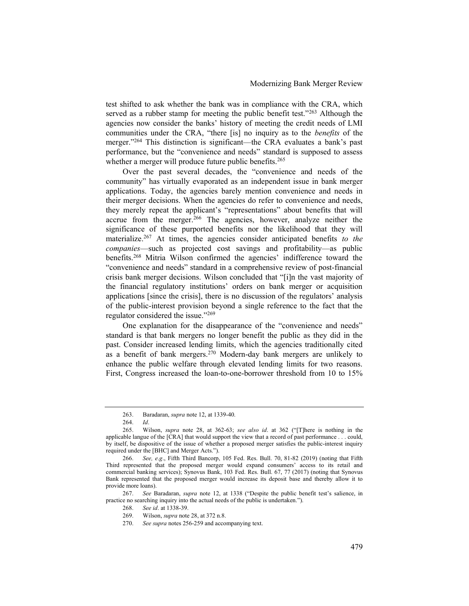test shifted to ask whether the bank was in compliance with the CRA, which served as a rubber stamp for meeting the public benefit test."<sup>263</sup> Although the agencies now consider the banks' history of meeting the credit needs of LMI communities under the CRA, "there [is] no inquiry as to the benefits of the merger."<sup>264</sup> This distinction is significant—the CRA evaluates a bank's past performance, but the "convenience and needs" standard is supposed to assess whether a merger will produce future public benefits.<sup>265</sup>

Over the past several decades, the "convenience and needs of the community" has virtually evaporated as an independent issue in bank merger applications. Today, the agencies barely mention convenience and needs in their merger decisions. When the agencies do refer to convenience and needs, they merely repeat the applicant's "representations" about benefits that will accrue from the merger.<sup>266</sup> The agencies, however, analyze neither the significance of these purported benefits nor the likelihood that they will materialize.<sup>267</sup> At times, the agencies consider anticipated benefits to the companies—such as projected cost savings and profitability—as public benefits.<sup>268</sup> Mitria Wilson confirmed the agencies' indifference toward the "convenience and needs" standard in a comprehensive review of post-financial crisis bank merger decisions. Wilson concluded that "[i]n the vast majority of the financial regulatory institutions' orders on bank merger or acquisition applications [since the crisis], there is no discussion of the regulators' analysis of the public-interest provision beyond a single reference to the fact that the regulator considered the issue."<sup>269</sup>

One explanation for the disappearance of the "convenience and needs" standard is that bank mergers no longer benefit the public as they did in the past. Consider increased lending limits, which the agencies traditionally cited as a benefit of bank mergers.<sup>270</sup> Modern-day bank mergers are unlikely to enhance the public welfare through elevated lending limits for two reasons. First, Congress increased the loan-to-one-borrower threshold from 10 to 15%

267. See Baradaran, *supra* note 12, at 1338 ("Despite the public benefit test's salience, in practice no searching inquiry into the actual needs of the public is undertaken.").

<sup>263.</sup> Baradaran, supra note 12, at 1339-40.

<sup>264.</sup> Id.

<sup>265.</sup> Wilson, supra note 28, at 362-63; see also id. at 362 ("[T]here is nothing in the applicable langue of the [CRA] that would support the view that a record of past performance . . . could, by itself, be dispositive of the issue of whether a proposed merger satisfies the public-interest inquiry required under the [BHC] and Merger Acts.").

<sup>266.</sup> See, e.g., Fifth Third Bancorp, 105 Fed. Res. Bull. 70, 81-82 (2019) (noting that Fifth Third represented that the proposed merger would expand consumers' access to its retail and commercial banking services); Synovus Bank, 103 Fed. Res. Bull. 67, 77 (2017) (noting that Synovus Bank represented that the proposed merger would increase its deposit base and thereby allow it to provide more loans).

<sup>268.</sup> See id. at 1338-39.

<sup>269.</sup> Wilson, supra note 28, at 372 n.8.

<sup>270.</sup> See supra notes 256-259 and accompanying text.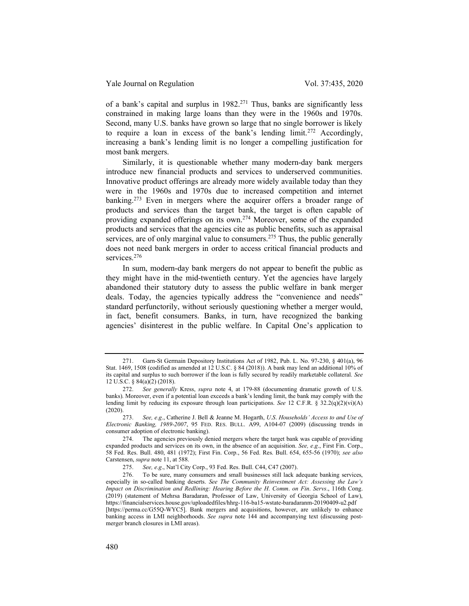of a bank's capital and surplus in 1982.<sup>271</sup> Thus, banks are significantly less constrained in making large loans than they were in the 1960s and 1970s. Second, many U.S. banks have grown so large that no single borrower is likely to require a loan in excess of the bank's lending  $\lim_{x \to 27} x^2$  Accordingly, increasing a bank's lending limit is no longer a compelling justification for most bank mergers.

Similarly, it is questionable whether many modern-day bank mergers introduce new financial products and services to underserved communities. Innovative product offerings are already more widely available today than they were in the 1960s and 1970s due to increased competition and internet banking.<sup>273</sup> Even in mergers where the acquirer offers a broader range of products and services than the target bank, the target is often capable of providing expanded offerings on its own.<sup>274</sup> Moreover, some of the expanded products and services that the agencies cite as public benefits, such as appraisal services, are of only marginal value to consumers.<sup>275</sup> Thus, the public generally does not need bank mergers in order to access critical financial products and services.<sup>276</sup>

In sum, modern-day bank mergers do not appear to benefit the public as they might have in the mid-twentieth century. Yet the agencies have largely abandoned their statutory duty to assess the public welfare in bank merger deals. Today, the agencies typically address the "convenience and needs" standard perfunctorily, without seriously questioning whether a merger would, in fact, benefit consumers. Banks, in turn, have recognized the banking agencies' disinterest in the public welfare. In Capital One's application to

<sup>271.</sup> Garn-St Germain Depository Institutions Act of 1982, Pub. L. No. 97-230, § 401(a), 96 Stat. 1469, 1508 (codified as amended at 12 U.S.C. § 84 (2018)). A bank may lend an additional 10% of its capital and surplus to such borrower if the loan is fully secured by readily marketable collateral. See 12 U.S.C. § 84(a)(2) (2018).

<sup>272.</sup> See generally Kress, supra note 4, at 179-88 (documenting dramatic growth of U.S. banks). Moreover, even if a potential loan exceeds a bank's lending limit, the bank may comply with the lending limit by reducing its exposure through loan participations. See 12 C.F.R. § 32.2(q)(2)(vi)(A) (2020).

<sup>273.</sup> See, e.g., Catherine J. Bell & Jeanne M. Hogarth, U.S. Households' Access to and Use of Electronic Banking, 1989-2007, 95 FED. RES. BULL. A99, A104-07 (2009) (discussing trends in consumer adoption of electronic banking).

<sup>274.</sup> The agencies previously denied mergers where the target bank was capable of providing expanded products and services on its own, in the absence of an acquisition. See, e.g., First Fin. Corp., 58 Fed. Res. Bull. 480, 481 (1972); First Fin. Corp., 56 Fed. Res. Bull. 654, 655-56 (1970); see also Carstensen, supra note 11, at 588.

<sup>275.</sup> See, e.g., Nat'l City Corp., 93 Fed. Res. Bull. C44, C47 (2007).

<sup>276.</sup> To be sure, many consumers and small businesses still lack adequate banking services, especially in so-called banking deserts. See The Community Reinvestment Act: Assessing the Law's Impact on Discrimination and Redlining: Hearing Before the H. Comm. on Fin. Servs., 116th Cong. (2019) (statement of Mehrsa Baradaran, Professor of Law, University of Georgia School of Law), https://financialservices.house.gov/uploadedfiles/hhrg-116-ba15-wstate-baradaranm-20190409-u2.pdf [https://perma.cc/G55Q-WYC5]. Bank mergers and acquisitions, however, are unlikely to enhance banking access in LMI neighborhoods. See supra note 144 and accompanying text (discussing postmerger branch closures in LMI areas).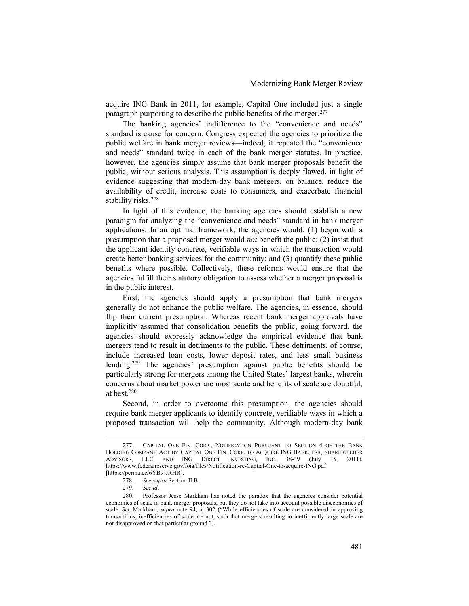acquire ING Bank in 2011, for example, Capital One included just a single paragraph purporting to describe the public benefits of the merger.<sup>277</sup>

The banking agencies' indifference to the "convenience and needs" standard is cause for concern. Congress expected the agencies to prioritize the public welfare in bank merger reviews—indeed, it repeated the "convenience and needs" standard twice in each of the bank merger statutes. In practice, however, the agencies simply assume that bank merger proposals benefit the public, without serious analysis. This assumption is deeply flawed, in light of evidence suggesting that modern-day bank mergers, on balance, reduce the availability of credit, increase costs to consumers, and exacerbate financial stability risks.<sup>278</sup>

In light of this evidence, the banking agencies should establish a new paradigm for analyzing the "convenience and needs" standard in bank merger applications. In an optimal framework, the agencies would: (1) begin with a presumption that a proposed merger would *not* benefit the public; (2) insist that the applicant identify concrete, verifiable ways in which the transaction would create better banking services for the community; and (3) quantify these public benefits where possible. Collectively, these reforms would ensure that the agencies fulfill their statutory obligation to assess whether a merger proposal is in the public interest.

First, the agencies should apply a presumption that bank mergers generally do not enhance the public welfare. The agencies, in essence, should flip their current presumption. Whereas recent bank merger approvals have implicitly assumed that consolidation benefits the public, going forward, the agencies should expressly acknowledge the empirical evidence that bank mergers tend to result in detriments to the public. These detriments, of course, include increased loan costs, lower deposit rates, and less small business lending.<sup>279</sup> The agencies' presumption against public benefits should be particularly strong for mergers among the United States' largest banks, wherein concerns about market power are most acute and benefits of scale are doubtful, at best.<sup>280</sup>

Second, in order to overcome this presumption, the agencies should require bank merger applicants to identify concrete, verifiable ways in which a proposed transaction will help the community. Although modern-day bank

<sup>277.</sup> CAPITAL ONE FIN. CORP., NOTIFICATION PURSUANT TO SECTION 4 OF THE BANK HOLDING COMPANY ACT BY CAPITAL ONE FIN. CORP. TO ACQUIRE ING BANK, FSB, SHAREBUILDER ADVISORS, LLC AND ING DIRECT INVESTING, INC. 38-39 (July 15, 2011), https://www.federalreserve.gov/foia/files/Notification-re-Captial-One-to-acquire-ING.pdf [https://perma.cc/6YB9-JRHR].

<sup>278.</sup> See supra Section II.B.

<sup>279.</sup> See id.

<sup>280.</sup> Professor Jesse Markham has noted the paradox that the agencies consider potential economies of scale in bank merger proposals, but they do not take into account possible diseconomies of scale. See Markham, *supra* note 94, at 302 ("While efficiencies of scale are considered in approving transactions, inefficiencies of scale are not, such that mergers resulting in inefficiently large scale are not disapproved on that particular ground.").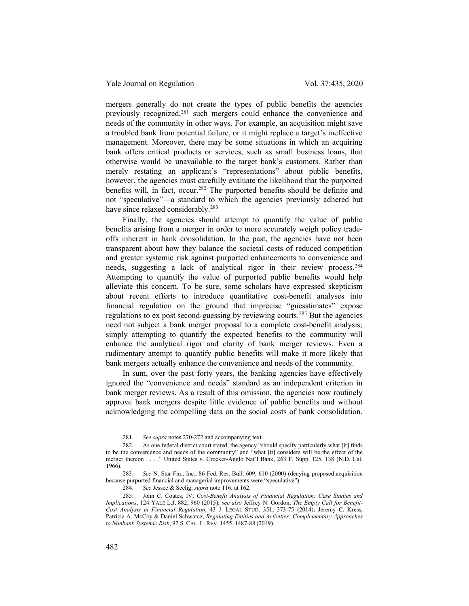mergers generally do not create the types of public benefits the agencies previously recognized,<sup>281</sup> such mergers could enhance the convenience and needs of the community in other ways. For example, an acquisition might save a troubled bank from potential failure, or it might replace a target's ineffective management. Moreover, there may be some situations in which an acquiring bank offers critical products or services, such as small business loans, that otherwise would be unavailable to the target bank's customers. Rather than merely restating an applicant's "representations" about public benefits, however, the agencies must carefully evaluate the likelihood that the purported benefits will, in fact, occur.<sup>282</sup> The purported benefits should be definite and not "speculative"—a standard to which the agencies previously adhered but have since relaxed considerably.<sup>283</sup>

Finally, the agencies should attempt to quantify the value of public benefits arising from a merger in order to more accurately weigh policy tradeoffs inherent in bank consolidation. In the past, the agencies have not been transparent about how they balance the societal costs of reduced competition and greater systemic risk against purported enhancements to convenience and needs, suggesting a lack of analytical rigor in their review process.<sup>284</sup> Attempting to quantify the value of purported public benefits would help alleviate this concern. To be sure, some scholars have expressed skepticism about recent efforts to introduce quantitative cost-benefit analyses into financial regulation on the ground that imprecise "guesstimates" expose regulations to ex post second-guessing by reviewing courts.<sup>285</sup> But the agencies need not subject a bank merger proposal to a complete cost-benefit analysis; simply attempting to quantify the expected benefits to the community will enhance the analytical rigor and clarity of bank merger reviews. Even a rudimentary attempt to quantify public benefits will make it more likely that bank mergers actually enhance the convenience and needs of the community.

In sum, over the past forty years, the banking agencies have effectively ignored the "convenience and needs" standard as an independent criterion in bank merger reviews. As a result of this omission, the agencies now routinely approve bank mergers despite little evidence of public benefits and without acknowledging the compelling data on the social costs of bank consolidation.

<sup>281.</sup> See supra notes 270-272 and accompanying text.

<sup>282.</sup> As one federal district court stated, the agency "should specify particularly what [it] finds to be the convenience and needs of the community" and "what [it] considers will be the effect of the merger thereon . . . ." United States v. Crocker-Anglo Nat'l Bank, 263 F. Supp. 125, 138 (N.D. Cal. 1966).

<sup>283.</sup> See N. Star Fin., Inc., 86 Fed. Res. Bull. 609, 610 (2000) (denying proposed acquisition because purported financial and managerial improvements were "speculative").

<sup>284.</sup> See Jessee & Seelig, supra note 116, at 162.

<sup>285.</sup> John C. Coates, IV, Cost-Benefit Analysis of Financial Regulation: Case Studies and Implications, 124 YALE L.J. 882, 960 (2015); see also Jeffrey N. Gordon, The Empty Call for Benefit-Cost Analysis in Financial Regulation, 43 J. LEGAL STUD. 351, 373-75 (2014); Jeremy C. Kress, Patricia A. McCoy & Daniel Schwarcz, Regulating Entities and Activities: Complementary Approaches to Nonbank Systemic Risk, 92 S. CAL. L. REV. 1455, 1487-88 (2019).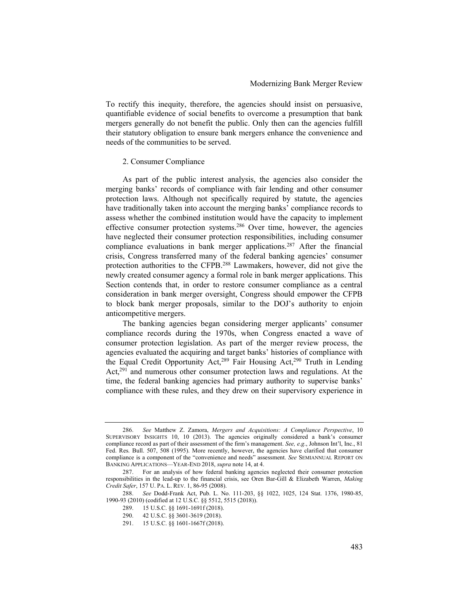To rectify this inequity, therefore, the agencies should insist on persuasive, quantifiable evidence of social benefits to overcome a presumption that bank mergers generally do not benefit the public. Only then can the agencies fulfill their statutory obligation to ensure bank mergers enhance the convenience and needs of the communities to be served.

#### 2. Consumer Compliance

As part of the public interest analysis, the agencies also consider the merging banks' records of compliance with fair lending and other consumer protection laws. Although not specifically required by statute, the agencies have traditionally taken into account the merging banks' compliance records to assess whether the combined institution would have the capacity to implement effective consumer protection systems.<sup>286</sup> Over time, however, the agencies have neglected their consumer protection responsibilities, including consumer compliance evaluations in bank merger applications.<sup>287</sup> After the financial crisis, Congress transferred many of the federal banking agencies' consumer protection authorities to the CFPB.<sup>288</sup> Lawmakers, however, did not give the newly created consumer agency a formal role in bank merger applications. This Section contends that, in order to restore consumer compliance as a central consideration in bank merger oversight, Congress should empower the CFPB to block bank merger proposals, similar to the DOJ's authority to enjoin anticompetitive mergers.

The banking agencies began considering merger applicants' consumer compliance records during the 1970s, when Congress enacted a wave of consumer protection legislation. As part of the merger review process, the agencies evaluated the acquiring and target banks' histories of compliance with the Equal Credit Opportunity Act,<sup>289</sup> Fair Housing Act,<sup>290</sup> Truth in Lending Act,<sup>291</sup> and numerous other consumer protection laws and regulations. At the time, the federal banking agencies had primary authority to supervise banks' compliance with these rules, and they drew on their supervisory experience in

<sup>286.</sup> See Matthew Z. Zamora, Mergers and Acquisitions: A Compliance Perspective, 10 SUPERVISORY INSIGHTS 10, 10 (2013). The agencies originally considered a bank's consumer compliance record as part of their assessment of the firm's management. See, e.g., Johnson Int'l, Inc., 81 Fed. Res. Bull. 507, 508 (1995). More recently, however, the agencies have clarified that consumer compliance is a component of the "convenience and needs" assessment. See SEMIANNUAL REPORT ON BANKING APPLICATIONS—YEAR-END 2018, supra note 14, at 4.

<sup>287.</sup> For an analysis of how federal banking agencies neglected their consumer protection responsibilities in the lead-up to the financial crisis, see Oren Bar-Gill & Elizabeth Warren, Making Credit Safer, 157 U. PA. L. REV. 1, 86-95 (2008).

<sup>288.</sup> See Dodd-Frank Act, Pub. L. No. 111-203, §§ 1022, 1025, 124 Stat. 1376, 1980-85, 1990-93 (2010) (codified at 12 U.S.C. §§ 5512, 5515 (2018)).

<sup>289. 15</sup> U.S.C. §§ 1691-1691f (2018).<br>290. 42 U.S.C. §§ 3601-3619 (2018).

<sup>290. 42</sup> U.S.C. §§ 3601-3619 (2018).

<sup>291. 15</sup> U.S.C. §§ 1601-1667f (2018).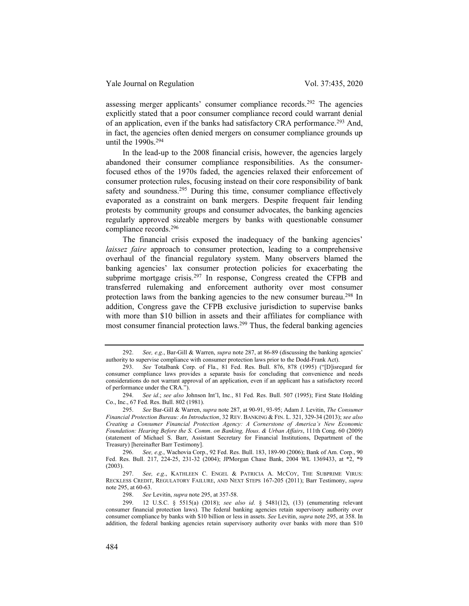assessing merger applicants' consumer compliance records.<sup>292</sup> The agencies explicitly stated that a poor consumer compliance record could warrant denial of an application, even if the banks had satisfactory CRA performance.<sup>293</sup> And, in fact, the agencies often denied mergers on consumer compliance grounds up until the 1990s.<sup>294</sup>

In the lead-up to the 2008 financial crisis, however, the agencies largely abandoned their consumer compliance responsibilities. As the consumerfocused ethos of the 1970s faded, the agencies relaxed their enforcement of consumer protection rules, focusing instead on their core responsibility of bank safety and soundness.<sup>295</sup> During this time, consumer compliance effectively evaporated as a constraint on bank mergers. Despite frequent fair lending protests by community groups and consumer advocates, the banking agencies regularly approved sizeable mergers by banks with questionable consumer compliance records.<sup>296</sup>

The financial crisis exposed the inadequacy of the banking agencies' laissez faire approach to consumer protection, leading to a comprehensive overhaul of the financial regulatory system. Many observers blamed the banking agencies' lax consumer protection policies for exacerbating the subprime mortgage crisis.<sup>297</sup> In response, Congress created the CFPB and transferred rulemaking and enforcement authority over most consumer protection laws from the banking agencies to the new consumer bureau.<sup>298</sup> In addition, Congress gave the CFPB exclusive jurisdiction to supervise banks with more than \$10 billion in assets and their affiliates for compliance with most consumer financial protection laws.<sup>299</sup> Thus, the federal banking agencies

298. See Levitin, supra note 295, at 357-58.

<sup>292.</sup> See, e.g., Bar-Gill & Warren, supra note 287, at 86-89 (discussing the banking agencies' authority to supervise compliance with consumer protection laws prior to the Dodd-Frank Act).

<sup>293.</sup> See Totalbank Corp. of Fla., 81 Fed. Res. Bull. 876, 878 (1995) ("[D]isregard for consumer compliance laws provides a separate basis for concluding that convenience and needs considerations do not warrant approval of an application, even if an applicant has a satisfactory record of performance under the CRA.").

<sup>294.</sup> See id.; see also Johnson Int'l, Inc., 81 Fed. Res. Bull. 507 (1995); First State Holding Co., Inc., 67 Fed. Res. Bull. 802 (1981).

<sup>295.</sup> See Bar-Gill & Warren, supra note 287, at 90-91, 93-95; Adam J. Levitin, The Consumer Financial Protection Bureau: An Introduction, 32 REV. BANKING & FIN. L. 321, 329-34 (2013); see also Creating a Consumer Financial Protection Agency: A Cornerstone of America's New Economic Foundation: Hearing Before the S. Comm. on Banking, Hous. & Urban Affairs, 111th Cong. 60 (2009) (statement of Michael S. Barr, Assistant Secretary for Financial Institutions, Department of the Treasury) [hereinafter Barr Testimony].

<sup>296.</sup> See, e.g., Wachovia Corp., 92 Fed. Res. Bull. 183, 189-90 (2006); Bank of Am. Corp., 90 Fed. Res. Bull. 217, 224-25, 231-32 (2004); JPMorgan Chase Bank, 2004 WL 1369433, at \*2, \*9 (2003).

<sup>297.</sup> See, e.g., KATHLEEN C. ENGEL & PATRICIA A. MCCOY, THE SUBPRIME VIRUS: RECKLESS CREDIT, REGULATORY FAILURE, AND NEXT STEPS 167-205 (2011); Barr Testimony, supra note 295, at 60-63.

<sup>299. 12</sup> U.S.C. § 5515(a) (2018); see also id. § 5481(12), (13) (enumerating relevant consumer financial protection laws). The federal banking agencies retain supervisory authority over consumer compliance by banks with \$10 billion or less in assets. See Levitin, supra note 295, at 358. In addition, the federal banking agencies retain supervisory authority over banks with more than \$10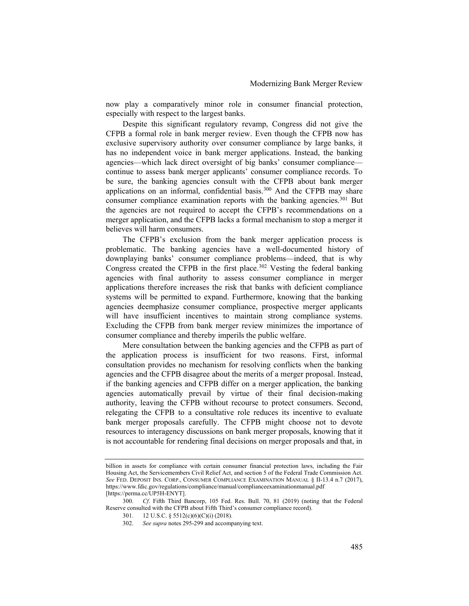now play a comparatively minor role in consumer financial protection, especially with respect to the largest banks.

Despite this significant regulatory revamp, Congress did not give the CFPB a formal role in bank merger review. Even though the CFPB now has exclusive supervisory authority over consumer compliance by large banks, it has no independent voice in bank merger applications. Instead, the banking agencies—which lack direct oversight of big banks' consumer compliance continue to assess bank merger applicants' consumer compliance records. To be sure, the banking agencies consult with the CFPB about bank merger applications on an informal, confidential basis.<sup>300</sup> And the CFPB may share consumer compliance examination reports with the banking agencies.<sup>301</sup> But the agencies are not required to accept the CFPB's recommendations on a merger application, and the CFPB lacks a formal mechanism to stop a merger it believes will harm consumers.

The CFPB's exclusion from the bank merger application process is problematic. The banking agencies have a well-documented history of downplaying banks' consumer compliance problems—indeed, that is why Congress created the CFPB in the first place.<sup>302</sup> Vesting the federal banking agencies with final authority to assess consumer compliance in merger applications therefore increases the risk that banks with deficient compliance systems will be permitted to expand. Furthermore, knowing that the banking agencies deemphasize consumer compliance, prospective merger applicants will have insufficient incentives to maintain strong compliance systems. Excluding the CFPB from bank merger review minimizes the importance of consumer compliance and thereby imperils the public welfare.

Mere consultation between the banking agencies and the CFPB as part of the application process is insufficient for two reasons. First, informal consultation provides no mechanism for resolving conflicts when the banking agencies and the CFPB disagree about the merits of a merger proposal. Instead, if the banking agencies and CFPB differ on a merger application, the banking agencies automatically prevail by virtue of their final decision-making authority, leaving the CFPB without recourse to protect consumers. Second, relegating the CFPB to a consultative role reduces its incentive to evaluate bank merger proposals carefully. The CFPB might choose not to devote resources to interagency discussions on bank merger proposals, knowing that it is not accountable for rendering final decisions on merger proposals and that, in

billion in assets for compliance with certain consumer financial protection laws, including the Fair Housing Act, the Servicemembers Civil Relief Act, and section 5 of the Federal Trade Commission Act. See FED. DEPOSIT INS. CORP., CONSUMER COMPLIANCE EXAMINATION MANUAL § II-13.4 n.7 (2017), https://www.fdic.gov/regulations/compliance/manual/complianceexaminationmanual.pdf [https://perma.cc/UP5H-ENYT].

<sup>300.</sup> Cf. Fifth Third Bancorp, 105 Fed. Res. Bull. 70, 81 (2019) (noting that the Federal Reserve consulted with the CFPB about Fifth Third's consumer compliance record).

<sup>301. 12</sup> U.S.C. § 5512(c)(6)(C)(i) (2018).

<sup>302.</sup> See supra notes 295-299 and accompanying text.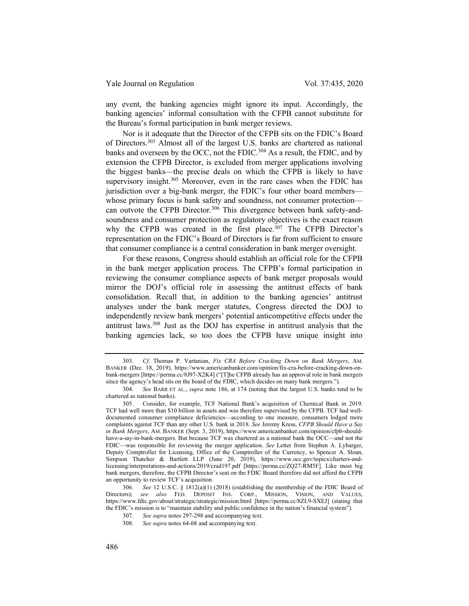any event, the banking agencies might ignore its input. Accordingly, the banking agencies' informal consultation with the CFPB cannot substitute for the Bureau's formal participation in bank merger reviews.

Nor is it adequate that the Director of the CFPB sits on the FDIC's Board of Directors.<sup>303</sup> Almost all of the largest U.S. banks are chartered as national banks and overseen by the OCC, not the FDIC.<sup>304</sup> As a result, the FDIC, and by extension the CFPB Director, is excluded from merger applications involving the biggest banks—the precise deals on which the CFPB is likely to have supervisory insight.<sup>305</sup> Moreover, even in the rare cases when the FDIC has jurisdiction over a big-bank merger, the FDIC's four other board members whose primary focus is bank safety and soundness, not consumer protection can outvote the CFPB Director.<sup>306</sup> This divergence between bank safety-andsoundness and consumer protection as regulatory objectives is the exact reason why the CFPB was created in the first place.<sup>307</sup> The CFPB Director's representation on the FDIC's Board of Directors is far from sufficient to ensure that consumer compliance is a central consideration in bank merger oversight.

For these reasons, Congress should establish an official role for the CFPB in the bank merger application process. The CFPB's formal participation in reviewing the consumer compliance aspects of bank merger proposals would mirror the DOJ's official role in assessing the antitrust effects of bank consolidation. Recall that, in addition to the banking agencies' antitrust analyses under the bank merger statutes, Congress directed the DOJ to independently review bank mergers' potential anticompetitive effects under the antitrust laws.<sup>308</sup> Just as the DOJ has expertise in antitrust analysis that the banking agencies lack, so too does the CFPB have unique insight into

<sup>303.</sup> Cf. Thomas P. Vartanian, Fix CRA Before Cracking Down on Bank Mergers, AM. BANKER (Dec. 18, 2019), https://www.americanbanker.com/opinion/fix-cra-before-cracking-down-onbank-mergers [https://perma.cc/8J97-X2K4] ("[T]he CFPB already has an approval role in bank mergers since the agency's head sits on the board of the FDIC, which decides on many bank mergers.").

<sup>304.</sup> See BARR ET AL., supra note 186, at 174 (noting that the largest U.S. banks tend to be chartered as national banks).

<sup>305.</sup> Consider, for example, TCF National Bank's acquisition of Chemical Bank in 2019. TCF had well more than \$10 billion in assets and was therefore supervised by the CFPB. TCF had welldocumented consumer compliance deficiencies—according to one measure, consumers lodged more complaints against TCF than any other U.S. bank in 2018. See Jeremy Kress, CFPB Should Have a Say in Bank Mergers, AM. BANKER (Sept. 3, 2019), https://www.americanbanker.com/opinion/cfpb-shouldhave-a-say-in-bank-mergers. But because TCF was chartered as a national bank the OCC—and not the FDIC—was responsible for reviewing the merger application. See Letter from Stephen A. Lybarger, Deputy Comptroller for Licensing, Office of the Comptroller of the Currency, to Spencer A. Sloan, Simpson Thatcher & Bartlett LLP (June 20, 2019), https://www.occ.gov/topics/charters-andlicensing/interpretations-and-actions/2019/crad197.pdf [https://perma.cc/ZQ27-RM5F]. Like most big bank mergers, therefore, the CFPB Director's seat on the FDIC Board therefore did not afford the CFPB an opportunity to review TCF's acquisition.

<sup>306.</sup> See 12 U.S.C. § 1812(a)(1) (2018) (establishing the membership of the FDIC Board of Directors); see also FED. DEPOSIT INS. CORP., MISSION, VISION, AND VALUES, https://www.fdic.gov/about/strategic/strategic/mission.html [https://perma.cc/8ZL9-SXEJ] (stating that the FDIC's mission is to "maintain stability and public confidence in the nation's financial system").

<sup>307.</sup> See supra notes 297-298 and accompanying text.

<sup>308.</sup> See supra notes 64-68 and accompanying text.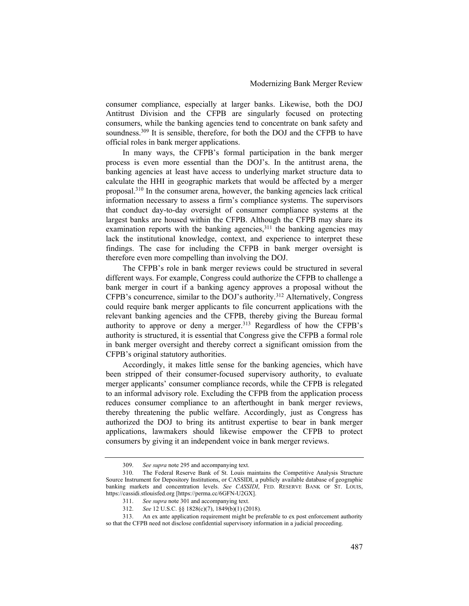consumer compliance, especially at larger banks. Likewise, both the DOJ Antitrust Division and the CFPB are singularly focused on protecting consumers, while the banking agencies tend to concentrate on bank safety and soundness.<sup>309</sup> It is sensible, therefore, for both the DOJ and the CFPB to have official roles in bank merger applications.

In many ways, the CFPB's formal participation in the bank merger process is even more essential than the DOJ's. In the antitrust arena, the banking agencies at least have access to underlying market structure data to calculate the HHI in geographic markets that would be affected by a merger proposal.<sup>310</sup> In the consumer arena, however, the banking agencies lack critical information necessary to assess a firm's compliance systems. The supervisors that conduct day-to-day oversight of consumer compliance systems at the largest banks are housed within the CFPB. Although the CFPB may share its examination reports with the banking agencies,  $311$  the banking agencies may lack the institutional knowledge, context, and experience to interpret these findings. The case for including the CFPB in bank merger oversight is therefore even more compelling than involving the DOJ.

The CFPB's role in bank merger reviews could be structured in several different ways. For example, Congress could authorize the CFPB to challenge a bank merger in court if a banking agency approves a proposal without the CFPB's concurrence, similar to the DOJ's authority.<sup>312</sup> Alternatively, Congress could require bank merger applicants to file concurrent applications with the relevant banking agencies and the CFPB, thereby giving the Bureau formal authority to approve or deny a merger.<sup>313</sup> Regardless of how the CFPB's authority is structured, it is essential that Congress give the CFPB a formal role in bank merger oversight and thereby correct a significant omission from the CFPB's original statutory authorities.

Accordingly, it makes little sense for the banking agencies, which have been stripped of their consumer-focused supervisory authority, to evaluate merger applicants' consumer compliance records, while the CFPB is relegated to an informal advisory role. Excluding the CFPB from the application process reduces consumer compliance to an afterthought in bank merger reviews, thereby threatening the public welfare. Accordingly, just as Congress has authorized the DOJ to bring its antitrust expertise to bear in bank merger applications, lawmakers should likewise empower the CFPB to protect consumers by giving it an independent voice in bank merger reviews.

<sup>309.</sup> See supra note 295 and accompanying text.

<sup>310.</sup> The Federal Reserve Bank of St. Louis maintains the Competitive Analysis Structure Source Instrument for Depository Institutions, or CASSIDI, a publicly available database of geographic banking markets and concentration levels. See CASSIDI, FED. RESERVE BANK OF ST. LOUIS, https://cassidi.stlouisfed.org [https://perma.cc/6GFN-U2GX].

<sup>311.</sup> See supra note 301 and accompanying text.

<sup>312.</sup> See 12 U.S.C. §§ 1828(c)(7), 1849(b)(1) (2018).

<sup>313.</sup> An ex ante application requirement might be preferable to ex post enforcement authority so that the CFPB need not disclose confidential supervisory information in a judicial proceeding.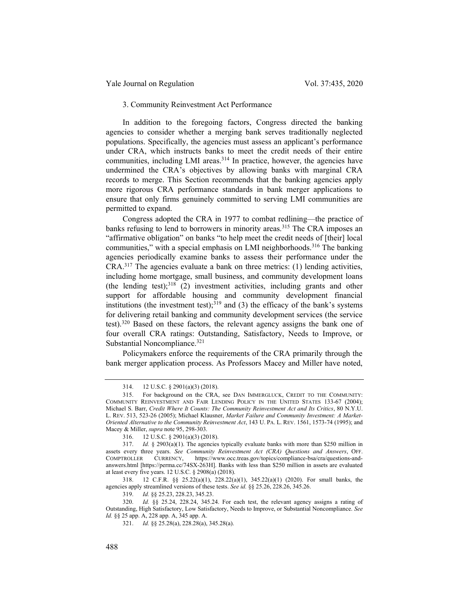Yale Journal on Regulation Vol. 37:435, 2020

#### 3. Community Reinvestment Act Performance

In addition to the foregoing factors, Congress directed the banking agencies to consider whether a merging bank serves traditionally neglected populations. Specifically, the agencies must assess an applicant's performance under CRA, which instructs banks to meet the credit needs of their entire communities, including LMI areas.<sup>314</sup> In practice, however, the agencies have undermined the CRA's objectives by allowing banks with marginal CRA records to merge. This Section recommends that the banking agencies apply more rigorous CRA performance standards in bank merger applications to ensure that only firms genuinely committed to serving LMI communities are permitted to expand.

Congress adopted the CRA in 1977 to combat redlining—the practice of banks refusing to lend to borrowers in minority areas.<sup>315</sup> The CRA imposes an "affirmative obligation" on banks "to help meet the credit needs of [their] local communities," with a special emphasis on LMI neighborhoods.<sup>316</sup> The banking agencies periodically examine banks to assess their performance under the CRA.<sup>317</sup> The agencies evaluate a bank on three metrics: (1) lending activities, including home mortgage, small business, and community development loans (the lending test); $318$  (2) investment activities, including grants and other support for affordable housing and community development financial institutions (the investment test);  $319$  and (3) the efficacy of the bank's systems for delivering retail banking and community development services (the service test).<sup>320</sup> Based on these factors, the relevant agency assigns the bank one of four overall CRA ratings: Outstanding, Satisfactory, Needs to Improve, or Substantial Noncompliance.<sup>321</sup>

Policymakers enforce the requirements of the CRA primarily through the bank merger application process. As Professors Macey and Miller have noted,

<sup>314. 12</sup> U.S.C. § 2901(a)(3) (2018).

<sup>315.</sup> For background on the CRA, see DAN IMMERGLUCK, CREDIT TO THE COMMUNITY: COMMUNITY REINVESTMENT AND FAIR LENDING POLICY IN THE UNITED STATES 133-67 (2004); Michael S. Barr, Credit Where It Counts: The Community Reinvestment Act and Its Critics, 80 N.Y.U. L. REV. 513, 523-26 (2005); Michael Klausner, Market Failure and Community Investment: A Market-Oriented Alternative to the Community Reinvestment Act, 143 U. PA. L. REV. 1561, 1573-74 (1995); and Macey & Miller, *supra* note 95, 298-303.

<sup>316. 12</sup> U.S.C. § 2901(a)(3) (2018).

<sup>317.</sup> *Id.* § 2903(a)(1). The agencies typically evaluate banks with more than \$250 million in assets every three years. See Community Reinvestment Act (CRA) Questions and Answers, OFF. COMPTROLLER CURRENCY, https://www.occ.treas.gov/topics/compliance-bsa/cra/questions-andanswers.html [https://perma.cc/74SX-263H]. Banks with less than \$250 million in assets are evaluated at least every five years. 12 U.S.C. § 2908(a) (2018).

<sup>318. 12</sup> C.F.R. §§ 25.22(a)(1), 228.22(a)(1), 345.22(a)(1) (2020). For small banks, the agencies apply streamlined versions of these tests. See id. §§ 25.26, 228.26, 345.26.

<sup>319.</sup> Id. §§ 25.23, 228.23, 345.23.

<sup>320.</sup> Id. §§ 25.24, 228.24, 345.24. For each test, the relevant agency assigns a rating of Outstanding, High Satisfactory, Low Satisfactory, Needs to Improve, or Substantial Noncompliance. See Id. §§ 25 app. A, 228 app. A, 345 app. A.

<sup>321.</sup> Id. §§ 25.28(a), 228.28(a), 345.28(a).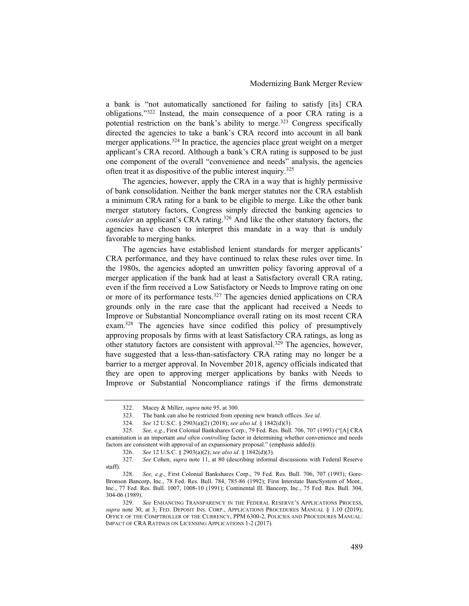a bank is "not automatically sanctioned for failing to satisfy [its] CRA obligations."<sup>322</sup> Instead, the main consequence of a poor CRA rating is a potential restriction on the bank's ability to merge.<sup>323</sup> Congress specifically directed the agencies to take a bank's CRA record into account in all bank merger applications.<sup>324</sup> In practice, the agencies place great weight on a merger applicant's CRA record. Although a bank's CRA rating is supposed to be just one component of the overall "convenience and needs" analysis, the agencies often treat it as dispositive of the public interest inquiry.<sup>325</sup>

The agencies, however, apply the CRA in a way that is highly permissive of bank consolidation. Neither the bank merger statutes nor the CRA establish a minimum CRA rating for a bank to be eligible to merge. Like the other bank merger statutory factors, Congress simply directed the banking agencies to consider an applicant's CRA rating.<sup>326</sup> And like the other statutory factors, the agencies have chosen to interpret this mandate in a way that is unduly favorable to merging banks.

The agencies have established lenient standards for merger applicants' CRA performance, and they have continued to relax these rules over time. In the 1980s, the agencies adopted an unwritten policy favoring approval of a merger application if the bank had at least a Satisfactory overall CRA rating, even if the firm received a Low Satisfactory or Needs to Improve rating on one or more of its performance tests.<sup>327</sup> The agencies denied applications on CRA grounds only in the rare case that the applicant had received a Needs to Improve or Substantial Noncompliance overall rating on its most recent CRA exam.<sup>328</sup> The agencies have since codified this policy of presumptively approving proposals by firms with at least Satisfactory CRA ratings, as long as other statutory factors are consistent with approval.<sup>329</sup> The agencies, however, have suggested that a less-than-satisfactory CRA rating may no longer be a barrier to a merger approval. In November 2018, agency officials indicated that they are open to approving merger applications by banks with Needs to Improve or Substantial Noncompliance ratings if the firms demonstrate

<sup>322.</sup> Macey & Miller, supra note 95, at 300.

<sup>323.</sup> The bank can also be restricted from opening new branch offices. See id.

<sup>324.</sup> See 12 U.S.C. § 2903(a)(2) (2018); see also id. § 1842(d)(3).

<sup>325.</sup> See, e.g., First Colonial Bankshares Corp., 79 Fed. Res. Bull. 706, 707 (1993) ("[A] CRA examination is an important *and often controlling* factor in determining whether convenience and needs factors are consistent with approval of an expansionary proposal." (emphasis added)).

<sup>326.</sup> See 12 U.S.C. § 2903(a)(2); see also id. § 1842(d)(3).

<sup>327.</sup> See Cohen, supra note 11, at 80 (describing informal discussions with Federal Reserve staff).

<sup>328.</sup> See, e.g., First Colonial Bankshares Corp., 79 Fed. Res. Bull. 706, 707 (1993); Gore-Bronson Bancorp, Inc., 78 Fed. Res. Bull. 784, 785-86 (1992); First Interstate BancSystem of Mont., Inc., 77 Fed. Res. Bull. 1007, 1008-10 (1991); Continental Ill. Bancorp, Inc., 75 Fed. Res. Bull. 304, 304-06 (1989).

<sup>329.</sup> See ENHANCING TRANSPARENCY IN THE FEDERAL RESERVE'S APPLICATIONS PROCESS, supra note 30, at 3; FED. DEPOSIT INS. CORP., APPLICATIONS PROCEDURES MANUAL  $\S$  1.10 (2019); OFFICE OF THE COMPTROLLER OF THE CURRENCY, PPM 6300-2, POLICIES AND PROCEDURES MANUAL: IMPACT OF CRA RATINGS ON LICENSING APPLICATIONS 1-2 (2017).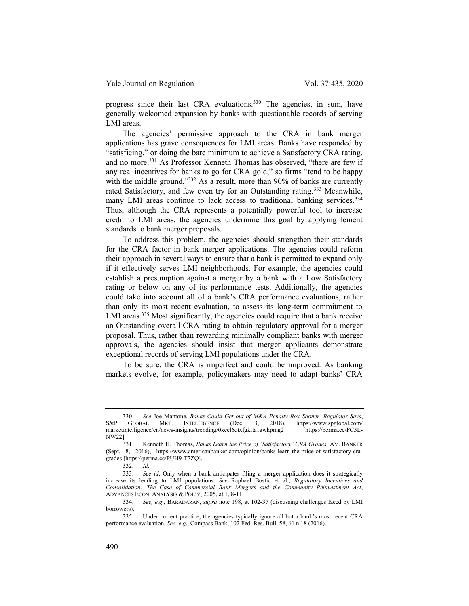progress since their last CRA evaluations.<sup>330</sup> The agencies, in sum, have generally welcomed expansion by banks with questionable records of serving LMI areas.

The agencies' permissive approach to the CRA in bank merger applications has grave consequences for LMI areas. Banks have responded by "satisficing," or doing the bare minimum to achieve a Satisfactory CRA rating, and no more.<sup>331</sup> As Professor Kenneth Thomas has observed, "there are few if any real incentives for banks to go for CRA gold," so firms "tend to be happy with the middle ground."<sup>332</sup> As a result, more than 90% of banks are currently rated Satisfactory, and few even try for an Outstanding rating.<sup>333</sup> Meanwhile, many LMI areas continue to lack access to traditional banking services.<sup>334</sup> Thus, although the CRA represents a potentially powerful tool to increase credit to LMI areas, the agencies undermine this goal by applying lenient standards to bank merger proposals.

To address this problem, the agencies should strengthen their standards for the CRA factor in bank merger applications. The agencies could reform their approach in several ways to ensure that a bank is permitted to expand only if it effectively serves LMI neighborhoods. For example, the agencies could establish a presumption against a merger by a bank with a Low Satisfactory rating or below on any of its performance tests. Additionally, the agencies could take into account all of a bank's CRA performance evaluations, rather than only its most recent evaluation, to assess its long-term commitment to LMI areas.<sup>335</sup> Most significantly, the agencies could require that a bank receive an Outstanding overall CRA rating to obtain regulatory approval for a merger proposal. Thus, rather than rewarding minimally compliant banks with merger approvals, the agencies should insist that merger applicants demonstrate exceptional records of serving LMI populations under the CRA.

To be sure, the CRA is imperfect and could be improved. As banking markets evolve, for example, policymakers may need to adapt banks' CRA

<sup>330.</sup> See Joe Mantone, Banks Could Get out of M&A Penalty Box Sooner, Regulator Says, S&P GLOBAL MKT. INTELLIGENCE (Dec. 3, 2018), https://www.spglobal.com/ marketintelligence/en/news-insights/trending/0xccl6qtxfgklta1awkpmg2 [https://perma.cc/FC5L-NW22].

<sup>331.</sup> Kenneth H. Thomas, Banks Learn the Price of 'Satisfactory' CRA Grades, AM. BANKER (Sept. 8, 2016), https://www.americanbanker.com/opinion/banks-learn-the-price-of-satisfactory-cragrades [https://perma.cc/PUH9-T7ZQ].

<sup>332.</sup> Id.

<sup>333.</sup> See id. Only when a bank anticipates filing a merger application does it strategically increase its lending to LMI populations. See Raphael Bostic et al., Regulatory Incentives and Consolidation: The Case of Commercial Bank Mergers and the Community Reinvestment Act, ADVANCES ECON. ANALYSIS & POL'Y, 2005, at 1, 8-11.

<sup>334.</sup> See, e.g., BARADARAN, supra note 198, at 102-37 (discussing challenges faced by LMI borrowers).

<sup>335.</sup> Under current practice, the agencies typically ignore all but a bank's most recent CRA performance evaluation. See, e.g., Compass Bank, 102 Fed. Res. Bull. 58, 61 n.18 (2016).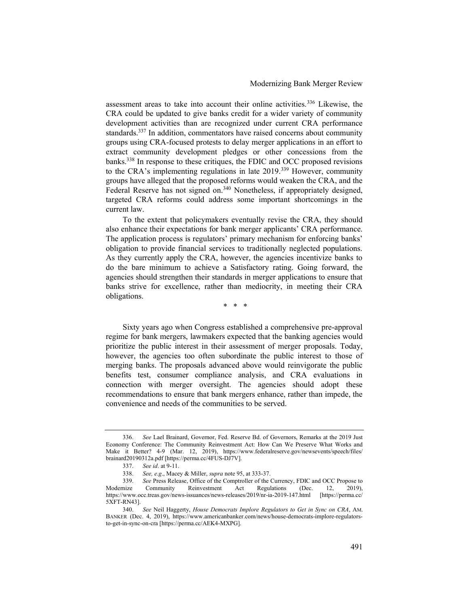assessment areas to take into account their online activities.<sup>336</sup> Likewise, the CRA could be updated to give banks credit for a wider variety of community development activities than are recognized under current CRA performance standards.<sup>337</sup> In addition, commentators have raised concerns about community groups using CRA-focused protests to delay merger applications in an effort to extract community development pledges or other concessions from the banks.<sup>338</sup> In response to these critiques, the FDIC and OCC proposed revisions to the CRA's implementing regulations in late 2019.<sup>339</sup> However, community groups have alleged that the proposed reforms would weaken the CRA, and the Federal Reserve has not signed on.<sup>340</sup> Nonetheless, if appropriately designed, targeted CRA reforms could address some important shortcomings in the current law.

To the extent that policymakers eventually revise the CRA, they should also enhance their expectations for bank merger applicants' CRA performance. The application process is regulators' primary mechanism for enforcing banks' obligation to provide financial services to traditionally neglected populations. As they currently apply the CRA, however, the agencies incentivize banks to do the bare minimum to achieve a Satisfactory rating. Going forward, the agencies should strengthen their standards in merger applications to ensure that banks strive for excellence, rather than mediocrity, in meeting their CRA obligations.

\* \* \*

Sixty years ago when Congress established a comprehensive pre-approval regime for bank mergers, lawmakers expected that the banking agencies would prioritize the public interest in their assessment of merger proposals. Today, however, the agencies too often subordinate the public interest to those of merging banks. The proposals advanced above would reinvigorate the public benefits test, consumer compliance analysis, and CRA evaluations in connection with merger oversight. The agencies should adopt these recommendations to ensure that bank mergers enhance, rather than impede, the convenience and needs of the communities to be served.

<sup>336.</sup> See Lael Brainard, Governor, Fed. Reserve Bd. of Governors, Remarks at the 2019 Just Economy Conference: The Community Reinvestment Act: How Can We Preserve What Works and Make it Better? 4-9 (Mar. 12, 2019), https://www.federalreserve.gov/newsevents/speech/files/ brainard20190312a.pdf [https://perma.cc/4FUS-DJ7V].

<sup>337.</sup> See id. at 9-11.

<sup>338.</sup> See, e.g., Macey & Miller, supra note 95, at 333-37.

<sup>339.</sup> See Press Release, Office of the Comptroller of the Currency, FDIC and OCC Propose to Modernize Community Reinvestment Act Regulations (Dec. 12, 2019), https://www.occ.treas.gov/news-issuances/news-releases/2019/nr-ia-2019-147.html [https://perma.cc/ 5XFT-RN43].

<sup>340.</sup> See Neil Haggerty, House Democrats Implore Regulators to Get in Sync on CRA, AM. BANKER (Dec. 4, 2019), https://www.americanbanker.com/news/house-democrats-implore-regulatorsto-get-in-sync-on-cra [https://perma.cc/AEK4-MXPG].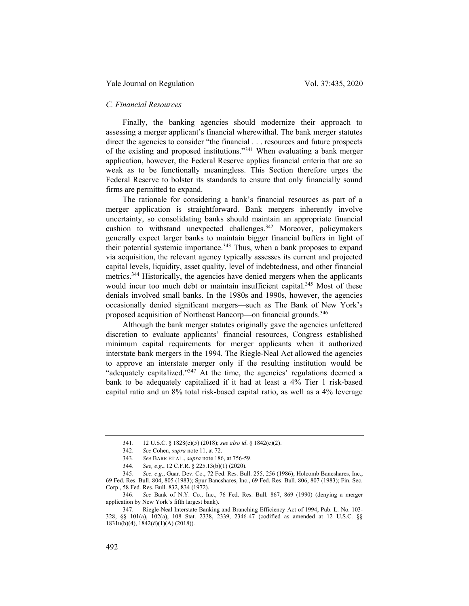### Yale Journal on Regulation Vol. 37:435, 2020

# C. Financial Resources

Finally, the banking agencies should modernize their approach to assessing a merger applicant's financial wherewithal. The bank merger statutes direct the agencies to consider "the financial . . . resources and future prospects of the existing and proposed institutions."<sup>341</sup> When evaluating a bank merger application, however, the Federal Reserve applies financial criteria that are so weak as to be functionally meaningless. This Section therefore urges the Federal Reserve to bolster its standards to ensure that only financially sound firms are permitted to expand.

The rationale for considering a bank's financial resources as part of a merger application is straightforward. Bank mergers inherently involve uncertainty, so consolidating banks should maintain an appropriate financial cushion to withstand unexpected challenges.<sup>342</sup> Moreover, policymakers generally expect larger banks to maintain bigger financial buffers in light of their potential systemic importance.<sup>343</sup> Thus, when a bank proposes to expand via acquisition, the relevant agency typically assesses its current and projected capital levels, liquidity, asset quality, level of indebtedness, and other financial metrics.<sup>344</sup> Historically, the agencies have denied mergers when the applicants would incur too much debt or maintain insufficient capital.<sup>345</sup> Most of these denials involved small banks. In the 1980s and 1990s, however, the agencies occasionally denied significant mergers—such as The Bank of New York's proposed acquisition of Northeast Bancorp—on financial grounds.<sup>346</sup>

Although the bank merger statutes originally gave the agencies unfettered discretion to evaluate applicants' financial resources, Congress established minimum capital requirements for merger applicants when it authorized interstate bank mergers in the 1994. The Riegle-Neal Act allowed the agencies to approve an interstate merger only if the resulting institution would be "adequately capitalized."<sup>347</sup> At the time, the agencies' regulations deemed a bank to be adequately capitalized if it had at least a 4% Tier 1 risk-based capital ratio and an 8% total risk-based capital ratio, as well as a 4% leverage

<sup>341. 12</sup> U.S.C. § 1828(c)(5) (2018); see also id. § 1842(c)(2).

<sup>342.</sup> See Cohen, supra note 11, at 72.

<sup>343.</sup> See BARR ET AL., supra note 186, at 756-59.

<sup>344.</sup> See, e.g., 12 C.F.R. § 225.13(b)(1) (2020).

<sup>345.</sup> See, e.g., Guar. Dev. Co., 72 Fed. Res. Bull. 255, 256 (1986); Holcomb Bancshares, Inc., 69 Fed. Res. Bull. 804, 805 (1983); Spur Bancshares, Inc., 69 Fed. Res. Bull. 806, 807 (1983); Fin. Sec. Corp., 58 Fed. Res. Bull. 832, 834 (1972).

<sup>346.</sup> See Bank of N.Y. Co., Inc., 76 Fed. Res. Bull. 867, 869 (1990) (denying a merger application by New York's fifth largest bank).

<sup>347.</sup> Riegle-Neal Interstate Banking and Branching Efficiency Act of 1994, Pub. L. No. 103- 328, §§ 101(a), 102(a), 108 Stat. 2338, 2339, 2346-47 (codified as amended at 12 U.S.C. §§  $1831u(b)(4)$ ,  $1842(d)(1)(A)$  (2018)).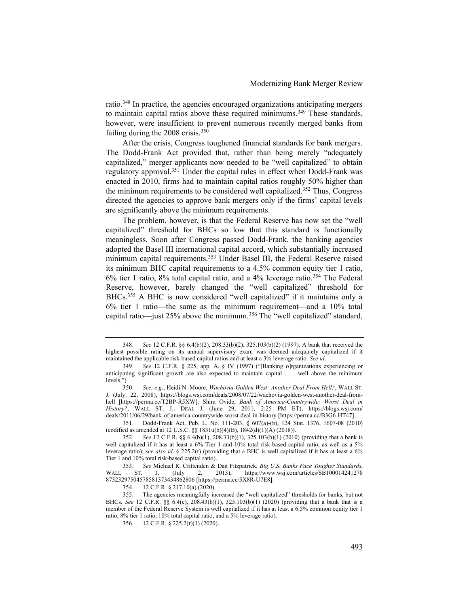ratio.<sup>348</sup> In practice, the agencies encouraged organizations anticipating mergers to maintain capital ratios above these required minimums.<sup>349</sup> These standards, however, were insufficient to prevent numerous recently merged banks from failing during the 2008 crisis.<sup>350</sup>

After the crisis, Congress toughened financial standards for bank mergers. The Dodd-Frank Act provided that, rather than being merely "adequately capitalized," merger applicants now needed to be "well capitalized" to obtain regulatory approval.<sup>351</sup> Under the capital rules in effect when Dodd-Frank was enacted in 2010, firms had to maintain capital ratios roughly 50% higher than the minimum requirements to be considered well capitalized.<sup>352</sup> Thus, Congress directed the agencies to approve bank mergers only if the firms' capital levels are significantly above the minimum requirements.

The problem, however, is that the Federal Reserve has now set the "well capitalized" threshold for BHCs so low that this standard is functionally meaningless. Soon after Congress passed Dodd-Frank, the banking agencies adopted the Basel III international capital accord, which substantially increased minimum capital requirements.<sup>353</sup> Under Basel III, the Federal Reserve raised its minimum BHC capital requirements to a 4.5% common equity tier 1 ratio, 6% tier 1 ratio, 8% total capital ratio, and a 4% leverage ratio.<sup>354</sup> The Federal Reserve, however, barely changed the "well capitalized" threshold for BHCs.<sup>355</sup> A BHC is now considered "well capitalized" if it maintains only a 6% tier 1 ratio—the same as the minimum requirement—and a 10% total capital ratio—just 25% above the minimum.<sup>356</sup> The "well capitalized" standard,

351. Dodd-Frank Act, Pub. L. No. 111-203, § 607(a)-(b), 124 Stat. 1376, 1607-08 (2010) (codified as amended at 12 U.S.C. §§ 1831u(b)(4)(B), 1842(d)(1)(A) (2018)).

<sup>348.</sup> See 12 C.F.R. §§ 6.4(b)(2), 208.33(b)(2), 325.103(b)(2) (1997). A bank that received the highest possible rating on its annual supervisory exam was deemed adequately capitalized if it maintained the applicable risk-based capital ratios and at least a 3% leverage ratio. See id.

<sup>349.</sup> See 12 C.F.R. § 225, app. A, § IV (1997) ("[Banking o]rganizations experiencing or anticipating significant growth are also expected to maintain capital . . . well above the minimum levels.").

<sup>350.</sup> See, e.g., Heidi N. Moore, Wachovia-Golden West: Another Deal From Hell?, WALL ST. J. (July. 22, 2008), https://blogs.wsj.com/deals/2008/07/22/wachovia-golden-west-another-deal-fromhell [https://perma.cc/T2BP-R5XW]; Shira Ovide, Bank of America-Countrywide: Worst Deal in History?, WALL ST. J.: DEAL J. (June 29, 2011, 2:25 PM ET), https://blogs.wsj.com/ deals/2011/06/29/bank-of-america-countrywide-worst-deal-in-history [https://perma.cc/B3G6-HT47].

<sup>352.</sup> See 12 C.F.R. §§ 6.4(b)(1), 208.33(b)(1), 325.103(b)(1) (2010) (providing that a bank is well capitalized if it has at least a 6% Tier 1 and 10% total risk-based capital ratio, as well as a 5% leverage ratio); see also id. § 225.2(r) (providing that a BHC is well capitalized if it has at least a 6% Tier 1 and 10% total risk-based capital ratio).

<sup>353.</sup> See Michael R. Crittenden & Dan Fitzpatrick, Big U.S. Banks Face Tougher Standards, WALL ST. J. (July 2, 2013), https://www.wsj.com/articles/SB100014241278 87323297504578581373434862806 [https://perma.cc/5X8R-U7E8].

<sup>354. 12</sup> C.F.R. § 217.10(a) (2020).

<sup>355.</sup> The agencies meaningfully increased the "well capitalized" thresholds for banks, but not BHCs. See 12 C.F.R. §§ 6.4(c), 208.43(b)(1), 325.103(b)(1) (2020) (providing that a bank that is a member of the Federal Reserve System is well capitalized if it has at least a 6.5% common equity tier 1 ratio, 8% tier 1 ratio, 10% total capital ratio, and a 5% leverage ratio).

<sup>356. 12</sup> C.F.R. § 225.2(r)(1) (2020).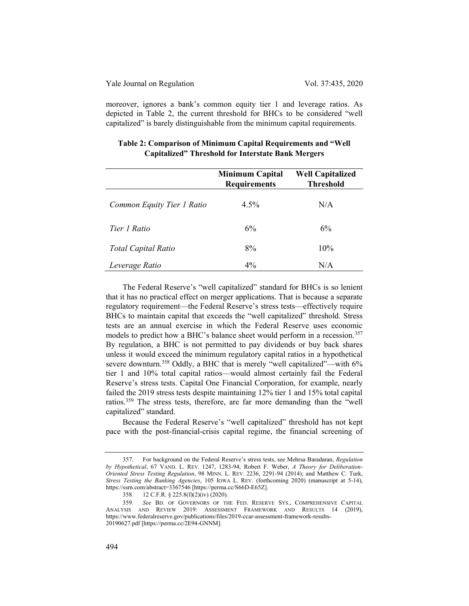moreover, ignores a bank's common equity tier 1 and leverage ratios. As depicted in Table 2, the current threshold for BHCs to be considered "well capitalized" is barely distinguishable from the minimum capital requirements.

|                            | <b>Minimum Capital</b><br><b>Requirements</b> | <b>Well Capitalized</b><br><b>Threshold</b> |
|----------------------------|-----------------------------------------------|---------------------------------------------|
| Common Equity Tier 1 Ratio | $4.5\%$                                       | N/A                                         |
| Tier 1 Ratio               | 6%                                            | 6%                                          |
| <b>Total Capital Ratio</b> | 8%                                            | 10%                                         |
| Leverage Ratio             | $4\%$                                         | N/A                                         |

# Table 2: Comparison of Minimum Capital Requirements and "Well Capitalized" Threshold for Interstate Bank Mergers

The Federal Reserve's "well capitalized" standard for BHCs is so lenient that it has no practical effect on merger applications. That is because a separate regulatory requirement—the Federal Reserve's stress tests—effectively require BHCs to maintain capital that exceeds the "well capitalized" threshold. Stress tests are an annual exercise in which the Federal Reserve uses economic models to predict how a BHC's balance sheet would perform in a recession.<sup>357</sup> By regulation, a BHC is not permitted to pay dividends or buy back shares unless it would exceed the minimum regulatory capital ratios in a hypothetical severe downturn.<sup>358</sup> Oddly, a BHC that is merely "well capitalized"—with 6% tier 1 and 10% total capital ratios—would almost certainly fail the Federal Reserve's stress tests. Capital One Financial Corporation, for example, nearly failed the 2019 stress tests despite maintaining 12% tier 1 and 15% total capital ratios.<sup>359</sup> The stress tests, therefore, are far more demanding than the "well capitalized" standard.

Because the Federal Reserve's "well capitalized" threshold has not kept pace with the post-financial-crisis capital regime, the financial screening of

<sup>357.</sup> For background on the Federal Reserve's stress tests, see Mehrsa Baradaran, Regulation by Hypothetical, 67 VAND. L. REV. 1247, 1283-94; Robert F. Weber, A Theory for Deliberation-Oriented Stress Testing Regulation, 98 MINN. L. REV. 2236, 2291-94 (2014); and Matthew C. Turk, Stress Testing the Banking Agencies, 105 IOWA L. REV. (forthcoming 2020) (manuscript at 5-14), https://ssrn.com/abstract=3367546 [https://perma.cc/S66D-E65Z].

<sup>358. 12</sup> C.F.R. § 225.8(f)(2)(iv) (2020).

<sup>359.</sup> See BD. OF GOVERNORS OF THE FED. RESERVE SYS., COMPREHENSIVE CAPITAL ANALYSIS AND REVIEW 2019: ASSESSMENT FRAMEWORK AND RESULTS 14 (2019), https://www.federalreserve.gov/publications/files/2019-ccar-assessment-framework-results-20190627.pdf [https://perma.cc/2E94-GNNM].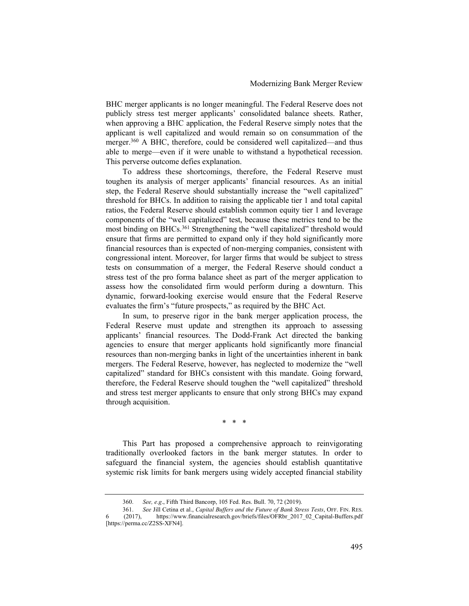BHC merger applicants is no longer meaningful. The Federal Reserve does not publicly stress test merger applicants' consolidated balance sheets. Rather, when approving a BHC application, the Federal Reserve simply notes that the applicant is well capitalized and would remain so on consummation of the merger.<sup>360</sup> A BHC, therefore, could be considered well capitalized—and thus able to merge—even if it were unable to withstand a hypothetical recession. This perverse outcome defies explanation.

To address these shortcomings, therefore, the Federal Reserve must toughen its analysis of merger applicants' financial resources. As an initial step, the Federal Reserve should substantially increase the "well capitalized" threshold for BHCs. In addition to raising the applicable tier 1 and total capital ratios, the Federal Reserve should establish common equity tier 1 and leverage components of the "well capitalized" test, because these metrics tend to be the most binding on BHCs.<sup>361</sup> Strengthening the "well capitalized" threshold would ensure that firms are permitted to expand only if they hold significantly more financial resources than is expected of non-merging companies, consistent with congressional intent. Moreover, for larger firms that would be subject to stress tests on consummation of a merger, the Federal Reserve should conduct a stress test of the pro forma balance sheet as part of the merger application to assess how the consolidated firm would perform during a downturn. This dynamic, forward-looking exercise would ensure that the Federal Reserve evaluates the firm's "future prospects," as required by the BHC Act.

In sum, to preserve rigor in the bank merger application process, the Federal Reserve must update and strengthen its approach to assessing applicants' financial resources. The Dodd-Frank Act directed the banking agencies to ensure that merger applicants hold significantly more financial resources than non-merging banks in light of the uncertainties inherent in bank mergers. The Federal Reserve, however, has neglected to modernize the "well capitalized" standard for BHCs consistent with this mandate. Going forward, therefore, the Federal Reserve should toughen the "well capitalized" threshold and stress test merger applicants to ensure that only strong BHCs may expand through acquisition.

\* \* \*

This Part has proposed a comprehensive approach to reinvigorating traditionally overlooked factors in the bank merger statutes. In order to safeguard the financial system, the agencies should establish quantitative systemic risk limits for bank mergers using widely accepted financial stability

<sup>360.</sup> See, e.g., Fifth Third Bancorp, 105 Fed. Res. Bull. 70, 72 (2019).

<sup>361.</sup> See Jill Cetina et al., *Capital Buffers and the Future of Bank Stress Tests*, OFF. FIN. RES. (2017), https://www.financialresearch.gov/briefs/files/OFRbr 2017 02 Capital-Buffers.pdf https://www.financialresearch.gov/briefs/files/OFRbr\_2017\_02\_Capital-Buffers.pdf [https://perma.cc/Z2SS-XFN4].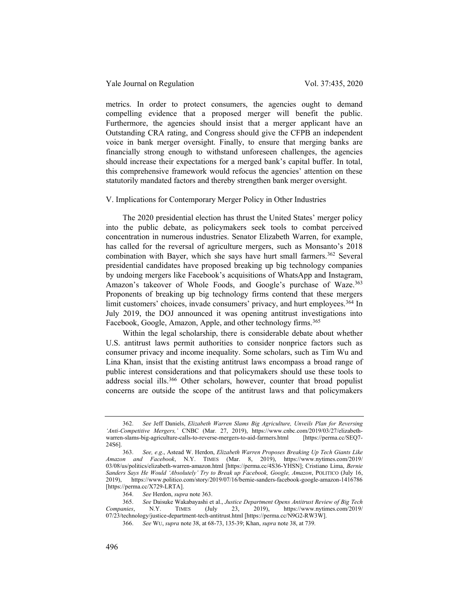### Yale Journal on Regulation Vol. 37:435, 2020

metrics. In order to protect consumers, the agencies ought to demand compelling evidence that a proposed merger will benefit the public. Furthermore, the agencies should insist that a merger applicant have an Outstanding CRA rating, and Congress should give the CFPB an independent voice in bank merger oversight. Finally, to ensure that merging banks are financially strong enough to withstand unforeseen challenges, the agencies should increase their expectations for a merged bank's capital buffer. In total, this comprehensive framework would refocus the agencies' attention on these statutorily mandated factors and thereby strengthen bank merger oversight.

#### V. Implications for Contemporary Merger Policy in Other Industries

The 2020 presidential election has thrust the United States' merger policy into the public debate, as policymakers seek tools to combat perceived concentration in numerous industries. Senator Elizabeth Warren, for example, has called for the reversal of agriculture mergers, such as Monsanto's 2018 combination with Bayer, which she says have hurt small farmers.<sup>362</sup> Several presidential candidates have proposed breaking up big technology companies by undoing mergers like Facebook's acquisitions of WhatsApp and Instagram, Amazon's takeover of Whole Foods, and Google's purchase of Waze.<sup>363</sup> Proponents of breaking up big technology firms contend that these mergers limit customers' choices, invade consumers' privacy, and hurt employees.<sup>364</sup> In July 2019, the DOJ announced it was opening antitrust investigations into Facebook, Google, Amazon, Apple, and other technology firms.<sup>365</sup>

Within the legal scholarship, there is considerable debate about whether U.S. antitrust laws permit authorities to consider nonprice factors such as consumer privacy and income inequality. Some scholars, such as Tim Wu and Lina Khan, insist that the existing antitrust laws encompass a broad range of public interest considerations and that policymakers should use these tools to address social ills.<sup>366</sup> Other scholars, however, counter that broad populist concerns are outside the scope of the antitrust laws and that policymakers

See Jeff Daniels, Elizabeth Warren Slams Big Agriculture, Unveils Plan for Reversing 'Anti-Competitive Mergers,' CNBC (Mar. 27, 2019), https://www.cnbc.com/2019/03/27/elizabethwarren-slams-big-agriculture-calls-to-reverse-mergers-to-aid-farmers.html [https://perma.cc/SEQ7- 24S6].

<sup>363.</sup> See, e.g., Astead W. Herdon, Elizabeth Warren Proposes Breaking Up Tech Giants Like Amazon and Facebook, N.Y. TIMES (Mar. 8, 2019), https://www.nytimes.com/2019/ 03/08/us/politics/elizabeth-warren-amazon.html [https://perma.cc/4S36-YHSN]; Cristiano Lima, Bernie Sanders Says He Would 'Absolutely' Try to Break up Facebook, Google, Amazon, POLITICO (July 16, 2019), https://www.politico.com/story/2019/07/16/bernie-sanders-facebook-google-amazon-1416786 [https://perma.cc/X729-LRTA].

<sup>364.</sup> See Herdon, supra note 363.

<sup>365.</sup> See Daisuke Wakabayashi et al., Justice Department Opens Antitrust Review of Big Tech<br>Companies, N.Y. TIMES (July 23, 2019), https://www.nytimes.com/2019/ N.Y. TIMES (July 23, 2019), https://www.nytimes.com/2019/ 07/23/technology/justice-department-tech-antitrust.html [https://perma.cc/N9G2-RW3W].

<sup>366.</sup> See WU, supra note 38, at 68-73, 135-39; Khan, supra note 38, at 739.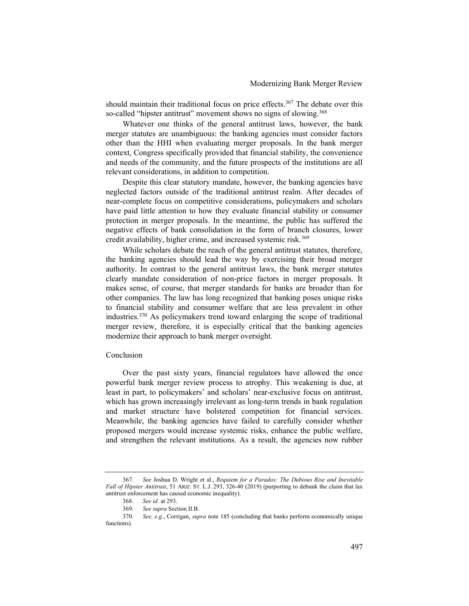should maintain their traditional focus on price effects.<sup>367</sup> The debate over this so-called "hipster antitrust" movement shows no signs of slowing.<sup>368</sup>

Whatever one thinks of the general antitrust laws, however, the bank merger statutes are unambiguous: the banking agencies must consider factors other than the HHI when evaluating merger proposals. In the bank merger context, Congress specifically provided that financial stability, the convenience and needs of the community, and the future prospects of the institutions are all relevant considerations, in addition to competition.

Despite this clear statutory mandate, however, the banking agencies have neglected factors outside of the traditional antitrust realm. After decades of near-complete focus on competitive considerations, policymakers and scholars have paid little attention to how they evaluate financial stability or consumer protection in merger proposals. In the meantime, the public has suffered the negative effects of bank consolidation in the form of branch closures, lower credit availability, higher crime, and increased systemic risk.<sup>369</sup>

While scholars debate the reach of the general antitrust statutes, therefore, the banking agencies should lead the way by exercising their broad merger authority. In contrast to the general antitrust laws, the bank merger statutes clearly mandate consideration of non-price factors in merger proposals. It makes sense, of course, that merger standards for banks are broader than for other companies. The law has long recognized that banking poses unique risks to financial stability and consumer welfare that are less prevalent in other industries.<sup>370</sup> As policymakers trend toward enlarging the scope of traditional merger review, therefore, it is especially critical that the banking agencies modernize their approach to bank merger oversight.

#### Conclusion

Over the past sixty years, financial regulators have allowed the once powerful bank merger review process to atrophy. This weakening is due, at least in part, to policymakers' and scholars' near-exclusive focus on antitrust, which has grown increasingly irrelevant as long-term trends in bank regulation and market structure have bolstered competition for financial services. Meanwhile, the banking agencies have failed to carefully consider whether proposed mergers would increase systemic risks, enhance the public welfare, and strengthen the relevant institutions. As a result, the agencies now rubber

<sup>367.</sup> See Joshua D. Wright et al., Requiem for a Paradox: The Dubious Rise and Inevitable Fall of Hipster Antitrust, 51 ARIZ. ST. L.J. 293, 326-40 (2019) (purporting to debunk the claim that lax antitrust enforcement has caused economic inequality).

<sup>368.</sup> See id. at 293.

<sup>369.</sup> See supra Section II.B.

<sup>370.</sup> See, e.g., Corrigan, supra note 185 (concluding that banks perform economically unique functions).